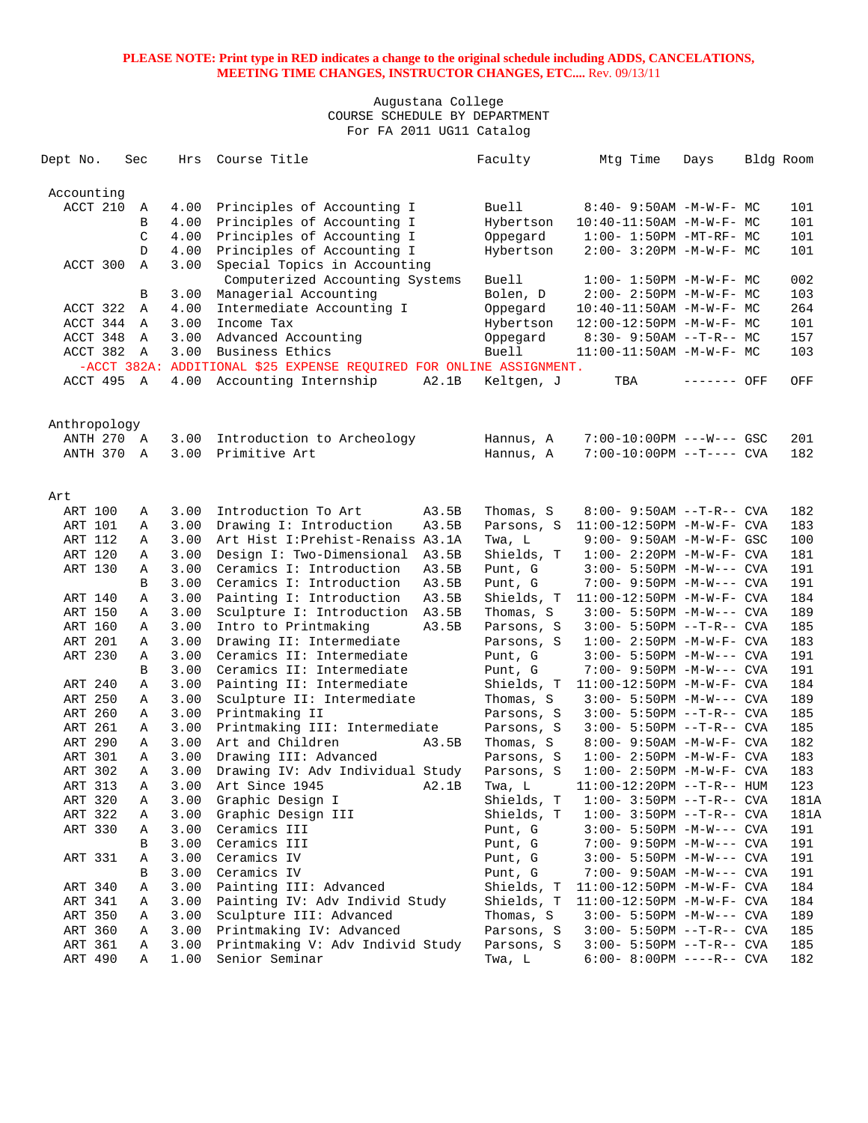| Dept No.       | Sec | Hrs  | Course Title                                                        | Faculty             | Mtg Time                         | Days        | Bldg Room |      |
|----------------|-----|------|---------------------------------------------------------------------|---------------------|----------------------------------|-------------|-----------|------|
| Accounting     |     |      |                                                                     |                     |                                  |             |           |      |
| ACCT 210       | Α   | 4.00 | Principles of Accounting I                                          | <b>Buell</b>        | $8:40 - 9:50AM - M - W - F - MC$ |             |           | 101  |
|                | В   | 4.00 | Principles of Accounting I                                          | Hybertson           | $10:40-11:50AM$ -M-W-F- MC       |             |           | 101  |
|                | C   | 4.00 | Principles of Accounting I                                          | Oppegard            | $1:00 - 1:50PM - MT - RF - MC$   |             |           | 101  |
|                | D   | 4.00 | Principles of Accounting I                                          | Hybertson           | 2:00- 3:20PM -M-W-F- MC          |             |           | 101  |
| ACCT 300       | Α   | 3.00 | Special Topics in Accounting                                        |                     |                                  |             |           |      |
|                |     |      | Computerized Accounting Systems                                     | Buell               | $1:00 - 1:50PM - M - W - F - MC$ |             |           | 002  |
|                | В   | 3.00 | Managerial Accounting                                               | Bolen, D            | 2:00- 2:50PM -M-W-F- MC          |             |           | 103  |
| ACCT 322       | Α   | 4.00 | Intermediate Accounting I                                           | Oppegard            | 10:40-11:50AM -M-W-F- MC         |             |           | 264  |
| ACCT 344       | Α   | 3.00 | Income Tax                                                          | Hybertson           | 12:00-12:50PM -M-W-F- MC         |             |           | 101  |
| ACCT 348       | Α   | 3.00 | Advanced Accounting                                                 | Oppegard            | $8:30-9:50AM --T-R--MC$          |             |           | 157  |
| ACCT 382       | Α   | 3.00 | Business Ethics                                                     | <b>Buell</b>        | $11:00-11:50AM$ -M-W-F- MC       |             |           | 103  |
|                |     |      | -ACCT 382A: ADDITIONAL \$25 EXPENSE REQUIRED FOR ONLINE ASSIGNMENT. |                     |                                  |             |           |      |
| ACCT 495 A     |     | 4.00 | Accounting Internship                                               | A2.1B<br>Keltgen, J | TBA                              | ------- OFF |           | OFF  |
|                |     |      |                                                                     |                     |                                  |             |           |      |
| Anthropology   |     |      |                                                                     |                     |                                  |             |           |      |
| ANTH 270 A     |     | 3.00 | Introduction to Archeology                                          | Hannus, A           | 7:00-10:00PM ---W--- GSC         |             |           | 201  |
| ANTH 370       | A   | 3.00 | Primitive Art                                                       | Hannus, A           | $7:00-10:00PM$ --T---- CVA       |             |           | 182  |
|                |     |      |                                                                     |                     |                                  |             |           |      |
| Art            |     |      |                                                                     |                     |                                  |             |           |      |
| ART 100        | Α   | 3.00 | Introduction To Art                                                 | A3.5B<br>Thomas, S  | $8:00 - 9:50AM -T-R--CVA$        |             |           | 182  |
| ART 101        | Α   | 3.00 | Drawing I: Introduction                                             | A3.5B<br>Parsons, S | $11:00-12:50PM -M-W-F-CVA$       |             |           | 183  |
| <b>ART 112</b> | Α   | 3.00 | Art Hist I: Prehist-Renaiss A3.1A                                   | Twa, L              | 9:00- 9:50AM -M-W-F- GSC         |             |           | 100  |
| ART 120        | Α   | 3.00 | Design I: Two-Dimensional                                           | Shields, T<br>A3.5B | $1:00-2:20PM -M-W-F-CVA$         |             |           | 181  |
| ART 130        | Α   | 3.00 | Ceramics I: Introduction                                            | A3.5B<br>Punt, G    | $3:00 - 5:50PM -M-W---$ CVA      |             |           | 191  |
|                | В   | 3.00 | Ceramics I: Introduction                                            | Punt, G<br>A3.5B    | 7:00- 9:50PM -M-W--- CVA         |             |           | 191  |
| ART 140        | Α   | 3.00 | Painting I: Introduction                                            | A3.5B<br>Shields, T | 11:00-12:50PM -M-W-F- CVA        |             |           | 184  |
| ART 150        | Α   | 3.00 | Sculpture I: Introduction<br>A3.5B                                  | Thomas, S           | $3:00 - 5:50PM -M-W---$ CVA      |             |           | 189  |
| ART 160        | Α   | 3.00 | Intro to Printmaking                                                | A3.5B<br>Parsons, S | $3:00-5:50PM -T-R--CVA$          |             |           | 185  |
| ART 201        | Α   | 3.00 | Drawing II: Intermediate                                            | Parsons, S          | $1:00 - 2:50PM -M-W-F - CVA$     |             |           | 183  |
| ART 230        | Α   | 3.00 | Ceramics II: Intermediate                                           | Punt, G             | $3:00 - 5:50PM -M-W---$ CVA      |             |           | 191  |
|                | B   | 3.00 | Ceramics II: Intermediate                                           | Punt, G             | 7:00- 9:50PM -M-W--- CVA         |             |           | 191  |
| ART 240        | Α   | 3.00 | Painting II: Intermediate                                           | Shields, T          | $11:00-12:50PM -M-W-F-CVA$       |             |           | 184  |
| ART 250        | Α   | 3.00 | Sculpture II: Intermediate                                          | Thomas, S           | $3:00 - 5:50PM -M-W---$ CVA      |             |           | 189  |
| ART 260        | Α   | 3.00 | Printmaking II                                                      | Parsons, S          | $3:00 - 5:50PM -T-R--CVA$        |             |           | 185  |
| ART 261        | Α   | 3.00 | Printmaking III: Intermediate                                       | Parsons, S          | $3:00 - 5:50PM -T-R--CVA$        |             |           | 185  |
| ART 290        | Α   | 3.00 | Art and Children                                                    | A3.5B<br>Thomas, S  | 8:00- 9:50AM -M-W-F- CVA         |             |           | 182  |
| ART 301        | Α   | 3.00 | Drawing III: Advanced                                               | Parsons, S          | $1:00 - 2:50PM -M-W-F - CVA$     |             |           | 183  |
| ART 302        | Α   | 3.00 | Drawing IV: Adv Individual Study                                    | Parsons, S          | $1:00 - 2:50PM -M-W-F - CVA$     |             |           | 183  |
| ART 313        | Α   | 3.00 | Art Since 1945<br>A2.1B                                             | Twa, L              | $11:00-12:20PM$ --T-R-- HUM      |             |           | 123  |
| ART 320        | Α   | 3.00 | Graphic Design I                                                    | Shields, T          | $1:00-3:50PM -T-R--CVA$          |             |           | 181A |
| ART 322        | Α   | 3.00 | Graphic Design III                                                  | Shields, T          | $1:00-3:50PM -T-R--CVA$          |             |           | 181A |
| ART 330        | Α   | 3.00 | Ceramics III                                                        | Punt, G             | 3:00- 5:50PM -M-W--- CVA         |             |           | 191  |
|                | В   | 3.00 | Ceramics III                                                        | Punt, G             | 7:00- 9:50PM -M-W--- CVA         |             |           | 191  |
| ART 331        | Α   | 3.00 | Ceramics IV                                                         | Punt, G             | 3:00- 5:50PM -M-W--- CVA         |             |           | 191  |
|                | В   | 3.00 | Ceramics IV                                                         | Punt, G             | 7:00- 9:50AM -M-W--- CVA         |             |           | 191  |
| ART 340        | Α   | 3.00 | Painting III: Advanced                                              | Shields, T          | $11:00-12:50PM$ -M-W-F- CVA      |             |           | 184  |
| ART 341        | Α   | 3.00 | Painting IV: Adv Individ Study                                      | Shields, T          | $11:00-12:50PM -M-W-F-CVA$       |             |           | 184  |
| ART 350        | Α   | 3.00 | Sculpture III: Advanced                                             | Thomas, S           | $3:00 - 5:50PM -M-W---$ CVA      |             |           | 189  |
| ART 360        | Α   | 3.00 | Printmaking IV: Advanced                                            | Parsons, S          | 3:00- 5:50PM --T-R-- CVA         |             |           | 185  |
| ART 361        | Α   | 3.00 | Printmaking V: Adv Individ Study                                    | Parsons, S          | 3:00- 5:50PM --T-R-- CVA         |             |           | 185  |
| ART 490        | Α   | 1.00 | Senior Seminar                                                      | Twa, L              | $6:00-8:00PM$ ----R-- CVA        |             |           | 182  |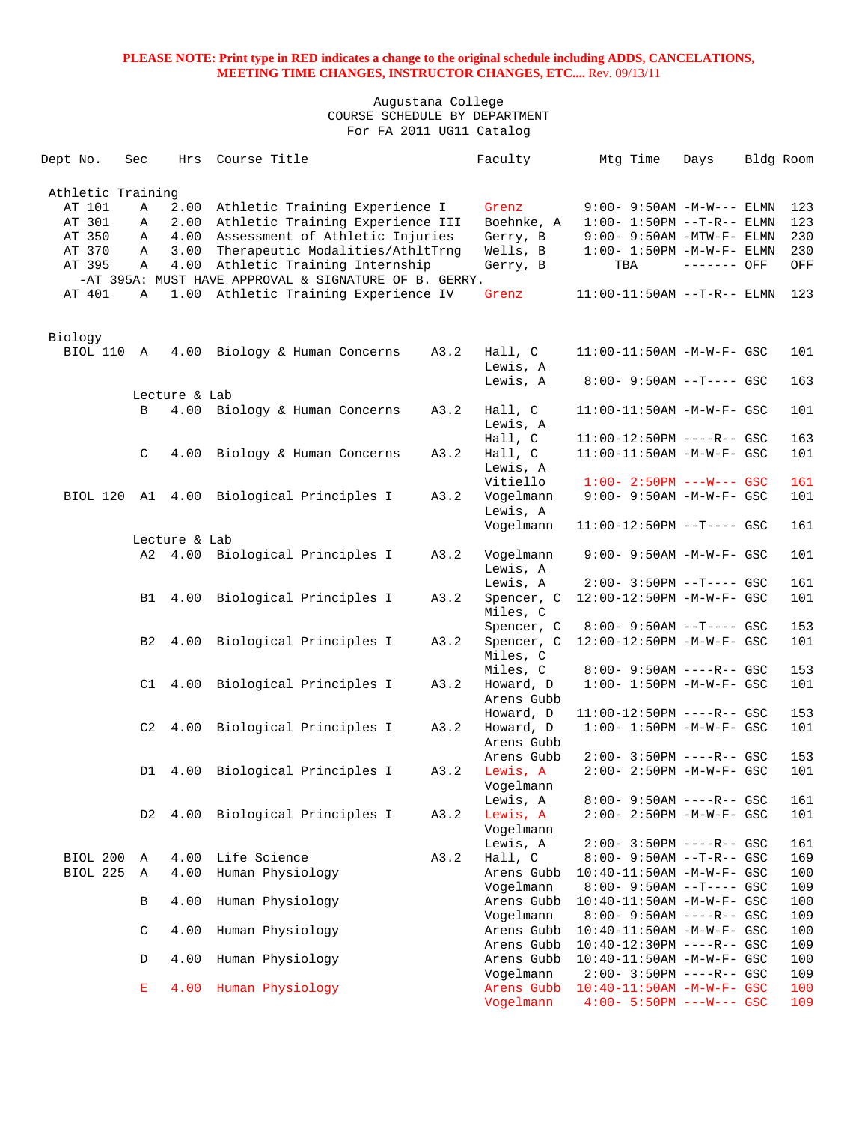| Dept No.          | Sec            | Hrs           | Course Title                                          |      | Faculty                  | Mtg Time                                                   | Days        | Bldg Room |            |
|-------------------|----------------|---------------|-------------------------------------------------------|------|--------------------------|------------------------------------------------------------|-------------|-----------|------------|
| Athletic Training |                |               |                                                       |      |                          |                                                            |             |           |            |
| AT 101            | Α              | 2.00          | Athletic Training Experience I                        |      | Grenz                    | $9:00 - 9:50AM - M-W---$ ELMN                              |             |           | 123        |
| AT 301            | Α              | 2.00          | Athletic Training Experience III                      |      | Boehnke, A               | $1:00 - 1:50PM -T-R-- ELMN$                                |             |           | 123        |
| AT 350            | Α              | 4.00          | Assessment of Athletic Injuries                       |      | Gerry, B                 | $9:00-9:50$ AM -MTW-F- ELMN                                |             |           | 230        |
| AT 370            | Α              | 3.00          | Therapeutic Modalities/AthltTrnq                      |      | Wells, B                 | $1:00-1:50PM -M-W-F-ELMN$                                  |             |           | 230        |
| AT 395            | Α              | 4.00          | Athletic Training Internship                          |      | Gerry, B                 | TBA                                                        | ------- OFF |           | OFF        |
|                   |                |               | -AT 395A: MUST HAVE APPROVAL & SIGNATURE OF B. GERRY. |      |                          |                                                            |             |           |            |
| AT 401            | Α              |               | 1.00 Athletic Training Experience IV                  |      | Grenz                    | $11:00-11:50AM$ --T-R-- ELMN                               |             |           | 123        |
|                   |                |               |                                                       |      |                          |                                                            |             |           |            |
| Biology           |                |               |                                                       |      |                          |                                                            |             |           |            |
| BIOL 110          | A              |               | 4.00 Biology & Human Concerns                         | A3.2 | Hall, C                  | 11:00-11:50AM -M-W-F- GSC                                  |             |           | 101        |
|                   |                |               |                                                       |      | Lewis, A                 |                                                            |             |           |            |
|                   |                |               |                                                       |      | Lewis, A                 | $8:00 - 9:50AM -T--- GSC$                                  |             |           | 163        |
|                   |                | Lecture & Lab |                                                       |      |                          |                                                            |             |           |            |
|                   | B              |               | 4.00 Biology & Human Concerns                         | A3.2 | Hall, C                  | $11:00-11:50AM$ -M-W-F- GSC                                |             |           | 101        |
|                   |                |               |                                                       |      | Lewis, A<br>Hall, C      | 11:00-12:50PM ----R-- GSC                                  |             |           | 163        |
|                   | C              | 4.00          | Biology & Human Concerns                              | A3.2 | Hall, C                  | 11:00-11:50AM -M-W-F- GSC                                  |             |           | 101        |
|                   |                |               |                                                       |      | Lewis, A                 |                                                            |             |           |            |
|                   |                |               |                                                       |      | Vitiello                 | $1:00 - 2:50PM$ ---W--- GSC                                |             |           | 161        |
| BIOL 120          |                |               | Al 4.00 Biological Principles I                       | A3.2 | Vogelmann                | 9:00- 9:50AM -M-W-F- GSC                                   |             |           | 101        |
|                   |                |               |                                                       |      | Lewis, A                 |                                                            |             |           |            |
|                   |                |               |                                                       |      | Vogelmann                | $11:00-12:50PM$ --T---- GSC                                |             |           | 161        |
|                   |                | Lecture & Lab |                                                       |      |                          |                                                            |             |           |            |
|                   |                |               | A2 4.00 Biological Principles I                       | A3.2 | Vogelmann                | 9:00- 9:50AM -M-W-F- GSC                                   |             |           | 101        |
|                   |                |               |                                                       |      | Lewis, A                 |                                                            |             |           |            |
|                   |                |               |                                                       |      | Lewis, A                 | $2:00-3:50PM$ --T---- GSC                                  |             |           | 161        |
|                   | B1             | 4.00          | Biological Principles I                               | A3.2 | Spencer, C               | 12:00-12:50PM -M-W-F- GSC                                  |             |           | 101        |
|                   |                |               |                                                       |      | Miles, C                 |                                                            |             |           |            |
|                   |                |               |                                                       |      | Spencer, C               | $8:00 - 9:50AM -T--- GSC$                                  |             |           | 153        |
|                   | B <sub>2</sub> |               | 4.00 Biological Principles I                          | A3.2 | Spencer, C               | 12:00-12:50PM -M-W-F- GSC                                  |             |           | 101        |
|                   |                |               |                                                       |      | Miles, C                 |                                                            |             |           |            |
|                   | C1             |               |                                                       | A3.2 | Miles, C                 | $8:00 - 9:50AM$ ----R-- GSC                                |             |           | 153<br>101 |
|                   |                | 4.00          | Biological Principles I                               |      | Howard, D<br>Arens Gubb  | $1:00 - 1:50PM - M - W - F - GSC$                          |             |           |            |
|                   |                |               |                                                       |      | Howard, D                | 11:00-12:50PM ----R-- GSC                                  |             |           | 153        |
|                   | C2             | 4.00          | Biological Principles I                               | A3.2 | Howard, D                | $1:00 - 1:50PM - M - W - F - GSC$                          |             |           | 101        |
|                   |                |               |                                                       |      | Arens Gubb               |                                                            |             |           |            |
|                   |                |               |                                                       |      | Arens Gubb               | $2:00 - 3:50PM$ ----R-- GSC                                |             |           | 153        |
|                   | D1             | 4.00          | Biological Principles I                               | A3.2 | Lewis, A                 | 2:00- 2:50PM -M-W-F- GSC                                   |             |           | 101        |
|                   |                |               |                                                       |      | Vogelmann                |                                                            |             |           |            |
|                   |                |               |                                                       |      | Lewis, A                 | $8:00 - 9:50AM$ ----R-- GSC                                |             |           | 161        |
|                   | D <sub>2</sub> | 4.00          | Biological Principles I                               | A3.2 | Lewis, A                 | 2:00- 2:50PM -M-W-F- GSC                                   |             |           | 101        |
|                   |                |               |                                                       |      | Vogelmann                |                                                            |             |           |            |
|                   |                |               |                                                       |      | Lewis, A                 | $2:00 - 3:50PM$ ----R-- GSC                                |             |           | 161        |
| BIOL 200          | Α              | 4.00          | Life Science                                          | A3.2 | Hall, C                  | 8:00- 9:50AM --T-R-- GSC                                   |             |           | 169        |
| BIOL 225          | Α              | 4.00          | Human Physiology                                      |      | Arens Gubb               | $10:40-11:50AM$ -M-W-F- GSC                                |             |           | 100        |
|                   |                |               |                                                       |      | Vogelmann                | $8:00 - 9:50AM -T--- GSC$                                  |             |           | 109        |
|                   | B              | 4.00          | Human Physiology                                      |      | Arens Gubb               | 10:40-11:50AM -M-W-F- GSC                                  |             |           | 100        |
|                   |                |               |                                                       |      | Vogelmann                | 8:00- 9:50AM ----R-- GSC                                   |             |           | 109        |
|                   | $\mathsf C$    | 4.00          | Human Physiology                                      |      | Arens Gubb<br>Arens Gubb | $10:40-11:50AM$ -M-W-F- GSC<br>$10:40-12:30PM$ ----R-- GSC |             |           | 100<br>109 |
|                   | D              | 4.00          | Human Physiology                                      |      | Arens Gubb               | $10:40-11:50AM$ -M-W-F- GSC                                |             |           | 100        |
|                   |                |               |                                                       |      | Vogelmann                | $2:00 - 3:50PM$ ----R-- GSC                                |             |           | 109        |
|                   | Е              | 4.00          | Human Physiology                                      |      | Arens Gubb               | $10:40-11:50AM$ -M-W-F- GSC                                |             |           | 100        |
|                   |                |               |                                                       |      | Vogelmann                | $4:00 - 5:50PM$ ---W--- GSC                                |             |           | 109        |
|                   |                |               |                                                       |      |                          |                                                            |             |           |            |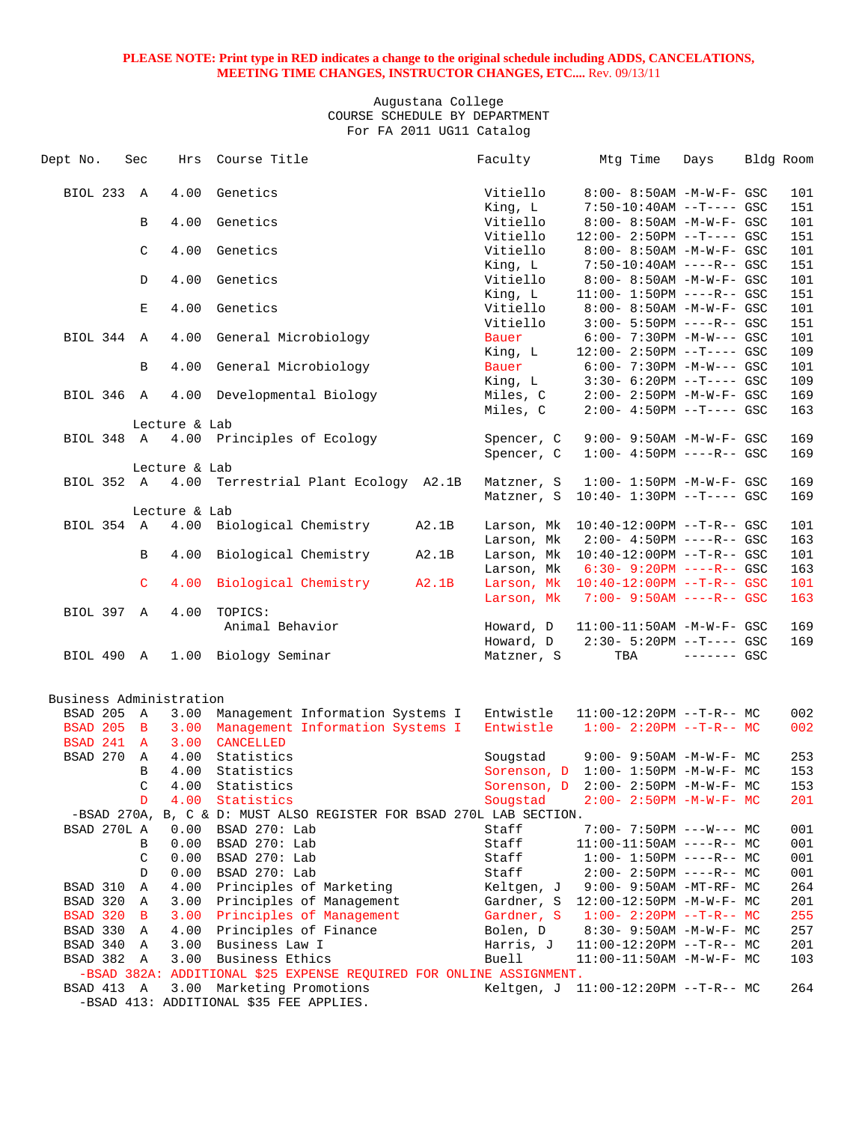### Augustana College COURSE SCHEDULE BY DEPARTMENT For FA 2011 UG11 Catalog

| Genetics<br>BIOL 233 A<br>4.00<br>Vitiello<br>8:00- 8:50AM -M-W-F- GSC<br>101<br>King, L<br>$7:50-10:40AM$ --T---- GSC<br>151<br>4.00<br>Genetics<br>Vitiello<br>B<br>8:00- 8:50AM -M-W-F- GSC<br>101<br>Vitiello<br>$12:00 - 2:50PM -T--- GSC$<br>151<br>101<br>$\mathcal{C}$<br>4.00<br>Genetics<br>Vitiello<br>8:00- 8:50AM -M-W-F- GSC<br>King, L<br>$7:50-10:40AM$ ----R-- GSC<br>151<br>Vitiello<br>4.00<br>Genetics<br>101<br>D<br>8:00- 8:50AM -M-W-F- GSC<br>King, L<br>151<br>$11:00 - 1:50PM$ ----R-- GSC<br>E<br>4.00<br>Genetics<br>Vitiello<br>101<br>8:00- 8:50AM -M-W-F- GSC<br>Vitiello<br>$3:00 - 5:50PM$ ----R-- GSC<br>151<br>BIOL 344 A<br>4.00<br>General Microbiology<br>Bauer<br>$6:00 - 7:30PM -M-W--- GSC$<br>101<br>King, L<br>12:00- 2:50PM --T---- GSC<br>109<br>4.00<br>General Microbiology<br>Bauer<br>$6:00 - 7:30PM -M-W--- GSC$<br>101<br>B<br>King, L<br>$3:30-6:20PM -T---GSC$<br>109<br>BIOL 346 A<br>4.00<br>Developmental Biology<br>Miles, C<br>2:00- 2:50PM -M-W-F- GSC<br>169<br>Miles, C<br>$2:00-4:50PM$ --T---- GSC<br>163<br>Lecture & Lab<br>BIOL 348 A<br>4.00 Principles of Ecology<br>9:00- 9:50AM -M-W-F- GSC<br>169<br>Spencer, C<br>Spencer, C<br>$1:00-4:50PM$ ----R-- GSC<br>169<br>Lecture & Lab<br>BIOL 352 A<br>4.00 Terrestrial Plant Ecology A2.1B<br>$1:00 - 1:50PM -M-W-F- GSC$<br>169<br>Matzner, S<br>$10:40 - 1:30PM -T--- GSC$<br>169<br>Matzner, S<br>Lecture & Lab<br>BIOL 354 A<br>4.00 Biological Chemistry<br>A2.1B<br>101<br>Larson, Mk  10:40-12:00PM --T-R-- GSC<br>163<br>Larson, Mk<br>$2:00 - 4:50PM$ ----R-- GSC<br>4.00<br>Biological Chemistry<br>A2.1B<br>Larson, Mk 10:40-12:00PM --T-R-- GSC<br>101<br>B<br>163<br>Larson, Mk<br>6:30- 9:20PM ----R-- GSC<br>$\mathsf{C}$<br>Biological Chemistry<br>A2.1B<br>Larson, Mk  10:40-12:00PM --T-R-- GSC<br>101<br>4.00<br>$7:00 - 9:50AM$ ----R-- GSC<br>163<br>Larson, Mk<br>BIOL 397 A<br>4.00<br>TOPICS:<br>Animal Behavior<br>169<br>Howard, D<br>$11:00-11:50AM$ -M-W-F- GSC<br>Howard, D<br>$2:30 - 5:20PM -T--- GSC$<br>169<br>BIOL 490 A<br>1.00 Biology Seminar<br>Matzner, S<br>TBA<br>$------$ GSC<br>Business Administration<br>3.00 Management Information Systems I<br>BSAD 205 A<br>Entwistle<br>$11:00-12:20PM$ --T-R-- MC<br>002<br><b>BSAD 205 B</b><br>3.00<br>Management Information Systems I<br>Entwistle $1:00-2:20PM -T-R--MC$<br>002<br>BSAD 241 A<br>3.00<br>CANCELLED<br>BSAD 270<br>4.00<br>Statistics<br>253<br>A<br>Sougstad<br>$9:00 - 9:50AM - M - W - F - MC$<br>$\mathbf B$<br>4.00<br>Statistics<br>Sorenson, D 1:00- 1:50PM -M-W-F- MC<br>153<br>153<br>$\mathsf{C}$<br>Sorenson, D 2:00- 2:50PM -M-W-F- MC<br>4.00 Statistics<br>4.00 Statistics<br>Sougstad $2:00-2:50PM -M-W-F-MC$<br>201<br>D<br>-BSAD 270A, B, C & D: MUST ALSO REGISTER FOR BSAD 270L LAB SECTION.<br>BSAD 270L A<br>001<br>0.00<br>BSAD 270: Lab<br>Staff<br>$7:00 - 7:50PM$ ---W--- MC<br>0.00<br>BSAD 270: Lab<br>Staff<br>001<br>В<br>$11:00-11:50AM$ ----R-- MC<br>BSAD 270: Lab<br>C<br>0.00<br>Staff<br>$1:00-1:50PM$ ----R-- MC<br>001<br>BSAD 270: Lab<br>Staff<br>D<br>0.00<br>$2:00-2:50PM$ ----R-- MC<br>001<br>Principles of Marketing<br>264<br>BSAD 310<br>4.00<br>Keltgen, J<br>$9:00 - 9:50AM - MT - RF - MC$<br>Α<br>BSAD 320 A<br>Gardner, S 12:00-12:50PM -M-W-F- MC<br>3.00<br>Principles of Management<br>201<br>255<br>BSAD 320 B<br>3.00 Principles of Management<br>Gardner, S<br>$1:00-2:20PM -T-R--MC$<br>Principles of Finance<br>Bolen, D<br>BSAD 330 A<br>4.00<br>$8:30 - 9:50AM - M - W - F - MC$<br>257<br>Business Law I<br>BSAD 340 A<br>3.00<br>Harris, J<br>$11:00-12:20PM$ --T-R-- MC<br>201<br>Business Ethics<br>Buell<br>BSAD 382 A<br>3.00<br>103<br>$11:00-11:50AM$ -M-W-F- MC<br>-BSAD 382A: ADDITIONAL \$25 EXPENSE REQUIRED FOR ONLINE ASSIGNMENT. | Dept No. | Sec | Hrs | Course Title | Faculty | Mtg Time | Days | Bldg Room |
|-------------------------------------------------------------------------------------------------------------------------------------------------------------------------------------------------------------------------------------------------------------------------------------------------------------------------------------------------------------------------------------------------------------------------------------------------------------------------------------------------------------------------------------------------------------------------------------------------------------------------------------------------------------------------------------------------------------------------------------------------------------------------------------------------------------------------------------------------------------------------------------------------------------------------------------------------------------------------------------------------------------------------------------------------------------------------------------------------------------------------------------------------------------------------------------------------------------------------------------------------------------------------------------------------------------------------------------------------------------------------------------------------------------------------------------------------------------------------------------------------------------------------------------------------------------------------------------------------------------------------------------------------------------------------------------------------------------------------------------------------------------------------------------------------------------------------------------------------------------------------------------------------------------------------------------------------------------------------------------------------------------------------------------------------------------------------------------------------------------------------------------------------------------------------------------------------------------------------------------------------------------------------------------------------------------------------------------------------------------------------------------------------------------------------------------------------------------------------------------------------------------------------------------------------------------------------------------------------------------------------------------------------------------------------------------------------------------------------------------------------------------------------------------------------------------------------------------------------------------------------------------------------------------------------------------------------------------------------------------------------------------------------------------------------------------------------------------------------------------------------------------------------------------------------------------------------------------------------------------------------------------------------------------------------------------------------------------------------------------------------------------------------------------------------------------------------------------------------------------------------------------------------------------------------------------------------------------------------------------------------------------------------------------------------------------------------------------------------------------------------------------------------------------------------------------------------------------------|----------|-----|-----|--------------|---------|----------|------|-----------|
|                                                                                                                                                                                                                                                                                                                                                                                                                                                                                                                                                                                                                                                                                                                                                                                                                                                                                                                                                                                                                                                                                                                                                                                                                                                                                                                                                                                                                                                                                                                                                                                                                                                                                                                                                                                                                                                                                                                                                                                                                                                                                                                                                                                                                                                                                                                                                                                                                                                                                                                                                                                                                                                                                                                                                                                                                                                                                                                                                                                                                                                                                                                                                                                                                                                                                                                                                                                                                                                                                                                                                                                                                                                                                                                                                                                                                                           |          |     |     |              |         |          |      |           |
|                                                                                                                                                                                                                                                                                                                                                                                                                                                                                                                                                                                                                                                                                                                                                                                                                                                                                                                                                                                                                                                                                                                                                                                                                                                                                                                                                                                                                                                                                                                                                                                                                                                                                                                                                                                                                                                                                                                                                                                                                                                                                                                                                                                                                                                                                                                                                                                                                                                                                                                                                                                                                                                                                                                                                                                                                                                                                                                                                                                                                                                                                                                                                                                                                                                                                                                                                                                                                                                                                                                                                                                                                                                                                                                                                                                                                                           |          |     |     |              |         |          |      |           |
|                                                                                                                                                                                                                                                                                                                                                                                                                                                                                                                                                                                                                                                                                                                                                                                                                                                                                                                                                                                                                                                                                                                                                                                                                                                                                                                                                                                                                                                                                                                                                                                                                                                                                                                                                                                                                                                                                                                                                                                                                                                                                                                                                                                                                                                                                                                                                                                                                                                                                                                                                                                                                                                                                                                                                                                                                                                                                                                                                                                                                                                                                                                                                                                                                                                                                                                                                                                                                                                                                                                                                                                                                                                                                                                                                                                                                                           |          |     |     |              |         |          |      |           |
|                                                                                                                                                                                                                                                                                                                                                                                                                                                                                                                                                                                                                                                                                                                                                                                                                                                                                                                                                                                                                                                                                                                                                                                                                                                                                                                                                                                                                                                                                                                                                                                                                                                                                                                                                                                                                                                                                                                                                                                                                                                                                                                                                                                                                                                                                                                                                                                                                                                                                                                                                                                                                                                                                                                                                                                                                                                                                                                                                                                                                                                                                                                                                                                                                                                                                                                                                                                                                                                                                                                                                                                                                                                                                                                                                                                                                                           |          |     |     |              |         |          |      |           |
|                                                                                                                                                                                                                                                                                                                                                                                                                                                                                                                                                                                                                                                                                                                                                                                                                                                                                                                                                                                                                                                                                                                                                                                                                                                                                                                                                                                                                                                                                                                                                                                                                                                                                                                                                                                                                                                                                                                                                                                                                                                                                                                                                                                                                                                                                                                                                                                                                                                                                                                                                                                                                                                                                                                                                                                                                                                                                                                                                                                                                                                                                                                                                                                                                                                                                                                                                                                                                                                                                                                                                                                                                                                                                                                                                                                                                                           |          |     |     |              |         |          |      |           |
|                                                                                                                                                                                                                                                                                                                                                                                                                                                                                                                                                                                                                                                                                                                                                                                                                                                                                                                                                                                                                                                                                                                                                                                                                                                                                                                                                                                                                                                                                                                                                                                                                                                                                                                                                                                                                                                                                                                                                                                                                                                                                                                                                                                                                                                                                                                                                                                                                                                                                                                                                                                                                                                                                                                                                                                                                                                                                                                                                                                                                                                                                                                                                                                                                                                                                                                                                                                                                                                                                                                                                                                                                                                                                                                                                                                                                                           |          |     |     |              |         |          |      |           |
|                                                                                                                                                                                                                                                                                                                                                                                                                                                                                                                                                                                                                                                                                                                                                                                                                                                                                                                                                                                                                                                                                                                                                                                                                                                                                                                                                                                                                                                                                                                                                                                                                                                                                                                                                                                                                                                                                                                                                                                                                                                                                                                                                                                                                                                                                                                                                                                                                                                                                                                                                                                                                                                                                                                                                                                                                                                                                                                                                                                                                                                                                                                                                                                                                                                                                                                                                                                                                                                                                                                                                                                                                                                                                                                                                                                                                                           |          |     |     |              |         |          |      |           |
|                                                                                                                                                                                                                                                                                                                                                                                                                                                                                                                                                                                                                                                                                                                                                                                                                                                                                                                                                                                                                                                                                                                                                                                                                                                                                                                                                                                                                                                                                                                                                                                                                                                                                                                                                                                                                                                                                                                                                                                                                                                                                                                                                                                                                                                                                                                                                                                                                                                                                                                                                                                                                                                                                                                                                                                                                                                                                                                                                                                                                                                                                                                                                                                                                                                                                                                                                                                                                                                                                                                                                                                                                                                                                                                                                                                                                                           |          |     |     |              |         |          |      |           |
|                                                                                                                                                                                                                                                                                                                                                                                                                                                                                                                                                                                                                                                                                                                                                                                                                                                                                                                                                                                                                                                                                                                                                                                                                                                                                                                                                                                                                                                                                                                                                                                                                                                                                                                                                                                                                                                                                                                                                                                                                                                                                                                                                                                                                                                                                                                                                                                                                                                                                                                                                                                                                                                                                                                                                                                                                                                                                                                                                                                                                                                                                                                                                                                                                                                                                                                                                                                                                                                                                                                                                                                                                                                                                                                                                                                                                                           |          |     |     |              |         |          |      |           |
|                                                                                                                                                                                                                                                                                                                                                                                                                                                                                                                                                                                                                                                                                                                                                                                                                                                                                                                                                                                                                                                                                                                                                                                                                                                                                                                                                                                                                                                                                                                                                                                                                                                                                                                                                                                                                                                                                                                                                                                                                                                                                                                                                                                                                                                                                                                                                                                                                                                                                                                                                                                                                                                                                                                                                                                                                                                                                                                                                                                                                                                                                                                                                                                                                                                                                                                                                                                                                                                                                                                                                                                                                                                                                                                                                                                                                                           |          |     |     |              |         |          |      |           |
|                                                                                                                                                                                                                                                                                                                                                                                                                                                                                                                                                                                                                                                                                                                                                                                                                                                                                                                                                                                                                                                                                                                                                                                                                                                                                                                                                                                                                                                                                                                                                                                                                                                                                                                                                                                                                                                                                                                                                                                                                                                                                                                                                                                                                                                                                                                                                                                                                                                                                                                                                                                                                                                                                                                                                                                                                                                                                                                                                                                                                                                                                                                                                                                                                                                                                                                                                                                                                                                                                                                                                                                                                                                                                                                                                                                                                                           |          |     |     |              |         |          |      |           |
|                                                                                                                                                                                                                                                                                                                                                                                                                                                                                                                                                                                                                                                                                                                                                                                                                                                                                                                                                                                                                                                                                                                                                                                                                                                                                                                                                                                                                                                                                                                                                                                                                                                                                                                                                                                                                                                                                                                                                                                                                                                                                                                                                                                                                                                                                                                                                                                                                                                                                                                                                                                                                                                                                                                                                                                                                                                                                                                                                                                                                                                                                                                                                                                                                                                                                                                                                                                                                                                                                                                                                                                                                                                                                                                                                                                                                                           |          |     |     |              |         |          |      |           |
|                                                                                                                                                                                                                                                                                                                                                                                                                                                                                                                                                                                                                                                                                                                                                                                                                                                                                                                                                                                                                                                                                                                                                                                                                                                                                                                                                                                                                                                                                                                                                                                                                                                                                                                                                                                                                                                                                                                                                                                                                                                                                                                                                                                                                                                                                                                                                                                                                                                                                                                                                                                                                                                                                                                                                                                                                                                                                                                                                                                                                                                                                                                                                                                                                                                                                                                                                                                                                                                                                                                                                                                                                                                                                                                                                                                                                                           |          |     |     |              |         |          |      |           |
|                                                                                                                                                                                                                                                                                                                                                                                                                                                                                                                                                                                                                                                                                                                                                                                                                                                                                                                                                                                                                                                                                                                                                                                                                                                                                                                                                                                                                                                                                                                                                                                                                                                                                                                                                                                                                                                                                                                                                                                                                                                                                                                                                                                                                                                                                                                                                                                                                                                                                                                                                                                                                                                                                                                                                                                                                                                                                                                                                                                                                                                                                                                                                                                                                                                                                                                                                                                                                                                                                                                                                                                                                                                                                                                                                                                                                                           |          |     |     |              |         |          |      |           |
|                                                                                                                                                                                                                                                                                                                                                                                                                                                                                                                                                                                                                                                                                                                                                                                                                                                                                                                                                                                                                                                                                                                                                                                                                                                                                                                                                                                                                                                                                                                                                                                                                                                                                                                                                                                                                                                                                                                                                                                                                                                                                                                                                                                                                                                                                                                                                                                                                                                                                                                                                                                                                                                                                                                                                                                                                                                                                                                                                                                                                                                                                                                                                                                                                                                                                                                                                                                                                                                                                                                                                                                                                                                                                                                                                                                                                                           |          |     |     |              |         |          |      |           |
|                                                                                                                                                                                                                                                                                                                                                                                                                                                                                                                                                                                                                                                                                                                                                                                                                                                                                                                                                                                                                                                                                                                                                                                                                                                                                                                                                                                                                                                                                                                                                                                                                                                                                                                                                                                                                                                                                                                                                                                                                                                                                                                                                                                                                                                                                                                                                                                                                                                                                                                                                                                                                                                                                                                                                                                                                                                                                                                                                                                                                                                                                                                                                                                                                                                                                                                                                                                                                                                                                                                                                                                                                                                                                                                                                                                                                                           |          |     |     |              |         |          |      |           |
|                                                                                                                                                                                                                                                                                                                                                                                                                                                                                                                                                                                                                                                                                                                                                                                                                                                                                                                                                                                                                                                                                                                                                                                                                                                                                                                                                                                                                                                                                                                                                                                                                                                                                                                                                                                                                                                                                                                                                                                                                                                                                                                                                                                                                                                                                                                                                                                                                                                                                                                                                                                                                                                                                                                                                                                                                                                                                                                                                                                                                                                                                                                                                                                                                                                                                                                                                                                                                                                                                                                                                                                                                                                                                                                                                                                                                                           |          |     |     |              |         |          |      |           |
|                                                                                                                                                                                                                                                                                                                                                                                                                                                                                                                                                                                                                                                                                                                                                                                                                                                                                                                                                                                                                                                                                                                                                                                                                                                                                                                                                                                                                                                                                                                                                                                                                                                                                                                                                                                                                                                                                                                                                                                                                                                                                                                                                                                                                                                                                                                                                                                                                                                                                                                                                                                                                                                                                                                                                                                                                                                                                                                                                                                                                                                                                                                                                                                                                                                                                                                                                                                                                                                                                                                                                                                                                                                                                                                                                                                                                                           |          |     |     |              |         |          |      |           |
|                                                                                                                                                                                                                                                                                                                                                                                                                                                                                                                                                                                                                                                                                                                                                                                                                                                                                                                                                                                                                                                                                                                                                                                                                                                                                                                                                                                                                                                                                                                                                                                                                                                                                                                                                                                                                                                                                                                                                                                                                                                                                                                                                                                                                                                                                                                                                                                                                                                                                                                                                                                                                                                                                                                                                                                                                                                                                                                                                                                                                                                                                                                                                                                                                                                                                                                                                                                                                                                                                                                                                                                                                                                                                                                                                                                                                                           |          |     |     |              |         |          |      |           |
|                                                                                                                                                                                                                                                                                                                                                                                                                                                                                                                                                                                                                                                                                                                                                                                                                                                                                                                                                                                                                                                                                                                                                                                                                                                                                                                                                                                                                                                                                                                                                                                                                                                                                                                                                                                                                                                                                                                                                                                                                                                                                                                                                                                                                                                                                                                                                                                                                                                                                                                                                                                                                                                                                                                                                                                                                                                                                                                                                                                                                                                                                                                                                                                                                                                                                                                                                                                                                                                                                                                                                                                                                                                                                                                                                                                                                                           |          |     |     |              |         |          |      |           |
|                                                                                                                                                                                                                                                                                                                                                                                                                                                                                                                                                                                                                                                                                                                                                                                                                                                                                                                                                                                                                                                                                                                                                                                                                                                                                                                                                                                                                                                                                                                                                                                                                                                                                                                                                                                                                                                                                                                                                                                                                                                                                                                                                                                                                                                                                                                                                                                                                                                                                                                                                                                                                                                                                                                                                                                                                                                                                                                                                                                                                                                                                                                                                                                                                                                                                                                                                                                                                                                                                                                                                                                                                                                                                                                                                                                                                                           |          |     |     |              |         |          |      |           |
|                                                                                                                                                                                                                                                                                                                                                                                                                                                                                                                                                                                                                                                                                                                                                                                                                                                                                                                                                                                                                                                                                                                                                                                                                                                                                                                                                                                                                                                                                                                                                                                                                                                                                                                                                                                                                                                                                                                                                                                                                                                                                                                                                                                                                                                                                                                                                                                                                                                                                                                                                                                                                                                                                                                                                                                                                                                                                                                                                                                                                                                                                                                                                                                                                                                                                                                                                                                                                                                                                                                                                                                                                                                                                                                                                                                                                                           |          |     |     |              |         |          |      |           |
|                                                                                                                                                                                                                                                                                                                                                                                                                                                                                                                                                                                                                                                                                                                                                                                                                                                                                                                                                                                                                                                                                                                                                                                                                                                                                                                                                                                                                                                                                                                                                                                                                                                                                                                                                                                                                                                                                                                                                                                                                                                                                                                                                                                                                                                                                                                                                                                                                                                                                                                                                                                                                                                                                                                                                                                                                                                                                                                                                                                                                                                                                                                                                                                                                                                                                                                                                                                                                                                                                                                                                                                                                                                                                                                                                                                                                                           |          |     |     |              |         |          |      |           |
|                                                                                                                                                                                                                                                                                                                                                                                                                                                                                                                                                                                                                                                                                                                                                                                                                                                                                                                                                                                                                                                                                                                                                                                                                                                                                                                                                                                                                                                                                                                                                                                                                                                                                                                                                                                                                                                                                                                                                                                                                                                                                                                                                                                                                                                                                                                                                                                                                                                                                                                                                                                                                                                                                                                                                                                                                                                                                                                                                                                                                                                                                                                                                                                                                                                                                                                                                                                                                                                                                                                                                                                                                                                                                                                                                                                                                                           |          |     |     |              |         |          |      |           |
|                                                                                                                                                                                                                                                                                                                                                                                                                                                                                                                                                                                                                                                                                                                                                                                                                                                                                                                                                                                                                                                                                                                                                                                                                                                                                                                                                                                                                                                                                                                                                                                                                                                                                                                                                                                                                                                                                                                                                                                                                                                                                                                                                                                                                                                                                                                                                                                                                                                                                                                                                                                                                                                                                                                                                                                                                                                                                                                                                                                                                                                                                                                                                                                                                                                                                                                                                                                                                                                                                                                                                                                                                                                                                                                                                                                                                                           |          |     |     |              |         |          |      |           |
|                                                                                                                                                                                                                                                                                                                                                                                                                                                                                                                                                                                                                                                                                                                                                                                                                                                                                                                                                                                                                                                                                                                                                                                                                                                                                                                                                                                                                                                                                                                                                                                                                                                                                                                                                                                                                                                                                                                                                                                                                                                                                                                                                                                                                                                                                                                                                                                                                                                                                                                                                                                                                                                                                                                                                                                                                                                                                                                                                                                                                                                                                                                                                                                                                                                                                                                                                                                                                                                                                                                                                                                                                                                                                                                                                                                                                                           |          |     |     |              |         |          |      |           |
|                                                                                                                                                                                                                                                                                                                                                                                                                                                                                                                                                                                                                                                                                                                                                                                                                                                                                                                                                                                                                                                                                                                                                                                                                                                                                                                                                                                                                                                                                                                                                                                                                                                                                                                                                                                                                                                                                                                                                                                                                                                                                                                                                                                                                                                                                                                                                                                                                                                                                                                                                                                                                                                                                                                                                                                                                                                                                                                                                                                                                                                                                                                                                                                                                                                                                                                                                                                                                                                                                                                                                                                                                                                                                                                                                                                                                                           |          |     |     |              |         |          |      |           |
|                                                                                                                                                                                                                                                                                                                                                                                                                                                                                                                                                                                                                                                                                                                                                                                                                                                                                                                                                                                                                                                                                                                                                                                                                                                                                                                                                                                                                                                                                                                                                                                                                                                                                                                                                                                                                                                                                                                                                                                                                                                                                                                                                                                                                                                                                                                                                                                                                                                                                                                                                                                                                                                                                                                                                                                                                                                                                                                                                                                                                                                                                                                                                                                                                                                                                                                                                                                                                                                                                                                                                                                                                                                                                                                                                                                                                                           |          |     |     |              |         |          |      |           |
|                                                                                                                                                                                                                                                                                                                                                                                                                                                                                                                                                                                                                                                                                                                                                                                                                                                                                                                                                                                                                                                                                                                                                                                                                                                                                                                                                                                                                                                                                                                                                                                                                                                                                                                                                                                                                                                                                                                                                                                                                                                                                                                                                                                                                                                                                                                                                                                                                                                                                                                                                                                                                                                                                                                                                                                                                                                                                                                                                                                                                                                                                                                                                                                                                                                                                                                                                                                                                                                                                                                                                                                                                                                                                                                                                                                                                                           |          |     |     |              |         |          |      |           |
|                                                                                                                                                                                                                                                                                                                                                                                                                                                                                                                                                                                                                                                                                                                                                                                                                                                                                                                                                                                                                                                                                                                                                                                                                                                                                                                                                                                                                                                                                                                                                                                                                                                                                                                                                                                                                                                                                                                                                                                                                                                                                                                                                                                                                                                                                                                                                                                                                                                                                                                                                                                                                                                                                                                                                                                                                                                                                                                                                                                                                                                                                                                                                                                                                                                                                                                                                                                                                                                                                                                                                                                                                                                                                                                                                                                                                                           |          |     |     |              |         |          |      |           |
|                                                                                                                                                                                                                                                                                                                                                                                                                                                                                                                                                                                                                                                                                                                                                                                                                                                                                                                                                                                                                                                                                                                                                                                                                                                                                                                                                                                                                                                                                                                                                                                                                                                                                                                                                                                                                                                                                                                                                                                                                                                                                                                                                                                                                                                                                                                                                                                                                                                                                                                                                                                                                                                                                                                                                                                                                                                                                                                                                                                                                                                                                                                                                                                                                                                                                                                                                                                                                                                                                                                                                                                                                                                                                                                                                                                                                                           |          |     |     |              |         |          |      |           |
|                                                                                                                                                                                                                                                                                                                                                                                                                                                                                                                                                                                                                                                                                                                                                                                                                                                                                                                                                                                                                                                                                                                                                                                                                                                                                                                                                                                                                                                                                                                                                                                                                                                                                                                                                                                                                                                                                                                                                                                                                                                                                                                                                                                                                                                                                                                                                                                                                                                                                                                                                                                                                                                                                                                                                                                                                                                                                                                                                                                                                                                                                                                                                                                                                                                                                                                                                                                                                                                                                                                                                                                                                                                                                                                                                                                                                                           |          |     |     |              |         |          |      |           |
|                                                                                                                                                                                                                                                                                                                                                                                                                                                                                                                                                                                                                                                                                                                                                                                                                                                                                                                                                                                                                                                                                                                                                                                                                                                                                                                                                                                                                                                                                                                                                                                                                                                                                                                                                                                                                                                                                                                                                                                                                                                                                                                                                                                                                                                                                                                                                                                                                                                                                                                                                                                                                                                                                                                                                                                                                                                                                                                                                                                                                                                                                                                                                                                                                                                                                                                                                                                                                                                                                                                                                                                                                                                                                                                                                                                                                                           |          |     |     |              |         |          |      |           |
|                                                                                                                                                                                                                                                                                                                                                                                                                                                                                                                                                                                                                                                                                                                                                                                                                                                                                                                                                                                                                                                                                                                                                                                                                                                                                                                                                                                                                                                                                                                                                                                                                                                                                                                                                                                                                                                                                                                                                                                                                                                                                                                                                                                                                                                                                                                                                                                                                                                                                                                                                                                                                                                                                                                                                                                                                                                                                                                                                                                                                                                                                                                                                                                                                                                                                                                                                                                                                                                                                                                                                                                                                                                                                                                                                                                                                                           |          |     |     |              |         |          |      |           |
|                                                                                                                                                                                                                                                                                                                                                                                                                                                                                                                                                                                                                                                                                                                                                                                                                                                                                                                                                                                                                                                                                                                                                                                                                                                                                                                                                                                                                                                                                                                                                                                                                                                                                                                                                                                                                                                                                                                                                                                                                                                                                                                                                                                                                                                                                                                                                                                                                                                                                                                                                                                                                                                                                                                                                                                                                                                                                                                                                                                                                                                                                                                                                                                                                                                                                                                                                                                                                                                                                                                                                                                                                                                                                                                                                                                                                                           |          |     |     |              |         |          |      |           |
|                                                                                                                                                                                                                                                                                                                                                                                                                                                                                                                                                                                                                                                                                                                                                                                                                                                                                                                                                                                                                                                                                                                                                                                                                                                                                                                                                                                                                                                                                                                                                                                                                                                                                                                                                                                                                                                                                                                                                                                                                                                                                                                                                                                                                                                                                                                                                                                                                                                                                                                                                                                                                                                                                                                                                                                                                                                                                                                                                                                                                                                                                                                                                                                                                                                                                                                                                                                                                                                                                                                                                                                                                                                                                                                                                                                                                                           |          |     |     |              |         |          |      |           |
|                                                                                                                                                                                                                                                                                                                                                                                                                                                                                                                                                                                                                                                                                                                                                                                                                                                                                                                                                                                                                                                                                                                                                                                                                                                                                                                                                                                                                                                                                                                                                                                                                                                                                                                                                                                                                                                                                                                                                                                                                                                                                                                                                                                                                                                                                                                                                                                                                                                                                                                                                                                                                                                                                                                                                                                                                                                                                                                                                                                                                                                                                                                                                                                                                                                                                                                                                                                                                                                                                                                                                                                                                                                                                                                                                                                                                                           |          |     |     |              |         |          |      |           |
|                                                                                                                                                                                                                                                                                                                                                                                                                                                                                                                                                                                                                                                                                                                                                                                                                                                                                                                                                                                                                                                                                                                                                                                                                                                                                                                                                                                                                                                                                                                                                                                                                                                                                                                                                                                                                                                                                                                                                                                                                                                                                                                                                                                                                                                                                                                                                                                                                                                                                                                                                                                                                                                                                                                                                                                                                                                                                                                                                                                                                                                                                                                                                                                                                                                                                                                                                                                                                                                                                                                                                                                                                                                                                                                                                                                                                                           |          |     |     |              |         |          |      |           |
|                                                                                                                                                                                                                                                                                                                                                                                                                                                                                                                                                                                                                                                                                                                                                                                                                                                                                                                                                                                                                                                                                                                                                                                                                                                                                                                                                                                                                                                                                                                                                                                                                                                                                                                                                                                                                                                                                                                                                                                                                                                                                                                                                                                                                                                                                                                                                                                                                                                                                                                                                                                                                                                                                                                                                                                                                                                                                                                                                                                                                                                                                                                                                                                                                                                                                                                                                                                                                                                                                                                                                                                                                                                                                                                                                                                                                                           |          |     |     |              |         |          |      |           |
|                                                                                                                                                                                                                                                                                                                                                                                                                                                                                                                                                                                                                                                                                                                                                                                                                                                                                                                                                                                                                                                                                                                                                                                                                                                                                                                                                                                                                                                                                                                                                                                                                                                                                                                                                                                                                                                                                                                                                                                                                                                                                                                                                                                                                                                                                                                                                                                                                                                                                                                                                                                                                                                                                                                                                                                                                                                                                                                                                                                                                                                                                                                                                                                                                                                                                                                                                                                                                                                                                                                                                                                                                                                                                                                                                                                                                                           |          |     |     |              |         |          |      |           |
|                                                                                                                                                                                                                                                                                                                                                                                                                                                                                                                                                                                                                                                                                                                                                                                                                                                                                                                                                                                                                                                                                                                                                                                                                                                                                                                                                                                                                                                                                                                                                                                                                                                                                                                                                                                                                                                                                                                                                                                                                                                                                                                                                                                                                                                                                                                                                                                                                                                                                                                                                                                                                                                                                                                                                                                                                                                                                                                                                                                                                                                                                                                                                                                                                                                                                                                                                                                                                                                                                                                                                                                                                                                                                                                                                                                                                                           |          |     |     |              |         |          |      |           |
|                                                                                                                                                                                                                                                                                                                                                                                                                                                                                                                                                                                                                                                                                                                                                                                                                                                                                                                                                                                                                                                                                                                                                                                                                                                                                                                                                                                                                                                                                                                                                                                                                                                                                                                                                                                                                                                                                                                                                                                                                                                                                                                                                                                                                                                                                                                                                                                                                                                                                                                                                                                                                                                                                                                                                                                                                                                                                                                                                                                                                                                                                                                                                                                                                                                                                                                                                                                                                                                                                                                                                                                                                                                                                                                                                                                                                                           |          |     |     |              |         |          |      |           |
|                                                                                                                                                                                                                                                                                                                                                                                                                                                                                                                                                                                                                                                                                                                                                                                                                                                                                                                                                                                                                                                                                                                                                                                                                                                                                                                                                                                                                                                                                                                                                                                                                                                                                                                                                                                                                                                                                                                                                                                                                                                                                                                                                                                                                                                                                                                                                                                                                                                                                                                                                                                                                                                                                                                                                                                                                                                                                                                                                                                                                                                                                                                                                                                                                                                                                                                                                                                                                                                                                                                                                                                                                                                                                                                                                                                                                                           |          |     |     |              |         |          |      |           |
|                                                                                                                                                                                                                                                                                                                                                                                                                                                                                                                                                                                                                                                                                                                                                                                                                                                                                                                                                                                                                                                                                                                                                                                                                                                                                                                                                                                                                                                                                                                                                                                                                                                                                                                                                                                                                                                                                                                                                                                                                                                                                                                                                                                                                                                                                                                                                                                                                                                                                                                                                                                                                                                                                                                                                                                                                                                                                                                                                                                                                                                                                                                                                                                                                                                                                                                                                                                                                                                                                                                                                                                                                                                                                                                                                                                                                                           |          |     |     |              |         |          |      |           |
|                                                                                                                                                                                                                                                                                                                                                                                                                                                                                                                                                                                                                                                                                                                                                                                                                                                                                                                                                                                                                                                                                                                                                                                                                                                                                                                                                                                                                                                                                                                                                                                                                                                                                                                                                                                                                                                                                                                                                                                                                                                                                                                                                                                                                                                                                                                                                                                                                                                                                                                                                                                                                                                                                                                                                                                                                                                                                                                                                                                                                                                                                                                                                                                                                                                                                                                                                                                                                                                                                                                                                                                                                                                                                                                                                                                                                                           |          |     |     |              |         |          |      |           |
|                                                                                                                                                                                                                                                                                                                                                                                                                                                                                                                                                                                                                                                                                                                                                                                                                                                                                                                                                                                                                                                                                                                                                                                                                                                                                                                                                                                                                                                                                                                                                                                                                                                                                                                                                                                                                                                                                                                                                                                                                                                                                                                                                                                                                                                                                                                                                                                                                                                                                                                                                                                                                                                                                                                                                                                                                                                                                                                                                                                                                                                                                                                                                                                                                                                                                                                                                                                                                                                                                                                                                                                                                                                                                                                                                                                                                                           |          |     |     |              |         |          |      |           |
|                                                                                                                                                                                                                                                                                                                                                                                                                                                                                                                                                                                                                                                                                                                                                                                                                                                                                                                                                                                                                                                                                                                                                                                                                                                                                                                                                                                                                                                                                                                                                                                                                                                                                                                                                                                                                                                                                                                                                                                                                                                                                                                                                                                                                                                                                                                                                                                                                                                                                                                                                                                                                                                                                                                                                                                                                                                                                                                                                                                                                                                                                                                                                                                                                                                                                                                                                                                                                                                                                                                                                                                                                                                                                                                                                                                                                                           |          |     |     |              |         |          |      |           |
|                                                                                                                                                                                                                                                                                                                                                                                                                                                                                                                                                                                                                                                                                                                                                                                                                                                                                                                                                                                                                                                                                                                                                                                                                                                                                                                                                                                                                                                                                                                                                                                                                                                                                                                                                                                                                                                                                                                                                                                                                                                                                                                                                                                                                                                                                                                                                                                                                                                                                                                                                                                                                                                                                                                                                                                                                                                                                                                                                                                                                                                                                                                                                                                                                                                                                                                                                                                                                                                                                                                                                                                                                                                                                                                                                                                                                                           |          |     |     |              |         |          |      |           |
|                                                                                                                                                                                                                                                                                                                                                                                                                                                                                                                                                                                                                                                                                                                                                                                                                                                                                                                                                                                                                                                                                                                                                                                                                                                                                                                                                                                                                                                                                                                                                                                                                                                                                                                                                                                                                                                                                                                                                                                                                                                                                                                                                                                                                                                                                                                                                                                                                                                                                                                                                                                                                                                                                                                                                                                                                                                                                                                                                                                                                                                                                                                                                                                                                                                                                                                                                                                                                                                                                                                                                                                                                                                                                                                                                                                                                                           |          |     |     |              |         |          |      |           |
|                                                                                                                                                                                                                                                                                                                                                                                                                                                                                                                                                                                                                                                                                                                                                                                                                                                                                                                                                                                                                                                                                                                                                                                                                                                                                                                                                                                                                                                                                                                                                                                                                                                                                                                                                                                                                                                                                                                                                                                                                                                                                                                                                                                                                                                                                                                                                                                                                                                                                                                                                                                                                                                                                                                                                                                                                                                                                                                                                                                                                                                                                                                                                                                                                                                                                                                                                                                                                                                                                                                                                                                                                                                                                                                                                                                                                                           |          |     |     |              |         |          |      |           |
|                                                                                                                                                                                                                                                                                                                                                                                                                                                                                                                                                                                                                                                                                                                                                                                                                                                                                                                                                                                                                                                                                                                                                                                                                                                                                                                                                                                                                                                                                                                                                                                                                                                                                                                                                                                                                                                                                                                                                                                                                                                                                                                                                                                                                                                                                                                                                                                                                                                                                                                                                                                                                                                                                                                                                                                                                                                                                                                                                                                                                                                                                                                                                                                                                                                                                                                                                                                                                                                                                                                                                                                                                                                                                                                                                                                                                                           |          |     |     |              |         |          |      |           |
|                                                                                                                                                                                                                                                                                                                                                                                                                                                                                                                                                                                                                                                                                                                                                                                                                                                                                                                                                                                                                                                                                                                                                                                                                                                                                                                                                                                                                                                                                                                                                                                                                                                                                                                                                                                                                                                                                                                                                                                                                                                                                                                                                                                                                                                                                                                                                                                                                                                                                                                                                                                                                                                                                                                                                                                                                                                                                                                                                                                                                                                                                                                                                                                                                                                                                                                                                                                                                                                                                                                                                                                                                                                                                                                                                                                                                                           |          |     |     |              |         |          |      |           |
|                                                                                                                                                                                                                                                                                                                                                                                                                                                                                                                                                                                                                                                                                                                                                                                                                                                                                                                                                                                                                                                                                                                                                                                                                                                                                                                                                                                                                                                                                                                                                                                                                                                                                                                                                                                                                                                                                                                                                                                                                                                                                                                                                                                                                                                                                                                                                                                                                                                                                                                                                                                                                                                                                                                                                                                                                                                                                                                                                                                                                                                                                                                                                                                                                                                                                                                                                                                                                                                                                                                                                                                                                                                                                                                                                                                                                                           |          |     |     |              |         |          |      |           |
|                                                                                                                                                                                                                                                                                                                                                                                                                                                                                                                                                                                                                                                                                                                                                                                                                                                                                                                                                                                                                                                                                                                                                                                                                                                                                                                                                                                                                                                                                                                                                                                                                                                                                                                                                                                                                                                                                                                                                                                                                                                                                                                                                                                                                                                                                                                                                                                                                                                                                                                                                                                                                                                                                                                                                                                                                                                                                                                                                                                                                                                                                                                                                                                                                                                                                                                                                                                                                                                                                                                                                                                                                                                                                                                                                                                                                                           |          |     |     |              |         |          |      |           |
|                                                                                                                                                                                                                                                                                                                                                                                                                                                                                                                                                                                                                                                                                                                                                                                                                                                                                                                                                                                                                                                                                                                                                                                                                                                                                                                                                                                                                                                                                                                                                                                                                                                                                                                                                                                                                                                                                                                                                                                                                                                                                                                                                                                                                                                                                                                                                                                                                                                                                                                                                                                                                                                                                                                                                                                                                                                                                                                                                                                                                                                                                                                                                                                                                                                                                                                                                                                                                                                                                                                                                                                                                                                                                                                                                                                                                                           |          |     |     |              |         |          |      |           |

BSAD 413 A 3.00 Marketing Promotions 6 Keltgen, J 11:00-12:20PM --T-R-- MC 264 BSAD 413 A 3.00 Marketing Promotions<br>-BSAD 413: ADDITIONAL \$35 FEE APPLIES.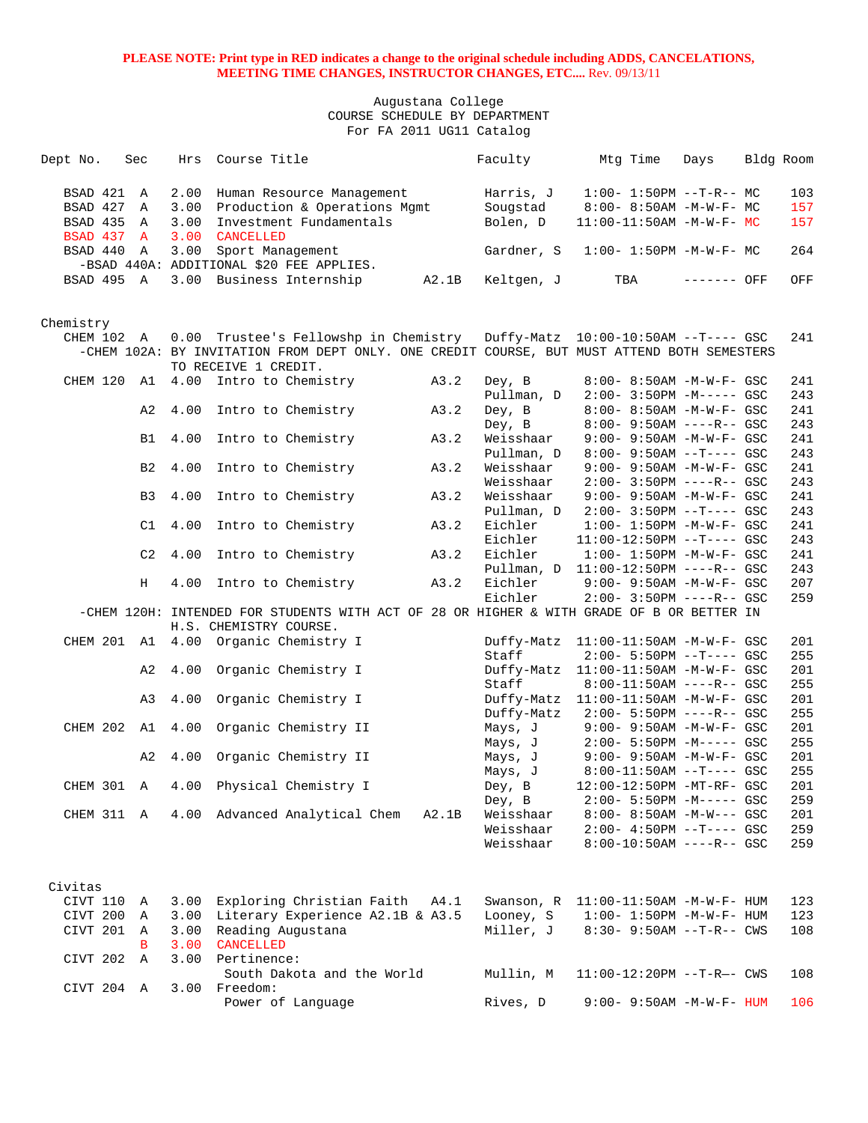| Dept No.    | Sec            | Hrs  | Course Title                                                                                |       | Faculty    | Mtg Time                                                          | Days        | Bldg Room  |
|-------------|----------------|------|---------------------------------------------------------------------------------------------|-------|------------|-------------------------------------------------------------------|-------------|------------|
|             |                |      |                                                                                             |       |            |                                                                   |             |            |
| BSAD 421 A  |                | 2.00 | Human Resource Management                                                                   |       | Harris, J  | $1:00-1:50PM -T-R--MC$                                            |             | 103        |
| BSAD 427    | Α              | 3.00 | Production & Operations Mgmt                                                                |       | Sougstad   | $8:00-8:50AM -M-W-F-MC$                                           |             | 157        |
| BSAD 435 A  |                | 3.00 | Investment Fundamentals                                                                     |       | Bolen, D   | 11:00-11:50AM -M-W-F- MC                                          |             | 157        |
| BSAD 437 A  |                | 3.00 | CANCELLED                                                                                   |       |            |                                                                   |             |            |
| BSAD 440 A  |                | 3.00 | Sport Management                                                                            |       | Gardner, S | $1:00 - 1:50PM - M - W - F - MC$                                  |             | 264        |
|             |                |      | -BSAD 440A: ADDITIONAL \$20 FEE APPLIES.                                                    |       |            |                                                                   |             |            |
| BSAD 495 A  |                |      | 3.00 Business Internship                                                                    | A2.1B | Keltgen, J | TBA                                                               | ------- OFF | OFF        |
|             |                |      |                                                                                             |       |            |                                                                   |             |            |
|             |                |      |                                                                                             |       |            |                                                                   |             |            |
| Chemistry   |                |      |                                                                                             |       |            |                                                                   |             |            |
| CHEM 102 A  |                |      | 0.00 Trustee's Fellowshp in Chemistry Duffy-Matz 10:00-10:50AM --T---- GSC                  |       |            |                                                                   |             | 241        |
|             |                |      | -CHEM 102A: BY INVITATION FROM DEPT ONLY. ONE CREDIT COURSE, BUT MUST ATTEND BOTH SEMESTERS |       |            |                                                                   |             |            |
|             |                |      | TO RECEIVE 1 CREDIT.                                                                        |       |            |                                                                   |             |            |
| CHEM 120    | A1             |      | 4.00 Intro to Chemistry                                                                     | A3.2  | Dey, B     | $8:00 - 8:50AM - M - W - F - GSC$                                 |             | 241        |
|             |                |      |                                                                                             |       | Pullman, D | $2:00 - 3:50PM -M--- GSC$                                         |             | 243        |
|             | A2             | 4.00 | Intro to Chemistry                                                                          | A3.2  | Dey, B     | 8:00- 8:50AM -M-W-F- GSC                                          |             | 241        |
|             |                |      |                                                                                             |       | Dey, B     | $8:00 - 9:50AM$ ----R-- GSC                                       |             | 243        |
|             | B1             |      | 4.00 Intro to Chemistry                                                                     | A3.2  | Weisshaar  | $9:00 - 9:50AM - M - W - F - GSC$                                 |             | 241        |
|             |                |      |                                                                                             |       | Pullman, D | $8:00 - 9:50AM -T--- GSC$                                         |             | 243        |
|             | B2             | 4.00 | Intro to Chemistry                                                                          | A3.2  | Weisshaar  | 9:00- 9:50AM -M-W-F- GSC                                          |             | 241        |
|             |                |      |                                                                                             |       | Weisshaar  | $2:00 - 3:50PM$ ----R-- GSC                                       |             | 243        |
|             | B <sub>3</sub> | 4.00 | Intro to Chemistry                                                                          | A3.2  | Weisshaar  | $9:00 - 9:50AM - M - W - F - GSC$                                 |             | 241        |
|             |                |      |                                                                                             |       | Pullman, D | $2:00-3:50PM$ --T---- GSC                                         |             | 243        |
|             | C1             | 4.00 | Intro to Chemistry                                                                          | A3.2  | Eichler    | $1:00 - 1:50PM - M - W - F - GSC$                                 |             | 241        |
|             |                |      |                                                                                             |       | Eichler    | $11:00-12:50PM$ --T---- GSC                                       |             | 243        |
|             | C2             | 4.00 | Intro to Chemistry                                                                          | A3.2  | Eichler    | $1:00 - 1:50PM -M-W-F - GSC$                                      |             | 241        |
|             |                |      |                                                                                             |       |            | Pullman, D 11:00-12:50PM ----R-- GSC                              |             | 243        |
|             | Н              | 4.00 | Intro to Chemistry                                                                          | A3.2  | Eichler    | 9:00- 9:50AM -M-W-F- GSC                                          |             | 207        |
|             |                |      |                                                                                             |       | Eichler    | $2:00-3:50PM$ ----R-- GSC                                         |             | 259        |
|             |                |      | -CHEM 120H: INTENDED FOR STUDENTS WITH ACT OF 28 OR HIGHER & WITH GRADE OF B OR BETTER IN   |       |            |                                                                   |             |            |
|             |                |      | H.S. CHEMISTRY COURSE.                                                                      |       |            |                                                                   |             |            |
|             |                |      | CHEM 201 A1 4.00 Organic Chemistry I                                                        |       | Staff      | Duffy-Matz 11:00-11:50AM -M-W-F- GSC<br>$2:00 - 5:50PM -T--- GSC$ |             | 201<br>255 |
|             | A2             |      | 4.00 Organic Chemistry I                                                                    |       |            | Duffy-Matz 11:00-11:50AM -M-W-F- GSC                              |             | 201        |
|             |                |      |                                                                                             |       | Staff      | $8:00-11:50AM$ ----R-- GSC                                        |             | 255        |
|             | A3             | 4.00 | Organic Chemistry I                                                                         |       |            | Duffy-Matz 11:00-11:50AM -M-W-F- GSC                              |             | 201        |
|             |                |      |                                                                                             |       | Duffy-Matz | 2:00- 5:50PM ----R-- GSC                                          |             | 255        |
| CHEM 202 A1 |                | 4.00 | Organic Chemistry II                                                                        |       | Mays, J    | 9:00- 9:50AM -M-W-F- GSC                                          |             | 201        |
|             |                |      |                                                                                             |       | Mays, J    | 2:00- 5:50PM -M----- GSC                                          |             | 255        |
|             | A2             | 4.00 | Organic Chemistry II                                                                        |       | Mays, J    | 9:00- 9:50AM -M-W-F- GSC                                          |             | 201        |
|             |                |      |                                                                                             |       | Mays, J    | $8:00-11:50AM$ --T---- GSC                                        |             | 255        |
| CHEM 301 A  |                |      | 4.00 Physical Chemistry I                                                                   |       | Dey, B     | 12:00-12:50PM -MT-RF- GSC                                         |             | 201        |
|             |                |      |                                                                                             |       | Dey, B     | 2:00- 5:50PM -M----- GSC                                          |             | 259        |
|             |                |      | CHEM 311 A 4.00 Advanced Analytical Chem                                                    | A2.1B | Weisshaar  | $8:00 - 8:50AM - M-W--- GSC$                                      |             | 201        |
|             |                |      |                                                                                             |       | Weisshaar  | $2:00-4:50PM$ --T---- GSC                                         |             | 259        |
|             |                |      |                                                                                             |       | Weisshaar  | $8:00-10:50AM$ ----R-- GSC                                        |             | 259        |
|             |                |      |                                                                                             |       |            |                                                                   |             |            |
|             |                |      |                                                                                             |       |            |                                                                   |             |            |
| Civitas     |                |      |                                                                                             |       |            |                                                                   |             |            |
| CIVT 110    | A              |      | 3.00 Exploring Christian Faith A4.1                                                         |       | Swanson, R | 11:00-11:50AM -M-W-F- HUM                                         |             | 123        |
| CIVT 200 A  |                |      | 3.00 Literary Experience A2.1B & A3.5                                                       |       | Looney, S  | $1:00 - 1:50PM - M - W - F - HUM$                                 |             | 123        |
| CIVT 201    | Α              | 3.00 | Reading Augustana                                                                           |       | Miller, J  | $8:30 - 9:50AM -T-R--CWS$                                         |             | 108        |
|             | B              |      | 3.00 CANCELLED                                                                              |       |            |                                                                   |             |            |
| CIVT 202 A  |                |      | 3.00 Pertinence:                                                                            |       |            |                                                                   |             |            |
|             |                |      | South Dakota and the World                                                                  |       | Mullin, M  | 11:00-12:20PM --T-R-- CWS                                         |             | 108        |
| CIVT 204 A  |                |      | 3.00 Freedom:                                                                               |       |            |                                                                   |             |            |
|             |                |      | Power of Language                                                                           |       | Rives, D   | $9:00 - 9:50AM - M - W - F - HUM$                                 |             | 106        |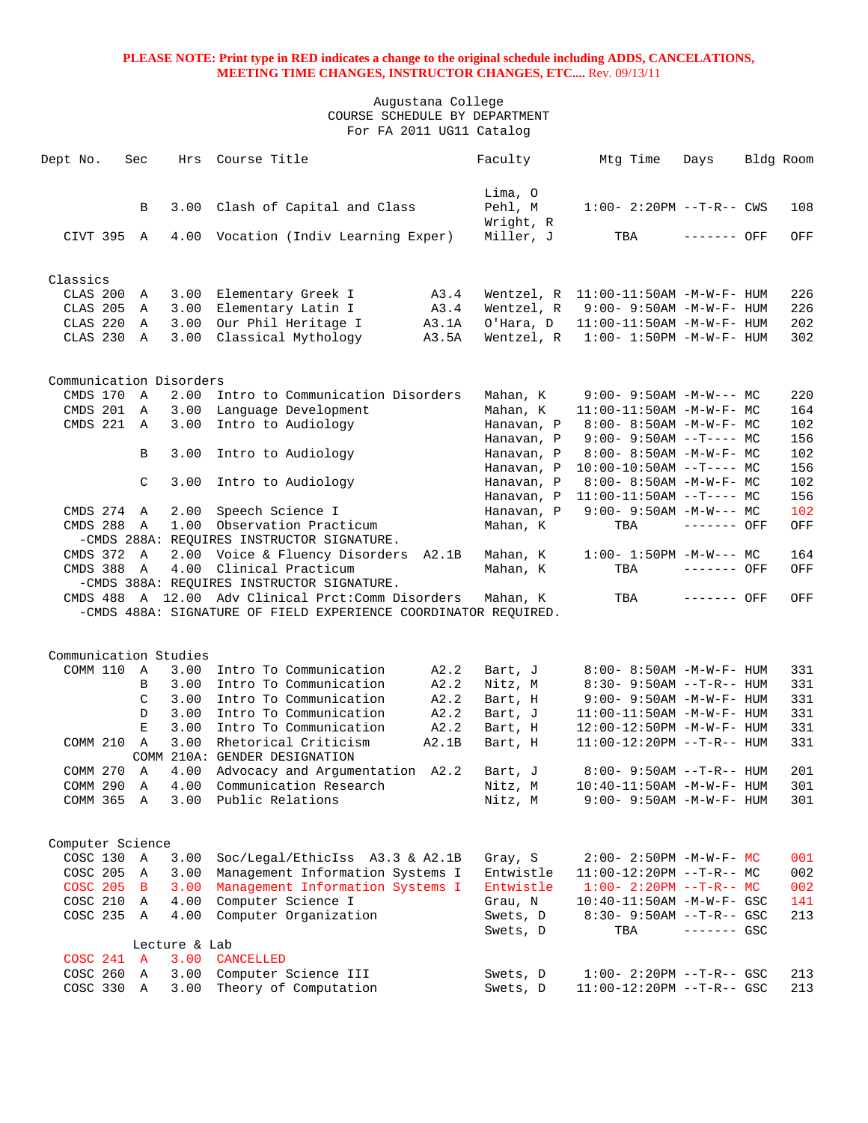| Dept No.                | Sec            | Hrs           | Course Title                                                        |              | Faculty                 | Mtg Time                                                    | Days         | Bldg Room |            |
|-------------------------|----------------|---------------|---------------------------------------------------------------------|--------------|-------------------------|-------------------------------------------------------------|--------------|-----------|------------|
|                         | B              | 3.00          | Clash of Capital and Class                                          |              | Lima, O<br>Pehl, M      | $1:00-2:20PM -T-R--CWS$                                     |              |           | 108        |
| CIVT 395 A              |                |               | 4.00 Vocation (Indiv Learning Exper)                                |              | Wright, R<br>Miller, J  | TBA                                                         | ------- OFF  |           | OFF        |
|                         |                |               |                                                                     |              |                         |                                                             |              |           |            |
| Classics                |                |               |                                                                     |              |                         |                                                             |              |           |            |
| CLAS 200                | Α              | 3.00          | Elementary Greek I<br>Elementary Latin I                            | A3.4<br>A3.4 | Wentzel, R              | 11:00-11:50AM -M-W-F- HUM                                   |              |           | 226<br>226 |
| CLAS 205<br>CLAS 220    | A<br>A         | 3.00<br>3.00  | Our Phil Heritage I                                                 | A3.1A        | Wentzel, R<br>O'Hara, D | $9:00 - 9:50AM - M - W - F - HUM$                           |              |           | 202        |
| CLAS 230 A              |                | 3.00          | Classical Mythology                                                 | A3.5A        | Wentzel, R              | $11:00-11:50AM$ -M-W-F- HUM<br>$1:00 - 1:50PM -M-W-F - HUM$ |              |           | 302        |
|                         |                |               |                                                                     |              |                         |                                                             |              |           |            |
| Communication Disorders |                |               |                                                                     |              |                         |                                                             |              |           |            |
| CMDS 170                | $\overline{A}$ | 2.00          | Intro to Communication Disorders                                    |              | Mahan, K                | $9:00 - 9:50AM - M-W--- MC$                                 |              |           | 220        |
| CMDS 201 A              |                | 3.00          | Language Development                                                |              | Mahan, K                | $11:00-11:50AM$ -M-W-F- MC                                  |              |           | 164        |
| CMDS 221 A              |                | 3.00          | Intro to Audiology                                                  |              | Hanavan, P              | $8:00 - 8:50AM - M - W - F - MC$                            |              |           | 102        |
|                         |                |               |                                                                     |              | Hanavan, P              | $9:00 - 9:50AM -T--- MC$                                    |              |           | 156        |
|                         | B              | 3.00          | Intro to Audiology                                                  |              | Hanavan, P              | $8:00-8:50AM$ -M-W-F- MC                                    |              |           | 102        |
|                         |                |               |                                                                     |              | Hanavan, P              | $10:00-10:50AM$ --T---- MC                                  |              |           | 156        |
|                         | $\mathcal{C}$  | 3.00          | Intro to Audiology                                                  |              | Hanavan, P              | $8:00 - 8:50AM - M - W - F - MC$                            |              |           | 102        |
|                         |                |               |                                                                     |              | Hanavan, P              | $11:00-11:50AM$ --T---- MC                                  |              |           | 156        |
| CMDS 274 A              |                | 2.00          | Speech Science I                                                    |              | Hanavan, P              | $9:00 - 9:50AM - M-W--- MC$                                 |              |           | 102        |
| <b>CMDS 288</b>         | A              | 1.00          | Observation Practicum<br>-CMDS 288A: REQUIRES INSTRUCTOR SIGNATURE. |              | Mahan, K                | TBA                                                         | ------- OFF  |           | OFF        |
| CMDS 372                | A              | 2.00          | Voice & Fluency Disorders A2.1B                                     |              | Mahan, K                | $1:00-1:50PM -M-W--- MC$                                    |              |           | 164        |
| CMDS 388                | A              | 4.00          | Clinical Practicum                                                  |              | Mahan, K                | TBA                                                         | ------- OFF  |           | OFF        |
|                         |                |               | -CMDS 388A: REQUIRES INSTRUCTOR SIGNATURE.                          |              |                         |                                                             |              |           |            |
|                         |                |               | CMDS 488 A 12.00 Adv Clinical Prct:Comm Disorders                   |              | Mahan, K                | TBA                                                         | ------- OFF  |           | OFF        |
|                         |                |               | -CMDS 488A: SIGNATURE OF FIELD EXPERIENCE COORDINATOR REOUIRED.     |              |                         |                                                             |              |           |            |
|                         |                |               |                                                                     |              |                         |                                                             |              |           |            |
| Communication Studies   |                |               |                                                                     |              |                         |                                                             |              |           |            |
| COMM 110                | $\mathbb A$    | 3.00          | Intro To Communication                                              | A2.2         | Bart, J                 | 8:00- 8:50AM -M-W-F- HUM                                    |              |           | 331        |
|                         | B              | 3.00          | Intro To Communication                                              | A2.2         | Nitz, M                 | $8:30 - 9:50AM -T-R-- HUM$                                  |              |           | 331        |
|                         | C              | 3.00          | Intro To Communication                                              | A2.2         | Bart, H                 | $9:00 - 9:50AM - M - W - F - HUM$                           |              |           | 331        |
|                         | D              | 3.00          | Intro To Communication                                              | A2.2         | Bart, J                 | 11:00-11:50AM -M-W-F- HUM                                   |              |           | 331        |
|                         | Ε              | 3.00          | Intro To Communication                                              | A2.2         | Bart, H                 | 12:00-12:50PM -M-W-F- HUM                                   |              |           | 331        |
| COMM 210                | A              | 3.00          | Rhetorical Criticism                                                | A2.1B        | Bart, H                 | $11:00-12:20PM --T-R--HUM$                                  |              |           | 331        |
|                         |                |               | COMM 210A: GENDER DESIGNATION                                       |              |                         |                                                             |              |           |            |
| COMM 270                | A              | 4.00          | Advocacy and Argumentation A2.2                                     |              | Bart, J                 | $8:00 - 9:50AM -T-R-- HUM$                                  |              |           | 201        |
| COMM 290 A              |                | 4.00          | Communication Research                                              |              | Nitz, M                 | 10:40-11:50AM -M-W-F- HUM                                   |              |           | 301        |
| COMM 365 A              |                | 3.00          | Public Relations                                                    |              | Nitz, M                 | $9:00 - 9:50AM - M - W - F - HUM$                           |              |           | 301        |
|                         |                |               |                                                                     |              |                         |                                                             |              |           |            |
| Computer Science        |                |               |                                                                     |              |                         |                                                             |              |           |            |
| COSC 130 A              |                | 3.00          | Soc/Legal/EthicIss A3.3 & A2.1B                                     |              | Gray, S                 | $2:00 - 2:50PM -M-W-F - MC$                                 |              |           | 001        |
| COSC 205 A              |                | 3.00          | Management Information Systems I                                    |              | Entwistle               | $11:00-12:20PM$ --T-R-- MC                                  |              |           | 002        |
| COSC 205 B              |                | 3.00          | Management Information Systems I                                    |              | Entwistle               | $1:00-2:20PM -T-R--MC$                                      |              |           | 002        |
| COSC 210 A              |                | 4.00          | Computer Science I                                                  |              | Grau, N                 | 10:40-11:50AM -M-W-F- GSC                                   |              |           | 141        |
| COSC 235 A              |                | 4.00          | Computer Organization                                               |              | Swets, D                | $8:30 - 9:50AM -T-R--$ GSC                                  |              |           | 213        |
|                         |                |               |                                                                     |              | Swets, D                | TBA                                                         | $------$ GSC |           |            |
|                         |                | Lecture & Lab |                                                                     |              |                         |                                                             |              |           |            |
| COSC 241 A              |                | 3.00          | <b>CANCELLED</b>                                                    |              |                         |                                                             |              |           |            |
| COSC 260                | A              | 3.00          | Computer Science III                                                |              | Swets, D                | $1:00 - 2:20PM -T-R--GSC$                                   |              |           | 213        |
| COSC 330 A              |                | 3.00          | Theory of Computation                                               |              | Swets, D                | 11:00-12:20PM --T-R-- GSC                                   |              |           | 213        |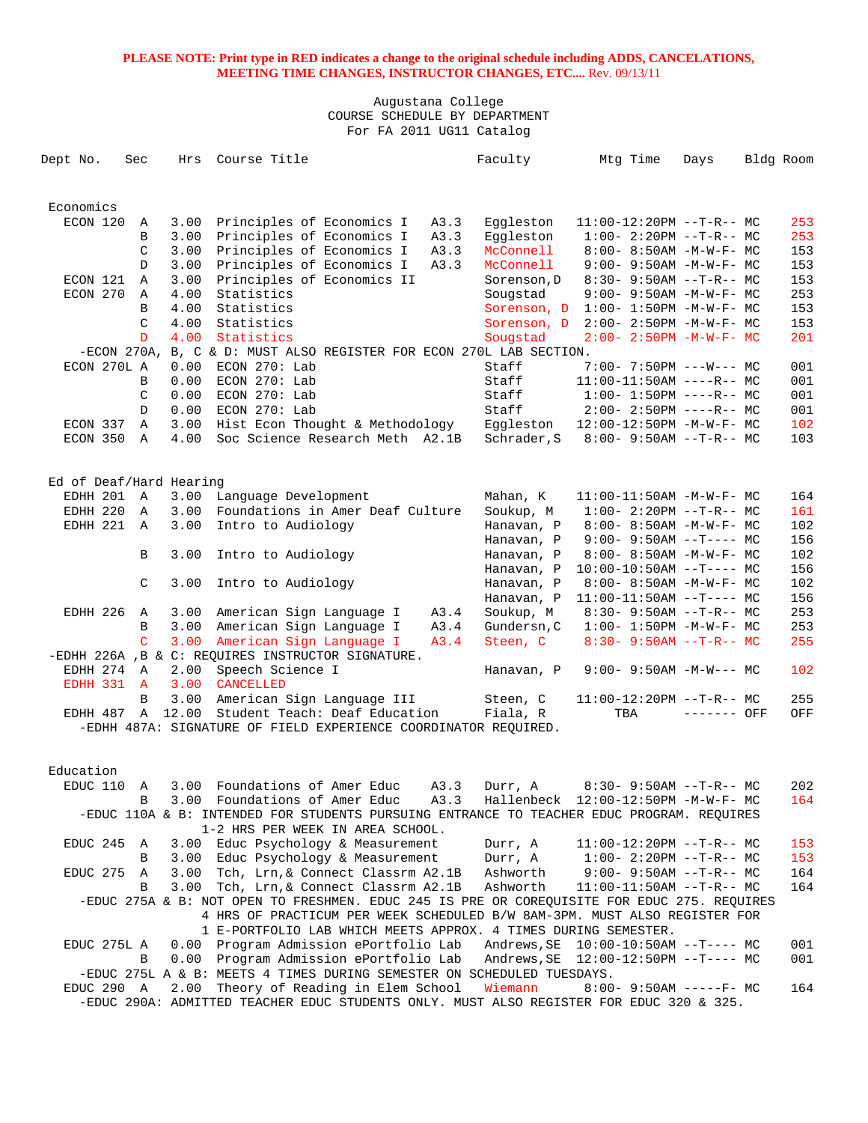Augustana College COURSE SCHEDULE BY DEPARTMENT For FA 2011 UG11 Catalog

| Dept No.                | Sec |               | Hrs   | Course Title                                                                                                                  | Faculty     | Mtg Time                                                      | Days        | Bldg Room |
|-------------------------|-----|---------------|-------|-------------------------------------------------------------------------------------------------------------------------------|-------------|---------------------------------------------------------------|-------------|-----------|
|                         |     |               |       |                                                                                                                               |             |                                                               |             |           |
| Economics<br>ECON 120   |     | Α             | 3.00  | Principles of Economics I<br>A3.3                                                                                             | Eggleston   | $11:00-12:20PM$ --T-R-- MC                                    |             | 253       |
|                         |     | B             | 3.00  | Principles of Economics I<br>A3.3                                                                                             | Eqqleston   | $1:00-2:20PM --T-R--MC$                                       |             | 253       |
|                         |     | $\mathcal{C}$ | 3.00  | Principles of Economics I<br>A3.3                                                                                             | McConnell   | $8:00-8:50AM$ -M-W-F- MC                                      |             | 153       |
|                         |     | D             | 3.00  | A3.3                                                                                                                          | McConnell   |                                                               |             | 153       |
| ECON 121                |     | $\mathbb A$   | 3.00  | Principles of Economics I<br>Principles of Economics II                                                                       |             | $9:00 - 9:50AM - M - W - F - MC$                              |             | 153       |
| ECON 270                |     | Α             | 4.00  | Statistics                                                                                                                    | Sorenson, D | $8:30 - 9:50AM -T-R-- MC$<br>$9:00 - 9:50AM - M - W - F - MC$ |             | 253       |
|                         |     |               |       |                                                                                                                               | Sougstad    |                                                               |             |           |
|                         |     | B             | 4.00  | Statistics                                                                                                                    | Sorenson, D | $1:00 - 1:50PM -M-W-F-MC$                                     |             | 153       |
|                         |     | $\mathcal{C}$ | 4.00  | Statistics                                                                                                                    | Sorenson, D | $2:00 - 2:50PM -M-W-F-MC$                                     |             | 153       |
|                         |     | D             | 4.00  | Statistics                                                                                                                    | Sougstad    | $2:00 - 2:50PM -M-W-F-MC$                                     |             | 201       |
|                         |     |               |       | -ECON 270A, B, C & D: MUST ALSO REGISTER FOR ECON 270L LAB SECTION.                                                           |             |                                                               |             |           |
| ECON 270L A             |     |               | 0.00  | $ECON$ 270: Lab                                                                                                               | Staff       | $7:00 - 7:50PM$ ---W--- MC                                    |             | 001       |
|                         |     | B             | 0.00  | ECON 270: Lab                                                                                                                 | Staff       | $11:00-11:50AM$ ----R-- MC                                    |             | 001       |
|                         |     | C             | 0.00  | ECON 270: Lab                                                                                                                 | Staff       | $1:00 - 1:50PM$ ----R-- MC                                    |             | 001       |
|                         |     | D             | 0.00  | $ECON$ 270: Lab                                                                                                               | Staff       | $2:00-2:50PM$ ----R-- MC                                      |             | 001       |
| ECON 337                |     | Α             | 3.00  | Hist Econ Thought & Methodology                                                                                               | Eggleston   | 12:00-12:50PM -M-W-F- MC                                      |             | 102       |
| ECON 350 A              |     |               | 4.00  | Soc Science Research Meth A2.1B                                                                                               | Schrader, S | $8:00 - 9:50AM -T-R-- MC$                                     |             | 103       |
| Ed of Deaf/Hard Hearing |     |               |       |                                                                                                                               |             |                                                               |             |           |
| EDHH 201                |     | A             | 3.00  | Language Development                                                                                                          | Mahan, K    | $11:00-11:50AM$ -M-W-F- MC                                    |             | 164       |
| EDHH 220                |     | A             | 3.00  | Foundations in Amer Deaf Culture                                                                                              | Soukup, M   | $1:00-2:20PM -T-R--MC$                                        |             | 161       |
| EDHH 221                |     | A             | 3.00  | Intro to Audiology                                                                                                            | Hanavan, P  | $8:00 - 8:50AM - M - W - F - MC$                              |             | 102       |
|                         |     |               |       |                                                                                                                               | Hanavan, P  | $9:00 - 9:50AM -T--- MC$                                      |             | 156       |
|                         |     | B             | 3.00  | Intro to Audiology                                                                                                            | Hanavan, P  | $8:00 - 8:50AM - M - W - F - MC$                              |             | 102       |
|                         |     |               |       |                                                                                                                               | Hanavan, P  | $10:00-10:50AM$ --T---- MC                                    |             | 156       |
|                         |     | C             | 3.00  | Intro to Audiology                                                                                                            | Hanavan, P  | $8:00 - 8:50AM - M - W - F - MC$                              |             | 102       |
|                         |     |               |       |                                                                                                                               | Hanavan, P  | $11:00-11:50AM$ --T---- MC                                    |             | 156       |
| EDHH 226                |     | $\mathbb{A}$  | 3.00  | American Sign Language I<br>A3.4                                                                                              | Soukup, M   | $8:30 - 9:50AM -T-R--MC$                                      |             | 253       |
|                         |     | B             | 3.00  | American Sign Language I<br>A3.4                                                                                              | Gundersn, C | $1:00 - 1:50PM - M - W - F - MC$                              |             | 253       |
|                         |     | C             | 3.00  | American Sign Language I<br>A3.4                                                                                              | Steen, C    | $8:30 - 9:50AM -T-R-- MC$                                     |             | 255       |
|                         |     |               |       | -EDHH 226A , B & C: REQUIRES INSTRUCTOR SIGNATURE.                                                                            |             |                                                               |             |           |
| EDHH 274 A              |     |               | 2.00  |                                                                                                                               |             | $9:00 - 9:50AM -M-W--- MC$                                    |             | 102       |
| EDHH 331 A              |     |               |       | Speech Science I<br><b>CANCELLED</b>                                                                                          | Hanavan, P  |                                                               |             |           |
|                         |     |               | 3.00  |                                                                                                                               |             |                                                               |             |           |
|                         |     | B             | 3.00  | American Sign Language III                                                                                                    | Steen, C    | $11:00-12:20PM -T-R-- MC$                                     |             | 255       |
| EDHH 487                |     | $\mathbb A$   | 12.00 | Student Teach: Deaf Education<br>-EDHH 487A: SIGNATURE OF FIELD EXPERIENCE COORDINATOR REOUIRED.                              | Fiala, R    | TBA                                                           | ------- OFF | OFF       |
|                         |     |               |       |                                                                                                                               |             |                                                               |             |           |
| Education               |     |               |       |                                                                                                                               |             |                                                               |             |           |
| EDUC 110                |     | Α             | 3.00  | Foundations of Amer Educ<br>A3.3                                                                                              | Durr, A     | $8:30-9:50AM --T-R--MC$                                       |             | 202       |
|                         |     | В             |       | 3.00 Foundations of Amer Educ<br>A3.3                                                                                         |             | Hallenbeck 12:00-12:50PM -M-W-F- MC                           |             | 164       |
|                         |     |               |       | -EDUC 110A & B: INTENDED FOR STUDENTS PURSUING ENTRANCE TO TEACHER EDUC PROGRAM. REQUIRES<br>1-2 HRS PER WEEK IN AREA SCHOOL. |             |                                                               |             |           |
| EDUC 245                |     | A             |       | 3.00 Educ Psychology & Measurement                                                                                            | Durr, A     | $11:00-12:20PM$ --T-R-- MC                                    |             | 153       |
|                         |     | В             | 3.00  | Educ Psychology & Measurement                                                                                                 | Durr, A     | $1:00-2:20PM -T-R--MC$                                        |             | 153       |
| EDUC 275                |     | Α             | 3.00  | Tch, Lrn, & Connect Classrm A2.1B                                                                                             | Ashworth    | $9:00 - 9:50AM -T-R-- MC$                                     |             | 164       |
|                         |     | B             | 3.00  | Tch, Lrn, & Connect Classrm A2.1B                                                                                             | Ashworth    | $11:00-11:50AM$ --T-R-- MC                                    |             | 164       |
|                         |     |               |       | -EDUC 275A & B: NOT OPEN TO FRESHMEN. EDUC 245 IS PRE OR COREQUISITE FOR EDUC 275. REQUIRES                                   |             |                                                               |             |           |
|                         |     |               |       | 4 HRS OF PRACTICUM PER WEEK SCHEDULED B/W 8AM-3PM. MUST ALSO REGISTER FOR                                                     |             |                                                               |             |           |
|                         |     |               |       | 1 E-PORTFOLIO LAB WHICH MEETS APPROX. 4 TIMES DURING SEMESTER.                                                                |             |                                                               |             |           |
| EDUC 275L A             |     |               |       | 0.00 Program Admission ePortfolio Lab                                                                                         |             |                                                               |             | 001       |
|                         |     | B             | 0.00  | Program Admission ePortfolio Lab                                                                                              |             |                                                               |             | 001       |
|                         |     |               |       | -EDUC 275L A & B: MEETS 4 TIMES DURING SEMESTER ON SCHEDULED TUESDAYS.                                                        |             |                                                               |             |           |
| EDUC 290 A              |     |               |       | 2.00 Theory of Reading in Elem School                                                                                         | Wiemann     | $8:00-9:50AM$ -----F- MC                                      |             | 164       |

-EDUC 290A: ADMITTED TEACHER EDUC STUDENTS ONLY. MUST ALSO REGISTER FOR EDUC 320 & 325.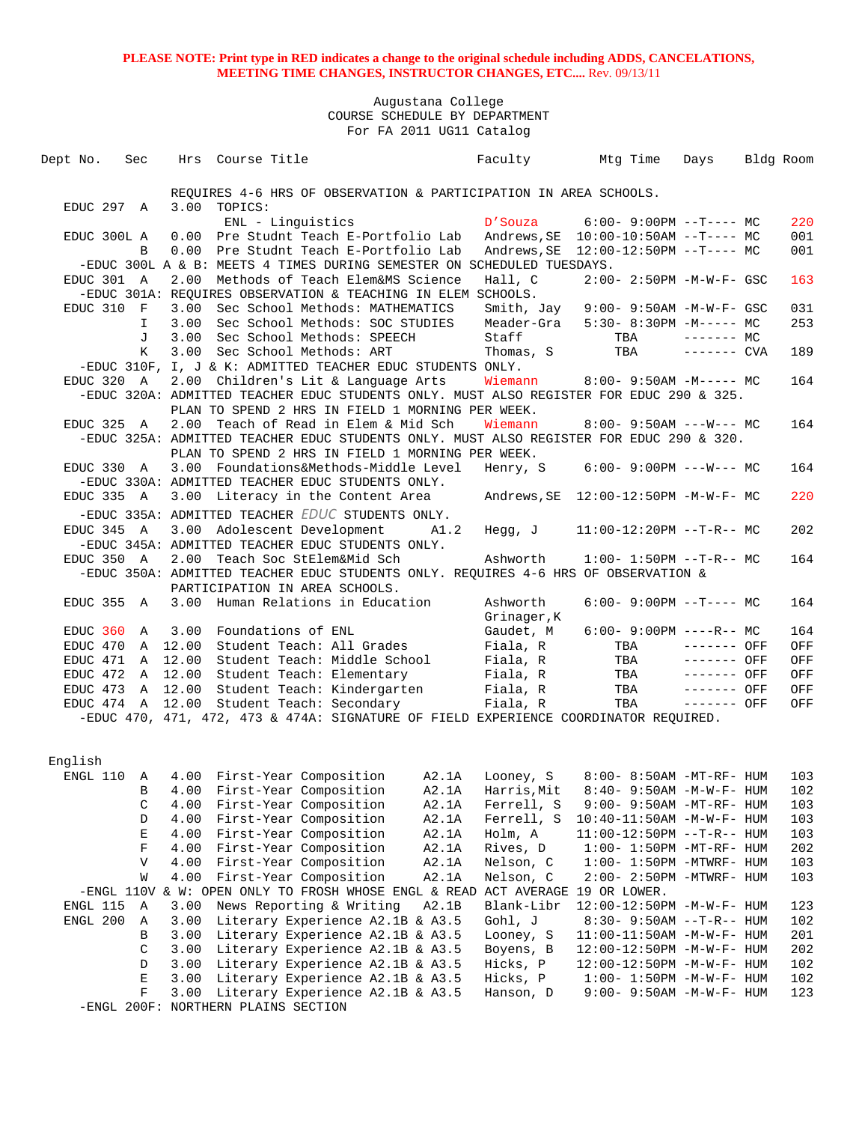| Dept No. Sec |                  |                  | Hrs Course Title                                                                                      |       |                                                                                                                                            | Faculty Mtg Time                        | Days         | Bldg Room  |
|--------------|------------------|------------------|-------------------------------------------------------------------------------------------------------|-------|--------------------------------------------------------------------------------------------------------------------------------------------|-----------------------------------------|--------------|------------|
|              |                  |                  |                                                                                                       |       |                                                                                                                                            |                                         |              |            |
|              |                  |                  | REOUIRES 4-6 HRS OF OBSERVATION & PARTICIPATION IN AREA SCHOOLS.                                      |       |                                                                                                                                            |                                         |              |            |
| EDUC 297 A   |                  | 3.00             | TOPICS:                                                                                               |       |                                                                                                                                            |                                         |              |            |
|              |                  |                  | ENL - Linquistics                                                                                     |       |                                                                                                                                            | $D'Souza$ 6:00-9:00PM --T---- MC        |              | 220        |
| EDUC 300L A  |                  |                  | 0.00 Pre Studnt Teach E-Portfolio Lab                                                                 |       |                                                                                                                                            | Andrews, SE  10:00-10:50AM --T---- MC   |              | 001        |
|              | B                | 0.00             | Pre Studnt Teach E-Portfolio Lab                                                                      |       |                                                                                                                                            |                                         |              | 001        |
|              |                  |                  | -EDUC 300L A & B: MEETS 4 TIMES DURING SEMESTER ON SCHEDULED TUESDAYS.                                |       |                                                                                                                                            |                                         |              |            |
| EDUC 301 A   |                  |                  | 2.00 Methods of Teach Elem&MS Science<br>-EDUC 301A: REQUIRES OBSERVATION & TEACHING IN ELEM SCHOOLS. |       | Hall, C                                                                                                                                    | 2:00- 2:50PM -M-W-F- GSC                |              | 163        |
| EDUC 310 F   |                  |                  | 3.00 Sec School Methods: MATHEMATICS                                                                  |       |                                                                                                                                            | Smith, Jay 9:00-9:50AM -M-W-F- GSC      |              | 031        |
|              | I.               |                  | 3.00 Sec School Methods: SOC STUDIES                                                                  |       |                                                                                                                                            | Meader-Gra $5:30-8:30PM -M--- M$        |              | 253        |
|              | J                | 3.00             | Sec School Methods: SPEECH                                                                            |       | Staff                                                                                                                                      | $TBA$ $---MC$                           |              |            |
|              | K                | 3.00             | Sec School Methods: ART                                                                               |       | Thomas, S                                                                                                                                  | TBA ------- CVA                         |              | 189        |
|              |                  |                  | -EDUC 310F, I, J & K: ADMITTED TEACHER EDUC STUDENTS ONLY.                                            |       |                                                                                                                                            |                                         |              |            |
| EDUC 320 A   |                  |                  | 2.00 Children's Lit & Language Arts                                                                   |       |                                                                                                                                            | Wiemann $8:00-9:50AM -M--- MC$          |              | 164        |
|              |                  |                  | -EDUC 320A: ADMITTED TEACHER EDUC STUDENTS ONLY. MUST ALSO REGISTER FOR EDUC 290 & 325.               |       |                                                                                                                                            |                                         |              |            |
|              |                  |                  | PLAN TO SPEND 2 HRS IN FIELD 1 MORNING PER WEEK.                                                      |       |                                                                                                                                            |                                         |              |            |
| EDUC 325 A   |                  |                  | 2.00 Teach of Read in Elem & Mid Sch                                                                  |       | Wiemann                                                                                                                                    | $8:00 - 9:50AM$ ---W--- MC              |              | 164        |
|              |                  |                  | -EDUC 325A: ADMITTED TEACHER EDUC STUDENTS ONLY. MUST ALSO REGISTER FOR EDUC 290 & 320.               |       |                                                                                                                                            |                                         |              |            |
|              |                  |                  | PLAN TO SPEND 2 HRS IN FIELD 1 MORNING PER WEEK.                                                      |       |                                                                                                                                            |                                         |              |            |
| EDUC 330 A   |                  |                  | 3.00 Foundations&Methods-Middle Level                                                                 |       |                                                                                                                                            | Henry, S 6:00- 9:00PM --- W--- MC       |              | 164        |
|              |                  |                  | -EDUC 330A: ADMITTED TEACHER EDUC STUDENTS ONLY.                                                      |       |                                                                                                                                            |                                         |              |            |
| EDUC 335 A   |                  |                  | 3.00 Literacy in the Content Area                                                                     |       |                                                                                                                                            | Andrews, $SE$ 12:00-12:50PM $-M-W-F-MC$ |              | 220        |
|              |                  |                  | -EDUC 335A: ADMITTED TEACHER EDUC STUDENTS ONLY.                                                      |       |                                                                                                                                            |                                         |              |            |
| EDUC 345 A   |                  |                  | 3.00 Adolescent Development A1.2                                                                      |       | Hegg, J                                                                                                                                    | $11:00-12:20PM$ --T-R-- MC              |              | 202        |
|              |                  |                  | -EDUC 345A: ADMITTED TEACHER EDUC STUDENTS ONLY.                                                      |       |                                                                                                                                            |                                         |              |            |
| EDUC 350 A   |                  |                  | 2.00 Teach Soc StElem&Mid Sch                                                                         |       | Ashworth                                                                                                                                   | $1:00-1:50PM$ --T-R-- MC                |              | 164        |
|              |                  |                  | -EDUC 350A: ADMITTED TEACHER EDUC STUDENTS ONLY. REQUIRES 4-6 HRS OF OBSERVATION &                    |       |                                                                                                                                            |                                         |              |            |
|              |                  |                  | PARTICIPATION IN AREA SCHOOLS.                                                                        |       |                                                                                                                                            |                                         |              |            |
| EDUC 355 A   |                  |                  | 3.00 Human Relations in Education                                                                     |       | Ashworth                                                                                                                                   | $6:00-9:00PM -T--- MC$                  |              | 164        |
|              |                  |                  |                                                                                                       |       | Grinager,K                                                                                                                                 |                                         |              |            |
| EDUC 360 A   |                  |                  | 3.00 Foundations of ENL                                                                               |       | Gaudet, M                                                                                                                                  | $6:00 - 9:00PM$ ----R-- MC              |              | 164        |
|              |                  | EDUC 470 A 12.00 | Student Teach: All Grades                                                                             |       | Fiala, R                                                                                                                                   | TBA ------- OFF                         |              | OFF        |
|              |                  | EDUC 471 A 12.00 | Student Teach: Middle School Fiala, R                                                                 |       |                                                                                                                                            | TBA                                     | $------$ OFF | OFF        |
|              |                  | EDUC 472 A 12.00 | Student Teach: Elementary<br>EDUC 473 A 12.00 Student Teach: Kindergarten                             |       | Fiala, R<br>$\begin{array}{cc}\n & \text{and} & \text{R} \\ \text{and} & \text{Finala} & \text{R} \\ \text{and} & \text{R} \\ \end{array}$ | TBA                                     | ------- OFF  | OFF<br>OFF |
|              |                  | EDUC 474 A 12.00 | Student Teach: Secondary                                                                              |       |                                                                                                                                            | TBA                                     | $------$ OFF | OFF        |
|              |                  |                  | -EDUC 470, 471, 472, 473 & 474A: SIGNATURE OF FIELD EXPERIENCE COORDINATOR REQUIRED.                  |       |                                                                                                                                            |                                         |              |            |
|              |                  |                  |                                                                                                       |       |                                                                                                                                            |                                         |              |            |
|              |                  |                  |                                                                                                       |       |                                                                                                                                            |                                         |              |            |
| English      |                  |                  |                                                                                                       |       |                                                                                                                                            |                                         |              |            |
|              |                  |                  | ENGL 110 A 4.00 First-Year Composition A2.1A Looney, S 8:00-8:50AM -MT-RF-HUM                         |       |                                                                                                                                            |                                         |              | 103        |
|              |                  |                  | B 4.00 First-Year Composition A2.1A Harris, Mit 8:40-9:50AM -M-W-F-HUM                                |       |                                                                                                                                            |                                         |              | 102        |
|              | C                |                  | 4.00 First-Year Composition                                                                           | A2.1A | Ferrell, S                                                                                                                                 | 9:00- 9:50AM -MT-RF- HUM                |              | 103        |
|              | D                | 4.00             | First-Year Composition                                                                                | A2.1A | Ferrell, S                                                                                                                                 | 10:40-11:50AM -M-W-F- HUM               |              | 103        |
|              | E                |                  | 4.00 First-Year Composition                                                                           | A2.1A | Holm, A                                                                                                                                    | $11:00-12:50PM -T-R--HUM$               |              | 103        |
|              | F                |                  | 4.00 First-Year Composition                                                                           | A2.1A | Rives, D                                                                                                                                   | $1:00-1:50PM -MT-RF - HUM$              |              | 202        |
|              | V                | 4.00             | First-Year Composition                                                                                | A2.1A | Nelson, C                                                                                                                                  | $1:00-1:50PM -MTWRF-HUM$                |              | 103        |
|              | W                | 4.00             | First-Year Composition                                                                                | A2.1A | Nelson, C                                                                                                                                  | $2:00-2:50PM$ -MTWRF- HUM               |              | 103        |
|              |                  |                  | -ENGL 110V & W: OPEN ONLY TO FROSH WHOSE ENGL & READ ACT AVERAGE 19 OR LOWER.                         |       |                                                                                                                                            |                                         |              |            |
| ENGL 115     | Α                | 3.00             | News Reporting & Writing                                                                              | A2.1B | Blank-Libr                                                                                                                                 | 12:00-12:50PM -M-W-F- HUM               |              | 123        |
| ENGL 200     | Α                | 3.00             | Literary Experience A2.1B & A3.5                                                                      |       | Gohl, J                                                                                                                                    | $8:30 - 9:50AM -T-R-- HUM$              |              | 102        |
|              | B                | 3.00             | Literary Experience A2.1B & A3.5                                                                      |       | Looney, S                                                                                                                                  | $11:00-11:50AM$ -M-W-F- HUM             |              | 201        |
|              | C                | 3.00             | Literary Experience A2.1B & A3.5                                                                      |       | Boyens, B                                                                                                                                  | 12:00-12:50PM -M-W-F- HUM               |              | 202        |
|              | D                | 3.00             | Literary Experience A2.1B & A3.5                                                                      |       | Hicks, P                                                                                                                                   | 12:00-12:50PM -M-W-F- HUM               |              | 102        |
|              | E<br>$\mathbf F$ | 3.00             | Literary Experience A2.1B & A3.5                                                                      |       | Hicks, P                                                                                                                                   | $1:00 - 1:50PM - M - W - F - HUM$       |              | 102        |
|              |                  | 3.00             | Literary Experience A2.1B & A3.5<br>-ENGL 200F: NORTHERN PLAINS SECTION                               |       | Hanson, D                                                                                                                                  | 9:00- 9:50AM -M-W-F- HUM                |              | 123        |
|              |                  |                  |                                                                                                       |       |                                                                                                                                            |                                         |              |            |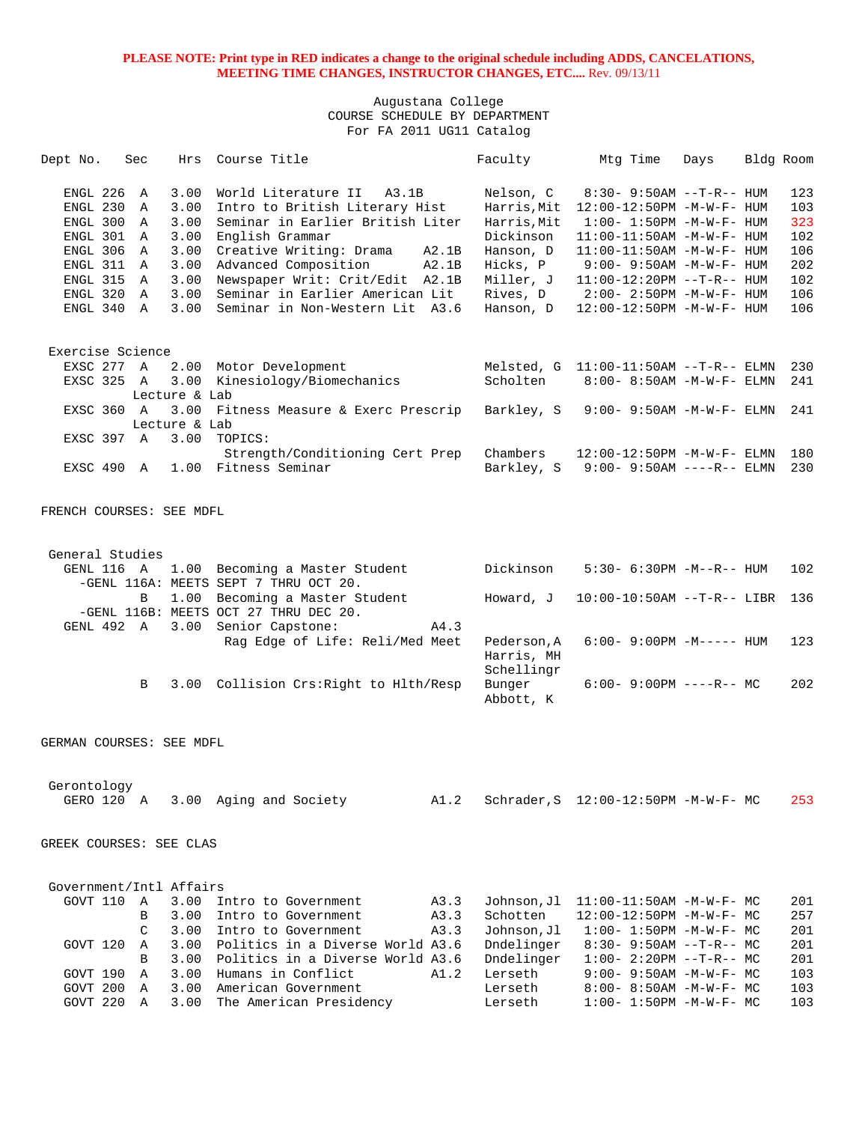| Dept No.                                                                                                           | Sec              | Hrs                                                                  | Course Title                                                                                                                                                                                                                                                                   |                | Faculty                                                                                                             | Mtg Time                                                                                                                                                                                                                                                                              | Days | Bldg Room |                                                             |
|--------------------------------------------------------------------------------------------------------------------|------------------|----------------------------------------------------------------------|--------------------------------------------------------------------------------------------------------------------------------------------------------------------------------------------------------------------------------------------------------------------------------|----------------|---------------------------------------------------------------------------------------------------------------------|---------------------------------------------------------------------------------------------------------------------------------------------------------------------------------------------------------------------------------------------------------------------------------------|------|-----------|-------------------------------------------------------------|
| ENGL 226<br>ENGL 230<br>ENGL 300 A<br>ENGL 301 A<br>ENGL 306<br>ENGL 311 A<br>ENGL 315 A<br>ENGL 320<br>ENGL 340 A | A<br>Α<br>Α<br>A | 3.00<br>3.00<br>3.00<br>3.00<br>3.00<br>3.00<br>3.00<br>3.00<br>3.00 | World Literature II A3.1B<br>Intro to British Literary Hist<br>Seminar in Earlier British Liter<br>English Grammar<br>Creative Writing: Drama<br>Advanced Composition<br>Newspaper Writ: Crit/Edit A2.1B<br>Seminar in Earlier American Lit<br>Seminar in Non-Western Lit A3.6 | A2.1B<br>A2.1B | Nelson, C<br>Harris, Mit<br>Harris, Mit<br>Dickinson<br>Hanson, D<br>Hicks, P<br>Miller, J<br>Rives, D<br>Hanson, D | $8:30 - 9:50AM -T-R-- HUM$<br>12:00-12:50PM -M-W-F- HUM<br>$1:00 - 1:50PM - M - W - F - HUM$<br>11:00-11:50AM -M-W-F- HUM<br>11:00-11:50AM -M-W-F- HUM<br>$9:00 - 9:50AM - M - W - F - HUM$<br>$11:00-12:20PM -T-R--HUM$<br>$2:00 - 2:50PM -M-W-F - HUM$<br>12:00-12:50PM -M-W-F- HUM |      |           | 123<br>103<br>323<br>102<br>106<br>202<br>102<br>106<br>106 |
| Exercise Science                                                                                                   |                  |                                                                      |                                                                                                                                                                                                                                                                                |                |                                                                                                                     |                                                                                                                                                                                                                                                                                       |      |           |                                                             |
| EXSC 277 A                                                                                                         |                  |                                                                      | 2.00 Motor Development                                                                                                                                                                                                                                                         |                |                                                                                                                     | Melsted, $G$ 11:00-11:50AM --T-R-- ELMN                                                                                                                                                                                                                                               |      |           | 230                                                         |
| EXSC 325 A                                                                                                         |                  |                                                                      | 3.00 Kinesiology/Biomechanics                                                                                                                                                                                                                                                  |                | Scholten                                                                                                            | $8:00 - 8:50AM - M - W - F - ELMN$                                                                                                                                                                                                                                                    |      |           | 241                                                         |
| EXSC 360 A                                                                                                         |                  | Lecture & Lab                                                        | 3.00 Fitness Measure & Exerc Prescrip                                                                                                                                                                                                                                          |                |                                                                                                                     |                                                                                                                                                                                                                                                                                       |      |           | 241                                                         |
|                                                                                                                    |                  | Lecture & Lab                                                        |                                                                                                                                                                                                                                                                                |                | Barkley, S                                                                                                          | $9:00 - 9:50AM - M - W - F - ELMN$                                                                                                                                                                                                                                                    |      |           |                                                             |
| EXSC 397 A                                                                                                         |                  |                                                                      | 3.00 TOPICS:                                                                                                                                                                                                                                                                   |                |                                                                                                                     |                                                                                                                                                                                                                                                                                       |      |           |                                                             |
| EXSC 490 A                                                                                                         |                  |                                                                      | Strength/Conditioning Cert Prep<br>1.00 Fitness Seminar                                                                                                                                                                                                                        |                | Chambers<br>Barkley, S                                                                                              | 12:00-12:50PM -M-W-F- ELMN<br>$9:00 - 9:50AM$ ----R-- ELMN                                                                                                                                                                                                                            |      |           | 180<br>230                                                  |
| FRENCH COURSES: SEE MDFL                                                                                           |                  |                                                                      |                                                                                                                                                                                                                                                                                |                |                                                                                                                     |                                                                                                                                                                                                                                                                                       |      |           |                                                             |
|                                                                                                                    |                  |                                                                      |                                                                                                                                                                                                                                                                                |                |                                                                                                                     |                                                                                                                                                                                                                                                                                       |      |           |                                                             |
| General Studies                                                                                                    |                  |                                                                      |                                                                                                                                                                                                                                                                                |                |                                                                                                                     |                                                                                                                                                                                                                                                                                       |      |           |                                                             |
| GENL 116 A                                                                                                         |                  |                                                                      | 1.00 Becoming a Master Student<br>-GENL 116A: MEETS SEPT 7 THRU OCT 20.                                                                                                                                                                                                        |                | Dickinson                                                                                                           | $5:30-6:30PM -M--R--HUM$                                                                                                                                                                                                                                                              |      |           | 102                                                         |
|                                                                                                                    | B                |                                                                      | 1.00 Becoming a Master Student                                                                                                                                                                                                                                                 |                | Howard, J                                                                                                           | $10:00-10:50AM$ --T-R-- LIBR                                                                                                                                                                                                                                                          |      |           | 136                                                         |
|                                                                                                                    |                  |                                                                      | -GENL 116B: MEETS OCT 27 THRU DEC 20.                                                                                                                                                                                                                                          |                |                                                                                                                     |                                                                                                                                                                                                                                                                                       |      |           |                                                             |
| GENL 492 A                                                                                                         |                  |                                                                      | 3.00 Senior Capstone:                                                                                                                                                                                                                                                          | A4.3           |                                                                                                                     |                                                                                                                                                                                                                                                                                       |      |           |                                                             |
|                                                                                                                    |                  |                                                                      | Rag Edge of Life: Reli/Med Meet                                                                                                                                                                                                                                                |                | Pederson, A<br>Harris, MH                                                                                           | $6:00 - 9:00PM -M-----$ HUM                                                                                                                                                                                                                                                           |      |           | 123                                                         |
|                                                                                                                    |                  |                                                                      |                                                                                                                                                                                                                                                                                |                | Schellingr                                                                                                          |                                                                                                                                                                                                                                                                                       |      |           |                                                             |
|                                                                                                                    | B                |                                                                      | 3.00 Collision Crs: Right to Hlth/Resp                                                                                                                                                                                                                                         |                | Bunger<br>Abbott, K                                                                                                 | $6:00-9:00PM$ ----R-- MC                                                                                                                                                                                                                                                              |      |           | 202                                                         |
| GERMAN COURSES: SEE MDFL                                                                                           |                  |                                                                      |                                                                                                                                                                                                                                                                                |                |                                                                                                                     |                                                                                                                                                                                                                                                                                       |      |           |                                                             |
|                                                                                                                    |                  |                                                                      |                                                                                                                                                                                                                                                                                |                |                                                                                                                     |                                                                                                                                                                                                                                                                                       |      |           |                                                             |
| Gerontology<br>GERO 120 A                                                                                          |                  |                                                                      | 3.00 Aging and Society                                                                                                                                                                                                                                                         | A1.2           |                                                                                                                     | Schrader, S 12:00-12:50PM -M-W-F- MC                                                                                                                                                                                                                                                  |      |           | 253                                                         |
| GREEK COURSES: SEE CLAS                                                                                            |                  |                                                                      |                                                                                                                                                                                                                                                                                |                |                                                                                                                     |                                                                                                                                                                                                                                                                                       |      |           |                                                             |
| Government/Intl Affairs                                                                                            |                  |                                                                      |                                                                                                                                                                                                                                                                                |                |                                                                                                                     |                                                                                                                                                                                                                                                                                       |      |           |                                                             |
| GOVT 110                                                                                                           | $\mathbb{A}$     | 3.00                                                                 | Intro to Government                                                                                                                                                                                                                                                            | A3.3           | Johnson,Jl                                                                                                          | $11:00-11:50AM$ -M-W-F- MC                                                                                                                                                                                                                                                            |      |           | 201                                                         |
|                                                                                                                    | B                | 3.00                                                                 | Intro to Government                                                                                                                                                                                                                                                            | A3.3           | Schotten                                                                                                            | 12:00-12:50PM -M-W-F- MC                                                                                                                                                                                                                                                              |      |           | 257                                                         |
|                                                                                                                    | C                | 3.00                                                                 | Intro to Government                                                                                                                                                                                                                                                            | A3.3           | Johnson, Jl                                                                                                         | $1:00-1:50PM -M-W-F-MC$                                                                                                                                                                                                                                                               |      |           | 201                                                         |
| GOVT 120                                                                                                           | Α                |                                                                      | 3.00 Politics in a Diverse World A3.6                                                                                                                                                                                                                                          |                | Dndelinger                                                                                                          | $8:30-9:50AM --T-R--MC$                                                                                                                                                                                                                                                               |      |           | 201                                                         |
|                                                                                                                    | B                | 3.00                                                                 | Politics in a Diverse World A3.6                                                                                                                                                                                                                                               |                | Dndelinger                                                                                                          | $1:00-2:20PM -T-R--MC$                                                                                                                                                                                                                                                                |      |           | 201                                                         |
| GOVT 190<br>GOVT 200 A                                                                                             | Α                | 3.00<br>3.00                                                         | Humans in Conflict<br>American Government                                                                                                                                                                                                                                      | A1.2           | Lerseth<br>Lerseth                                                                                                  | $9:00 - 9:50AM - M - W - F - MC$<br>$8:00 - 8:50AM - M - W - F - MC$                                                                                                                                                                                                                  |      |           | 103<br>103                                                  |
| GOVT 220 A                                                                                                         |                  |                                                                      | 3.00 The American Presidency                                                                                                                                                                                                                                                   |                | ${\tt Lerseth}$                                                                                                     | $1:00-1:50PM -M-W-F-MC$                                                                                                                                                                                                                                                               |      |           | 103                                                         |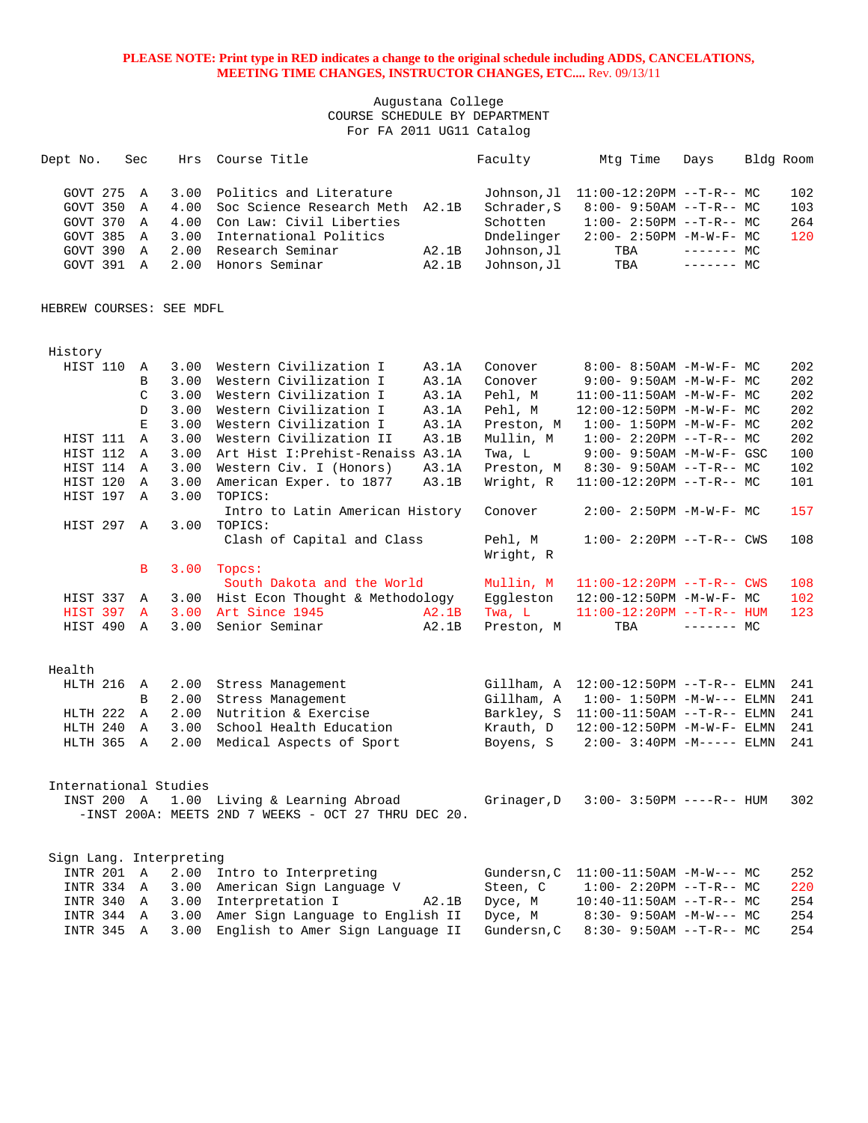### Augustana College COURSE SCHEDULE BY DEPARTMENT For FA 2011 UG11 Catalog

| Dept No.                                                               | Sec                   | Hrs                                          | Course Title                                                                                                                                           |                | Faculty                                                                            | Mtg Time                                                                                                                     | Days                      | Bldg Room |                          |
|------------------------------------------------------------------------|-----------------------|----------------------------------------------|--------------------------------------------------------------------------------------------------------------------------------------------------------|----------------|------------------------------------------------------------------------------------|------------------------------------------------------------------------------------------------------------------------------|---------------------------|-----------|--------------------------|
| GOVT 275<br>GOVT 350<br>GOVT 370<br>GOVT 385<br>GOVT 390<br>GOVT 391 A | A<br>Α<br>Α<br>Α<br>Α | 3.00<br>4.00<br>4.00<br>3.00<br>2.00<br>2.00 | Politics and Literature<br>Soc Science Research Meth A2.1B<br>Con Law: Civil Liberties<br>International Politics<br>Research Seminar<br>Honors Seminar | A2.1B<br>A2.1B | Johnson, Jl<br>Schrader, S<br>Schotten<br>Dndelinger<br>Johnson, Jl<br>Johnson, Jl | $11:00-12:20PM$ --T-R-- MC<br>$8:00-9:50AM --T-R--MC$<br>$1:00-2:50PM -T-R--MC$<br>$2:00 - 2:50PM -M-W-F - MC$<br>TBA<br>TBA | $------$ MC<br>$------MC$ |           | 102<br>103<br>264<br>120 |
| HEBREW COURSES: SEE MDFL                                               |                       |                                              |                                                                                                                                                        |                |                                                                                    |                                                                                                                              |                           |           |                          |
| History                                                                |                       |                                              |                                                                                                                                                        |                |                                                                                    |                                                                                                                              |                           |           |                          |
|                                                                        |                       |                                              |                                                                                                                                                        |                |                                                                                    |                                                                                                                              |                           |           |                          |
| HIST 110                                                               | A                     |                                              | 3.00 Western Civilization I                                                                                                                            | A3.1A          | Conover                                                                            | $8:00 - 8:50AM - M - W - F - MC$                                                                                             |                           |           | 202                      |
|                                                                        | В                     | 3.00                                         | Western Civilization I                                                                                                                                 | A3.1A          | Conover                                                                            | $9:00 - 9:50AM - M - W - F - MC$                                                                                             |                           |           | 202                      |
|                                                                        | C                     | 3.00                                         | Western Civilization I                                                                                                                                 | A3.1A          | Pehl, M                                                                            | $11:00-11:50AM$ -M-W-F- MC                                                                                                   |                           |           | 202                      |
|                                                                        | D                     | 3.00                                         | Western Civilization I                                                                                                                                 | A3.1A          | Pehl, M                                                                            | 12:00-12:50PM -M-W-F- MC                                                                                                     |                           |           | 202                      |
|                                                                        | E                     | 3.00                                         | Western Civilization I                                                                                                                                 | A3.1A          | Preston, M                                                                         | $1:00 - 1:50PM - M - W - F - MC$                                                                                             |                           |           | 202                      |
| HIST 111                                                               | Α                     | 3.00                                         | Western Civilization II                                                                                                                                | A3.1B          | Mullin, M                                                                          | $1:00-2:20PM -T-R--MC$                                                                                                       |                           |           | 202                      |
| HIST 112                                                               | Α                     | 3.00                                         | Art Hist I: Prehist-Renaiss A3.1A                                                                                                                      |                | Twa, L                                                                             | $9:00 - 9:50AM - M - W - F - GSC$                                                                                            |                           |           | 100                      |
| HIST 114                                                               | A                     | 3.00                                         | Western Civ. I (Honors)                                                                                                                                | A3.1A          | Preston, M                                                                         | $8:30 - 9:50AM -T-R--MC$                                                                                                     |                           |           | 102                      |
| HIST 120                                                               | Α                     | 3.00                                         | American Exper. to 1877                                                                                                                                | A3.1B          | Wright, R                                                                          | $11:00-12:20PM$ --T-R-- MC                                                                                                   |                           |           | 101                      |
| HIST 197                                                               | Α                     | 3.00                                         | TOPICS:                                                                                                                                                |                |                                                                                    |                                                                                                                              |                           |           |                          |
| HIST 297 A                                                             |                       | 3.00                                         | Intro to Latin American History<br>TOPICS:                                                                                                             |                | Conover                                                                            | $2:00 - 2:50PM -M-W-F - MC$                                                                                                  |                           |           | 157                      |
|                                                                        |                       |                                              | Clash of Capital and Class                                                                                                                             |                | Pehl, M<br>Wright, R                                                               | $1:00 - 2:20PM -T-R--CWS$                                                                                                    |                           |           | 108                      |
|                                                                        | B                     |                                              | $3.00$ Topcs:                                                                                                                                          |                |                                                                                    |                                                                                                                              |                           |           |                          |
|                                                                        |                       |                                              | South Dakota and the World                                                                                                                             |                | Mullin, M                                                                          | $11:00-12:20PM$ --T-R-- CWS                                                                                                  |                           |           | 108                      |
| HIST 337                                                               | Α                     | 3.00                                         | Hist Econ Thought & Methodology                                                                                                                        |                | Eggleston                                                                          | 12:00-12:50PM -M-W-F- MC                                                                                                     |                           |           | 102                      |
| HIST 397                                                               | A                     | 3.00                                         | Art Since 1945                                                                                                                                         | A2.1B          | Twa, L                                                                             | $11:00-12:20PM$ --T-R-- HUM                                                                                                  |                           |           | 123                      |
| HIST 490                                                               | $\mathbb{A}$          | 3.00                                         | Senior Seminar                                                                                                                                         | A2.1B          | Preston, M                                                                         | TBA                                                                                                                          | $-----MC$                 |           |                          |
| Health                                                                 |                       |                                              |                                                                                                                                                        |                |                                                                                    |                                                                                                                              |                           |           |                          |
| HLTH 216                                                               | Α                     | 2.00                                         | Stress Management                                                                                                                                      |                | Gillham, A                                                                         | $12:00-12:50PM$ --T-R-- ELMN                                                                                                 |                           |           | 241                      |
|                                                                        | В                     | 2.00                                         | Stress Management                                                                                                                                      |                | Gillham, A                                                                         | $1:00 - 1:50PM -M-W---$ ELMN                                                                                                 |                           |           | 241                      |
| HLTH 222                                                               | Α                     | 2.00                                         | Nutrition & Exercise                                                                                                                                   |                | Barkley, S                                                                         | $11:00-11:50AM$ --T-R-- ELMN                                                                                                 |                           |           | 241                      |
| HLTH 240                                                               | Α                     | 3.00                                         | School Health Education                                                                                                                                |                | Krauth, D                                                                          | 12:00-12:50PM -M-W-F- ELMN                                                                                                   |                           |           | 241                      |
| HLTH 365                                                               | A                     | 2.00                                         | Medical Aspects of Sport                                                                                                                               |                | Boyens, S                                                                          | $2:00 - 3:40PM -M--- -$ ELMN                                                                                                 |                           |           | 241                      |
|                                                                        |                       |                                              |                                                                                                                                                        |                |                                                                                    |                                                                                                                              |                           |           |                          |
| International Studies                                                  |                       |                                              |                                                                                                                                                        |                |                                                                                    |                                                                                                                              |                           |           |                          |
| INST 200 A                                                             |                       |                                              | 1.00 Living & Learning Abroad                                                                                                                          |                | Grinager,D                                                                         | 3:00- 3:50PM ----R-- HUM                                                                                                     |                           |           | 302                      |
|                                                                        |                       |                                              | $-$ INST 200A: MEETS 2ND 7 WEEKS - OCT 27 THRU DEC 20.                                                                                                 |                |                                                                                    |                                                                                                                              |                           |           |                          |
|                                                                        |                       |                                              |                                                                                                                                                        |                |                                                                                    |                                                                                                                              |                           |           |                          |
| Sign Lang. Interpreting                                                |                       |                                              |                                                                                                                                                        |                |                                                                                    |                                                                                                                              |                           |           |                          |
| INTR 201 A                                                             |                       | 2.00                                         | Intro to Interpreting                                                                                                                                  |                | Gundersn, C                                                                        | $11:00-11:50AM$ -M-W--- MC                                                                                                   |                           |           | 252                      |
| INTR 334 A                                                             |                       | 3.00                                         | American Sign Language V                                                                                                                               |                | Steen, C                                                                           | $1:00-2:20PM -T-R--MC$                                                                                                       |                           |           | 220                      |
| INTR 340 A                                                             |                       |                                              | 3.00 Interpretation I                                                                                                                                  | A2.1B          | Dyce, M                                                                            | $10:40-11:50AM$ --T-R-- MC                                                                                                   |                           |           | 254                      |
| INTR 344 A                                                             |                       |                                              | 3.00 Amer Sign Language to English II                                                                                                                  |                | Dyce, M                                                                            | $8:30 - 9:50AM -M-W--- MC$                                                                                                   |                           |           | 254                      |

INTR 345 A 3.00 English to Amer Sign Language II Gundersn,C 8:30- 9:50AM --T-R-- MC 254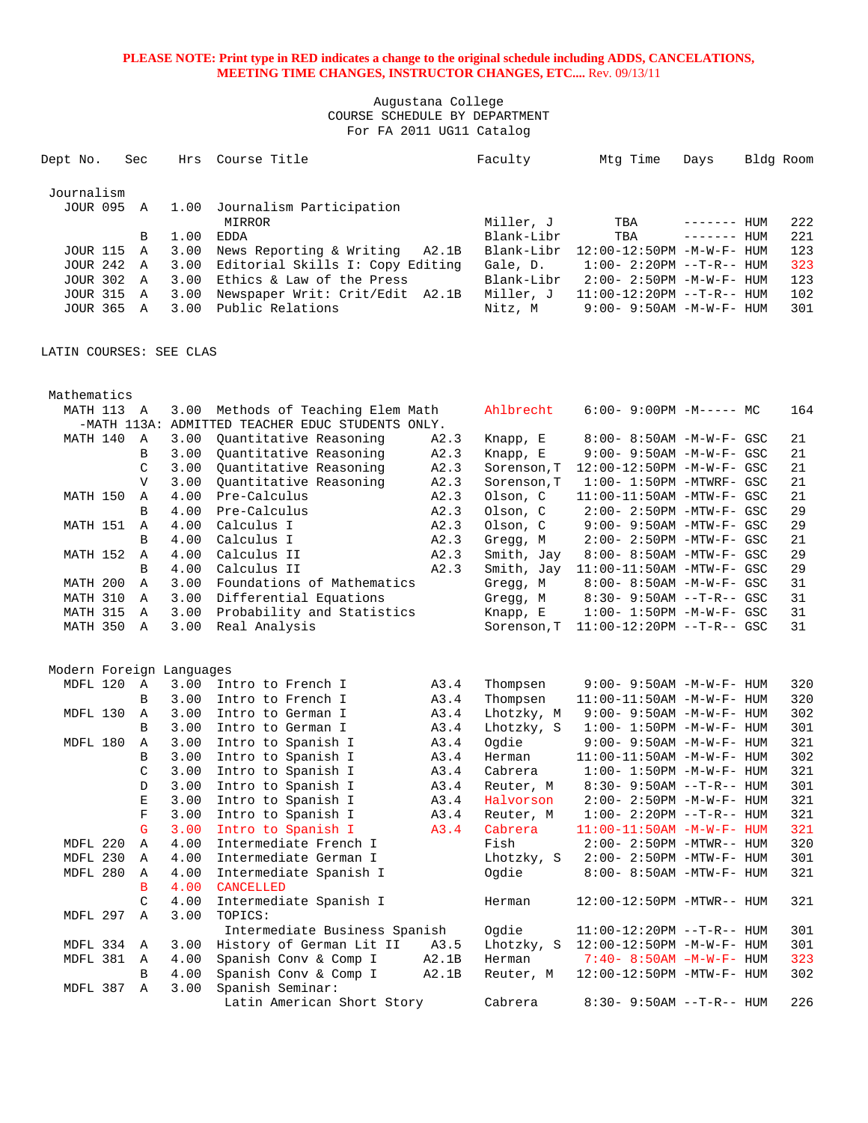Augustana College COURSE SCHEDULE BY DEPARTMENT For FA 2011 UG11 Catalog

| Dept No.          | Sec          | Hrs  | Course Title                      | Faculty    | Mtg Time                        | Days         | Bldg Room |     |
|-------------------|--------------|------|-----------------------------------|------------|---------------------------------|--------------|-----------|-----|
| Journalism        |              |      |                                   |            |                                 |              |           |     |
| JOUR 095          | $\mathbf{A}$ | 1.00 | Journalism Participation          |            |                                 |              |           |     |
|                   |              |      | MIRROR                            | Miller, J  | TBA                             | --------     | HUM       | 222 |
|                   | B            | 1.00 | EDDA                              | Blank-Libr | TBA                             | $------$ HUM |           | 221 |
| JOUR 115 A        |              | 3.00 | News Reporting & Writing<br>A2.1B | Blank-Libr | $12:00-12:50PM -M-W-F-HHIM$     |              |           | 123 |
| <b>JOUR 242 A</b> |              | 3.00 | Editorial Skills I: Copy Editing  | Gale, D.   | $1:00 - 2:20PM -T-R--HUM$       |              |           | 323 |
| <b>JOUR 302 A</b> |              | 3.00 | Ethics & Law of the Press         | Blank-Libr | $2:00 - 2:50PM - M - W - F - H$ |              |           | 123 |
| <b>JOUR 315 A</b> |              | 3.00 | Newspaper Writ: Crit/Edit A2.1B   | Miller, J  | $11:00-12:20PM -T-R--HUM$       |              |           | 102 |
| JOUR 365          | A            | 3.00 | Public Relations                  | Nitz, M    | $9:00 - 9:50AM - M - W - F - H$ |              |           | 301 |

LATIN COURSES: SEE CLAS

| Mathematics              |                |      |                                                  |       |             |                                   |     |
|--------------------------|----------------|------|--------------------------------------------------|-------|-------------|-----------------------------------|-----|
| MATH 113 A               |                | 3.00 | Methods of Teaching Elem Math                    |       | Ahlbrecht   | 6:00- 9:00PM -M----- MC           | 164 |
|                          |                |      | -MATH 113A: ADMITTED TEACHER EDUC STUDENTS ONLY. |       |             |                                   |     |
| MATH 140                 | A              | 3.00 | Ouantitative Reasoning                           | A2.3  | Knapp, E    | $8:00 - 8:50AM - M - W - F - GSC$ | 21  |
|                          | B              | 3.00 | Quantitative Reasoning                           | A2.3  | Knapp, E    | 9:00- 9:50AM -M-W-F- GSC          | 21  |
|                          | $\mathcal{C}$  | 3.00 | Ouantitative Reasoning                           | A2.3  | Sorenson, T | 12:00-12:50PM -M-W-F- GSC         | 21  |
|                          | $\mathbf{V}$   | 3.00 | Quantitative Reasoning                           | A2.3  | Sorenson, T | $1:00-1:50PM -MTWRF - GSC$        | 21  |
| MATH 150                 | $\mathbb{A}$   | 4.00 | Pre-Calculus                                     | A2.3  | Olson, C    | $11:00-11:50AM$ -MTW-F- GSC       | 21  |
|                          | B              | 4.00 | Pre-Calculus                                     | A2.3  | Olson, C    | 2:00- 2:50PM -MTW-F- GSC          | 29  |
| MATH 151                 | $\mathbb{A}$   | 4.00 | Calculus I                                       | A2.3  | Olson, C    | 9:00- 9:50AM -MTW-F- GSC          | 29  |
|                          | B              | 4.00 | Calculus I                                       | A2.3  | Gregg, M    | $2:00-2:50PM -MTW-F-GSC$          | 21  |
| MATH 152                 | $\mathbb A$    | 4.00 | Calculus II                                      | A2.3  | Smith, Jay  | 8:00- 8:50AM -MTW-F- GSC          | 29  |
|                          | B              | 4.00 | Calculus II                                      | A2.3  | Smith, Jay  | $11:00-11:50AM$ -MTW-F- GSC       | 29  |
| MATH 200                 | Α              | 3.00 | Foundations of Mathematics                       |       | Gregg, M    | 8:00- 8:50AM -M-W-F- GSC          | 31  |
| MATH 310                 | $\Delta$       | 3.00 | Differential Equations                           |       | Gregg, M    | $8:30 - 9:50AM -T-R- GSC$         | 31  |
| MATH 315                 | $\mathbb A$    | 3.00 | Probability and Statistics                       |       | Knapp, E    | $1:00 - 1:50PM - M - W - F - GSC$ | 31  |
| MATH 350                 | $\mathbb A$    | 3.00 | Real Analysis                                    |       | Sorenson, T | $11:00-12:20PM$ --T-R-- GSC       | 31  |
|                          |                |      |                                                  |       |             |                                   |     |
|                          |                |      |                                                  |       |             |                                   |     |
| Modern Foreign Languages |                |      |                                                  |       |             |                                   |     |
| MDFL 120                 | $\overline{A}$ | 3.00 | Intro to French I                                | A3.4  | Thompsen    | 9:00- 9:50AM -M-W-F- HUM          | 320 |
|                          | B              | 3.00 | Intro to French I                                | A3.4  | Thompsen    | 11:00-11:50AM -M-W-F- HUM         | 320 |
| MDFL 130                 | Α              | 3.00 | Intro to German I                                | A3.4  | Lhotzky, M  | 9:00- 9:50AM -M-W-F- HUM          | 302 |
|                          | B              | 3.00 | Intro to German I                                | A3.4  | Lhotzky, S  | $1:00 - 1:50PM - M - W - F - HUM$ | 301 |
| MDFL 180                 | $\mathbb A$    | 3.00 | Intro to Spanish I                               | A3.4  | Ogdie       | $9:00 - 9:50AM - M - W - F - HUM$ | 321 |
|                          | B              | 3.00 | Intro to Spanish I                               | A3.4  | Herman      | $11:00-11:50AM$ -M-W-F- HUM       | 302 |
|                          | $\mathsf C$    | 3.00 | Intro to Spanish I                               | A3.4  | Cabrera     | $1:00 - 1:50PM - M - W - F - HUM$ | 321 |
|                          | D              | 3.00 | Intro to Spanish I                               | A3.4  | Reuter, M   | 8:30- 9:50AM --T-R-- HUM          | 301 |
|                          | $\mathbf E$    | 3.00 | Intro to Spanish I                               | A3.4  | Halvorson   | $2:00 - 2:50PM -M-W-F - HUM$      | 321 |
|                          | $\mathbf F$    | 3.00 | Intro to Spanish I                               | A3.4  | Reuter, M   | $1:00 - 2:20PM -T-R-- HUM$        | 321 |
|                          | $\mathsf{G}$   | 3.00 | Intro to Spanish I                               | A3.4  | Cabrera     | $11:00-11:50AM$ $-M-W-F-$ HUM     | 321 |
| MDFL 220                 | Α              | 4.00 | Intermediate French I                            |       | Fish        | $2:00-2:50PM -MTWR--HUM$          | 320 |
| MDFL 230                 | $\mathbb{A}$   | 4.00 | Intermediate German I                            |       | Lhotzky, S  | $2:00 - 2:50PM - MTW-F - HUM$     | 301 |
| MDFL 280                 | Α              | 4.00 | Intermediate Spanish I                           |       | Ogdie       | 8:00- 8:50AM -MTW-F- HUM          | 321 |
|                          | B              | 4.00 | <b>CANCELLED</b>                                 |       |             |                                   |     |
|                          | C              | 4.00 | Intermediate Spanish I                           |       | Herman      | 12:00-12:50PM -MTWR-- HUM         | 321 |
| MDFL 297                 | $\mathbb{A}$   | 3.00 | TOPICS:                                          |       |             |                                   |     |
|                          |                |      | Intermediate Business Spanish                    |       | Ogdie       | 11:00-12:20PM --T-R-- HUM         | 301 |
| MDFL 334                 | Α              | 3.00 | History of German Lit II                         | A3.5  | Lhotzky, S  | 12:00-12:50PM -M-W-F- HUM         | 301 |
| MDFL 381                 | $\mathbb{A}$   | 4.00 | Spanish Conv & Comp I                            | A2.1B | Herman      | $7:40 - 8:50AM - M - W - F - HUM$ | 323 |
|                          | B              | 4.00 | Spanish Conv & Comp I                            | A2.1B | Reuter, M   | 12:00-12:50PM -MTW-F- HUM         | 302 |
| MDFL 387                 | $\mathbb A$    | 3.00 | Spanish Seminar:                                 |       |             |                                   |     |
|                          |                |      | Latin American Short Story                       |       | Cabrera     | 8:30- 9:50AM --T-R-- HUM          | 226 |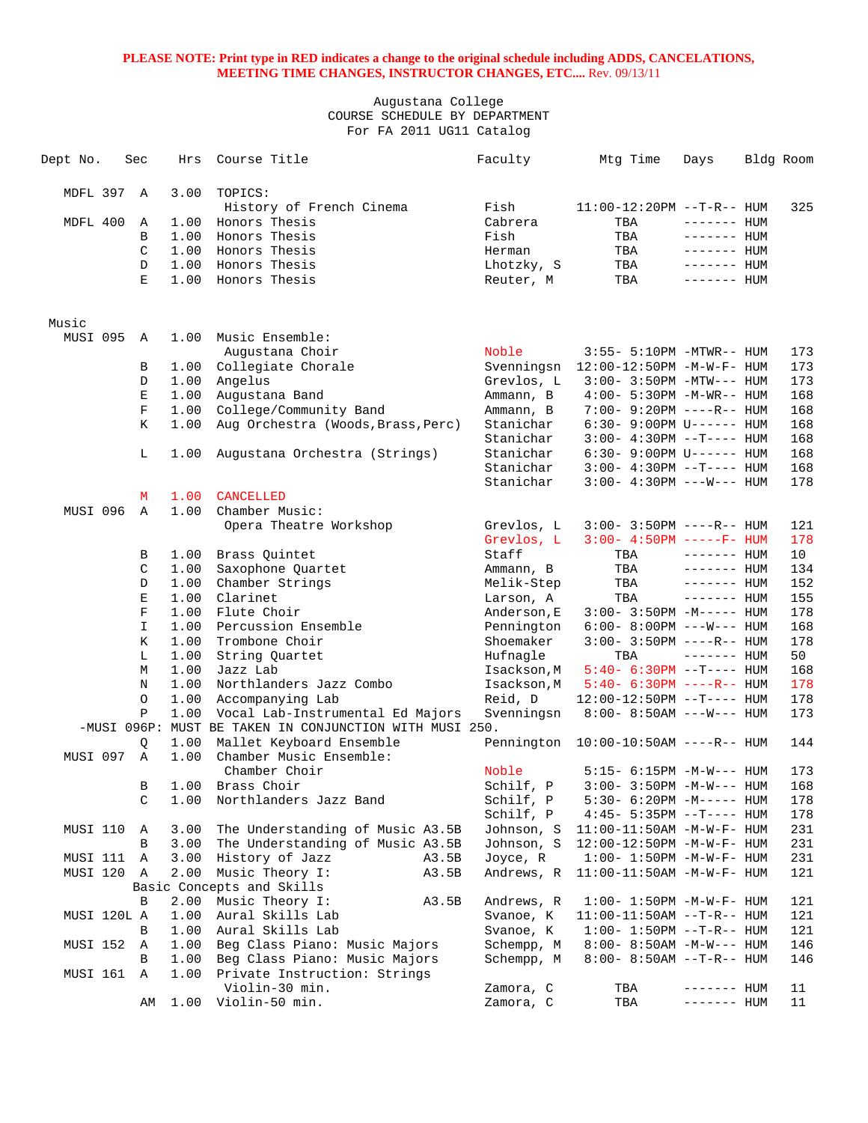| Dept No.    | Sec          | Hrs  | Course Title                                                                                | Faculty     | Mtg Time                                | Days               | Bldg Room |
|-------------|--------------|------|---------------------------------------------------------------------------------------------|-------------|-----------------------------------------|--------------------|-----------|
| MDFL 397    | A            | 3.00 | TOPICS:                                                                                     |             |                                         |                    |           |
|             |              |      | History of French Cinema                                                                    | Fish        | 11:00-12:20PM --T-R-- HUM               |                    | 325       |
| MDFL 400    | Α            | 1.00 | Honors Thesis                                                                               | Cabrera     | TBA                                     | $------$ HUM       |           |
|             | B            | 1.00 | Honors Thesis                                                                               | Fish        | TBA                                     | $------$ HUM       |           |
|             | C            | 1.00 | Honors Thesis                                                                               | Herman      | TBA                                     | $------$ HUM       |           |
|             | D            | 1.00 | Honors Thesis                                                                               | Lhotzky, S  | TBA                                     | $------$ HUM       |           |
|             | E            | 1.00 | Honors Thesis                                                                               | Reuter, M   | TBA                                     | $------$ HUM       |           |
| Music       |              |      |                                                                                             |             |                                         |                    |           |
| MUSI 095    | A            | 1.00 | Music Ensemble:                                                                             |             |                                         |                    |           |
|             |              |      | Augustana Choir                                                                             | Noble       | 3:55- 5:10PM -MTWR-- HUM                |                    | 173       |
|             | В            | 1.00 | Collegiate Chorale                                                                          | Svenningsn  | 12:00-12:50PM -M-W-F- HUM               |                    | 173       |
|             | $\mathbb D$  | 1.00 | Angelus                                                                                     | Grevlos, L  | $3:00 - 3:50PM - MTW---$ HUM            |                    | 173       |
|             | Ε            | 1.00 | Augustana Band                                                                              | Ammann, B   | 4:00- 5:30PM -M-WR-- HUM                |                    | 168       |
|             | $\mathbf F$  | 1.00 | College/Community Band                                                                      | Ammann, B   | 7:00- 9:20PM ----R-- HUM                |                    | 168       |
|             | K            | 1.00 | Aug Orchestra (Woods, Brass, Perc)                                                          | Stanichar   | $6:30-9:00 \, \text{PM}$ U------ HUM    |                    | 168       |
|             |              |      |                                                                                             | Stanichar   | $3:00-4:30PM -T--- HUM$                 |                    | 168       |
|             | L            | 1.00 | Augustana Orchestra (Strings)                                                               | Stanichar   | $6:30 - 9:00 \text{PM U----- HUM}$      |                    | 168       |
|             |              |      |                                                                                             | Stanichar   | $3:00-4:30PM -T--- HUM$                 |                    | 168       |
|             |              |      |                                                                                             | Stanichar   | $3:00 - 4:30PM$ ---W--- HUM             |                    | 178       |
|             | м            | 1.00 | <b>CANCELLED</b>                                                                            |             |                                         |                    |           |
| MUSI 096    | Α            | 1.00 | Chamber Music:                                                                              |             |                                         |                    |           |
|             |              |      | Opera Theatre Workshop                                                                      | Grevlos, L  | $3:00 - 3:50PM$ ----R-- HUM             |                    | 121       |
|             |              |      |                                                                                             | Grevlos, L  | $3:00 - 4:50PM$ -----F- HUM             |                    | 178       |
|             | В            | 1.00 | Brass Quintet                                                                               | Staff       | TBA                                     | $------$ HUM       | 10        |
|             | C            | 1.00 | Saxophone Quartet                                                                           | Ammann, B   | TBA                                     | $------$ HUM       | 134       |
|             | $\mathbb D$  | 1.00 | Chamber Strings                                                                             | Melik-Step  | TBA                                     | ------- HUM        | 152       |
|             | E            | 1.00 | Clarinet                                                                                    | Larson, A   | TBA                                     | $------$ HUM       | 155       |
|             | $\mathbf F$  | 1.00 | Flute Choir                                                                                 | Anderson, E | $3:00 - 3:50PM -M-----$ HUM             |                    | 178       |
|             | I.           | 1.00 | Percussion Ensemble                                                                         | Pennington  | $6:00 - 8:00 \, \text{PM}$ ---W--- HUM  |                    | 168       |
|             | K            | 1.00 | Trombone Choir                                                                              | Shoemaker   | $3:00 - 3:50PM$ ----R-- HUM             |                    | 178       |
|             | L            | 1.00 | String Quartet                                                                              | Hufnagle    | TBA                                     | $------$ HUM       | 50        |
|             | M            | 1.00 | Jazz Lab                                                                                    | Isackson,M  | $5:40-6:30PM -T--- HUM$                 |                    | 168       |
|             | N            | 1.00 | Northlanders Jazz Combo                                                                     | Isackson, M | $5:40-6:30PM$ ----R-- HUM               |                    | 178       |
|             | $\circ$      | 1.00 | Accompanying Lab                                                                            | Reid, D     | 12:00-12:50PM --T---- HUM               |                    | 178       |
|             | $\mathbf{P}$ | 1.00 | Vocal Lab-Instrumental Ed Majors<br>-MUSI 096P: MUST BE TAKEN IN CONJUNCTION WITH MUSI 250. | Svenningsn  | $8:00 - 8:50AM$ ---W--- HUM             |                    | 173       |
|             | Q            | 1.00 | Mallet Keyboard Ensemble                                                                    |             | Pennington $10:00-10:50$ AM ----R-- HUM |                    | 144       |
| MUSI 097    | Α            | 1.00 | Chamber Music Ensemble:                                                                     |             |                                         |                    |           |
|             |              |      | Chamber Choir                                                                               | Noble       | $5:15- 6:15PM -M-W--- HUM$              |                    | 173       |
|             | В            |      | 1.00 Brass Choir                                                                            | Schilf, P   | $3:00-3:50PM -M-W--- HUM$               |                    | 168       |
|             | C            | 1.00 | Northlanders Jazz Band                                                                      | Schilf, P   | $5:30-6:20PM -M--- HUM$                 |                    | 178       |
|             |              |      |                                                                                             | Schilf, P   | $4:45 - 5:35PM -T--- HUM$               |                    | 178       |
| MUSI 110    | Α            | 3.00 | The Understanding of Music A3.5B                                                            | Johnson, S  | $11:00-11:50AM$ -M-W-F- HUM             |                    | 231       |
|             | В            | 3.00 | The Understanding of Music A3.5B                                                            | Johnson, S  | 12:00-12:50PM -M-W-F- HUM               |                    | 231       |
| MUSI 111    | Α            | 3.00 | History of Jazz<br>A3.5B                                                                    | Joyce, R    | $1:00 - 1:50PM -M -W -F - HUM$          |                    | 231       |
| MUSI 120    | A            | 2.00 | Music Theory I:<br>A3.5B                                                                    | Andrews, R  | $11:00-11:50AM$ -M-W-F- HUM             |                    | 121       |
|             |              |      | Basic Concepts and Skills                                                                   |             |                                         |                    |           |
|             | В            | 2.00 | Music Theory I:<br>A3.5B                                                                    | Andrews, R  | $1:00 - 1:50PM - M - W - F - HUM$       |                    | 121       |
| MUSI 120L A |              | 1.00 | Aural Skills Lab                                                                            | Svanoe, K   | $11:00-11:50AM$ --T-R-- HUM             |                    | 121       |
|             | В            | 1.00 | Aural Skills Lab                                                                            | Svanoe, K   | $1:00 - 1:50PM -T-R-- HUM$              |                    | 121       |
| MUSI 152    | Α            | 1.00 | Beg Class Piano: Music Majors                                                               | Schempp, M  | $8:00 - 8:50AM - M-W---$ HUM            |                    | 146       |
|             | В            | 1.00 | Beg Class Piano: Music Majors                                                               | Schempp, M  | 8:00- 8:50AM --T-R-- HUM                |                    | 146       |
| MUSI 161    | Α            | 1.00 | Private Instruction: Strings                                                                |             |                                         |                    |           |
|             |              |      | Violin-30 min.                                                                              | Zamora, C   | TBA                                     | ------- <b>HUM</b> | 11        |
|             | AΜ           | 1.00 | Violin-50 min.                                                                              | Zamora, C   | TBA                                     | ------- <b>HUM</b> | 11        |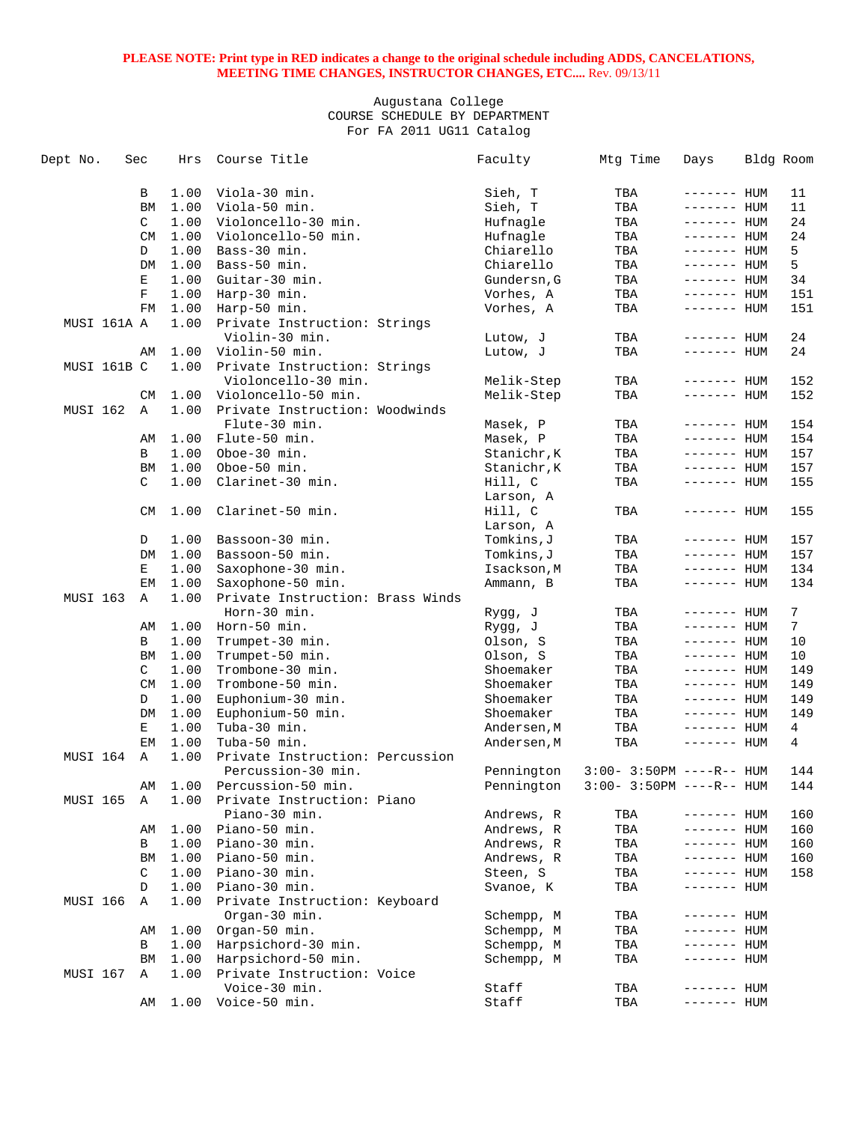| Dept No.    | Sec         | Hrs          | Course Title                     | Faculty                 | Mtg Time                    | Days                       | Bldg Room |
|-------------|-------------|--------------|----------------------------------|-------------------------|-----------------------------|----------------------------|-----------|
|             | В           | 1.00         | Viola-30 min.                    | Sieh, T                 | TBA                         | $------$ HUM               | 11        |
|             | <b>BM</b>   | 1.00         | Viola-50 min.                    | Sieh, T                 | TBA                         | $------$ HUM               | 11        |
|             | C           | 1.00         | Violoncello-30 min.              | Hufnagle                | TBA                         | $------$ HUM               | 24        |
|             | <b>CM</b>   | 1.00         | Violoncello-50 min.              | Hufnagle                | TBA                         | $------$ HUM               | 24        |
|             | D           | 1.00         | Bass-30 min.                     | Chiarello               | TBA                         | ------- HUM                | 5         |
|             | DM          | 1.00         | Bass-50 min.                     | Chiarello               | TBA                         | ------- <b>HUM</b>         | 5         |
|             | Е           | 1.00         | Guitar-30 min.                   | Gundersn, G             | TBA                         | $------$ HUM               | 34        |
|             | $\mathbf F$ | 1.00         | Harp-30 min.                     | Vorhes, A               | TBA                         | $------$ HUM               | 151       |
|             | FM          | 1.00         | Harp-50 min.                     | Vorhes, A               | TBA                         | ------- HUM                | 151       |
| MUSI 161A A |             | 1.00         | Private Instruction: Strings     |                         |                             |                            |           |
|             |             |              | Violin-30 min.                   | Lutow, J                | TBA                         | ------- HUM                | 24        |
|             | AΜ          | 1.00         | Violin-50 min.                   | Lutow, J                | TBA                         | ------- HUM                | 24        |
| MUSI 161B C |             | 1.00         | Private Instruction: Strings     |                         |                             |                            |           |
|             |             |              | Violoncello-30 min.              |                         | TBA                         | ------- HUM                | 152       |
|             |             |              | Violoncello-50 min.              | Melik-Step              |                             |                            | 152       |
| MUSI 162    | CM          | 1.00<br>1.00 | Private Instruction: Woodwinds   | Melik-Step              | TBA                         | ------- HUM                |           |
|             | A           |              | Flute-30 min.                    |                         | TBA                         |                            | 154       |
|             |             | 1.00         |                                  | Masek, P                | TBA                         | ------- HUM<br>------- HUM | 154       |
|             | AΜ<br>B     |              | Flute-50 min.<br>Oboe-30 min.    | Masek, P<br>Stanichr, K |                             |                            |           |
|             |             | 1.00         |                                  |                         | TBA                         | ------- HUM                | 157       |
|             | BM          | 1.00         | Oboe-50 min.<br>Clarinet-30 min. | Stanichr, K             | TBA                         | ------- HUM                | 157       |
|             | C           | 1.00         |                                  | Hill, C                 | TBA                         | ------- HUM                | 155       |
|             |             |              |                                  | Larson, A               |                             |                            |           |
|             | CM          | 1.00         | Clarinet-50 min.                 | Hill, C                 | TBA                         | ------- HUM                | 155       |
|             |             |              |                                  | Larson, A               |                             |                            |           |
|             | D           | 1.00         | Bassoon-30 min.                  | Tomkins,J               | TBA                         | ------- HUM                | 157       |
|             | DM          | 1.00         | Bassoon-50 min.                  | Tomkins,J               | TBA                         | ------- HUM                | 157       |
|             | Е           | 1.00         | Saxophone-30 min.                | Isackson, M             | TBA                         | ------- <b>HUM</b>         | 134       |
|             | ЕM          | 1.00         | Saxophone-50 min.                | Ammann, B               | TBA                         | ------- HUM                | 134       |
| MUSI 163    | Α           | 1.00         | Private Instruction: Brass Winds |                         |                             |                            |           |
|             |             |              | Horn-30 min.                     | Rygg, J                 | TBA                         | ------- HUM                | 7         |
|             | AΜ          | 1.00         | Horn-50 min.                     | Rygg, J                 | TBA                         | $------HHUM$               | 7         |
|             | B           | 1.00         | Trumpet-30 min.                  | Olson, S                | TBA                         | ------- HUM                | 10        |
|             | BM          | 1.00         | Trumpet-50 min.                  | Olson, S                | TBA                         | $------$ HUM               | 10        |
|             | C           | 1.00         | Trombone-30 min.                 | Shoemaker               | TBA                         | $------$ HUM               | 149       |
|             | <b>CM</b>   | 1.00         | Trombone-50 min.                 | Shoemaker               | TBA                         | $------$ HUM               | 149       |
|             | D           | 1.00         | Euphonium-30 min.                | Shoemaker               | TBA                         | $------$ HUM               | 149       |
|             | DM          | 1.00         | Euphonium-50 min.                | Shoemaker               | TBA                         | $------$ HUM               | 149       |
|             | Е           | 1.00         | Tuba-30 min.                     | Andersen, M             | TBA                         | ------- HUM                | 4         |
|             | EM          | 1.00         | Tuba-50 min.                     | Andersen, M             | TBA                         | ------- HUM                | 4         |
| MUSI 164    | Α           | 1.00         | Private Instruction: Percussion  |                         |                             |                            |           |
|             |             |              | Percussion-30 min.               | Pennington              | $3:00 - 3:50PM$ ----R-- HUM |                            | 144       |
|             | AΜ          | 1.00         | Percussion-50 min.               | Pennington              | $3:00-3:50PM$ ----R-- HUM   |                            | 144       |
| MUSI 165    | Α           | 1.00         | Private Instruction: Piano       |                         |                             |                            |           |
|             |             |              | Piano-30 min.                    | Andrews, R              | TBA                         | ------- HUM                | 160       |
|             | AΜ          | 1.00         | Piano-50 min.                    | Andrews, R              | TBA                         | ------- HUM                | 160       |
|             | В           | 1.00         | Piano-30 min.                    | Andrews, R              | TBA                         | ------- HUM                | 160       |
|             | BM          | 1.00         | Piano-50 min.                    | Andrews, R              | TBA                         | ------- HUM                | 160       |
|             | C           | 1.00         | Piano-30 min.                    | Steen, S                | TBA                         | ------- HUM                | 158       |
|             | D           | 1.00         | Piano-30 min.                    | Svanoe, K               | TBA                         | ------- HUM                |           |
| MUSI 166    | A           | 1.00         | Private Instruction: Keyboard    |                         |                             |                            |           |
|             |             |              | Organ-30 min.                    | Schempp, M              | TBA                         | $------$ HUM               |           |
|             | AΜ          | 1.00         | Organ-50 min.                    | Schempp, M              | TBA                         | $------$ HUM               |           |
|             | В           | 1.00         | Harpsichord-30 min.              | Schempp, M              | TBA                         | $------$ HUM               |           |
|             | BM          | 1.00         | Harpsichord-50 min.              | Schempp, M              | TBA                         | ------- HUM                |           |
| MUSI 167    | Α           | 1.00         | Private Instruction: Voice       |                         |                             |                            |           |
|             |             |              | Voice-30 min.                    | Staff                   | TBA                         | ------- HUM                |           |
|             | AΜ          | 1.00         | Voice-50 min.                    | Staff                   | TBA                         | ------- HUM                |           |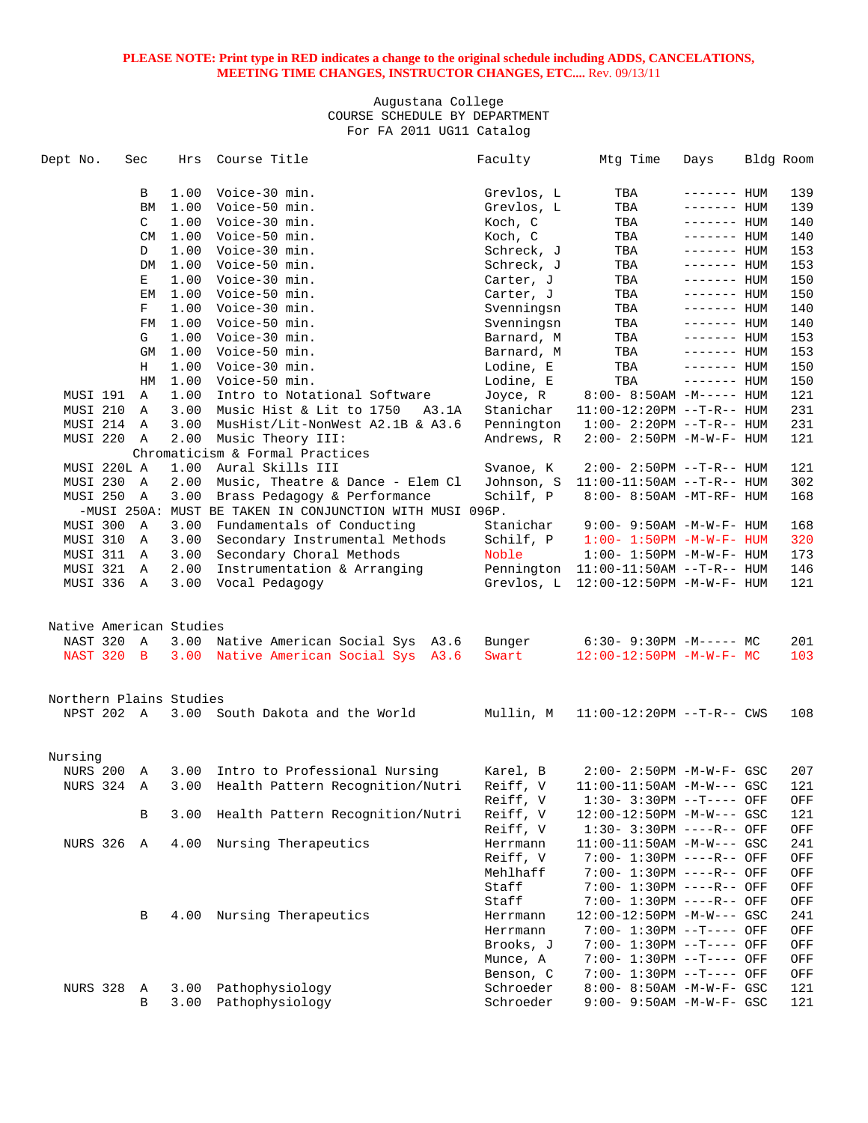| Dept No.                | Sec       | Hrs  | Course Title                                             | Faculty    | Mtg Time                             | Days         | Bldg Room |
|-------------------------|-----------|------|----------------------------------------------------------|------------|--------------------------------------|--------------|-----------|
|                         |           | 1.00 | Voice-30 min.                                            |            |                                      |              |           |
|                         | B         |      |                                                          | Grevlos, L | TBA                                  | $------$ HUM | 139       |
|                         | BM        | 1.00 | Voice-50 min.                                            | Grevlos, L | TBA                                  | $------$ HUM | 139       |
|                         | C         |      | 1.00 Voice-30 min.                                       | Koch, C    | TBA                                  | $------HHUM$ | 140       |
|                         | <b>CM</b> |      | 1.00 Voice-50 min.                                       | Koch, C    | TBA                                  | $------$ HUM | 140       |
|                         | D         | 1.00 | Voice-30 min.                                            | Schreck, J | TBA                                  | $------$ HUM | 153       |
|                         | DM        | 1.00 | Voice-50 min.                                            | Schreck, J | TBA                                  | $------$ HUM | 153       |
|                         | Е         |      | 1.00 Voice-30 min.                                       | Carter, J  | TBA                                  | $------$ HUM | 150       |
|                         | ЕM        |      | 1.00 Voice-50 min.                                       | Carter, J  | TBA                                  | $------$ HUM | 150       |
|                         | F         | 1.00 | Voice-30 min.                                            | Svenningsn | TBA                                  | $------$ HUM | 140       |
|                         | FM        |      | 1.00 Voice-50 min.                                       | Svenningsn | TBA                                  | $------HH$   | 140       |
|                         | G         | 1.00 | Voice-30 min.                                            | Barnard, M | TBA                                  | $------HHUM$ | 153       |
|                         | GM        | 1.00 | Voice-50 min.                                            | Barnard, M | TBA                                  | $------$ HUM | 153       |
|                         | Н         | 1.00 | Voice-30 min.                                            | Lodine, E  | TBA                                  | $------$ HUM | 150       |
|                         | HM        | 1.00 | Voice-50 min.                                            | Lodine, E  | TBA                                  | $------$ HUM | 150       |
| MUSI 191 A              |           | 1.00 | Intro to Notational Software                             | Joyce, R   | $8:00 - 8:50AM - M---$ HUM           |              | 121       |
| MUSI 210 A              |           | 3.00 | Music Hist & Lit to 1750<br>A3.1A                        | Stanichar  | $11:00-12:20PM$ --T-R-- HUM          |              | 231       |
| MUSI 214 A              |           | 3.00 | MusHist/Lit-NonWest A2.1B & A3.6                         | Pennington | $1:00 - 2:20PM -T-R--HUM$            |              | 231       |
| MUSI 220 A              |           | 2.00 | Music Theory III:                                        | Andrews, R | $2:00 - 2:50PM -M-W-F - HUM$         |              | 121       |
|                         |           |      | Chromaticism & Formal Practices                          |            |                                      |              |           |
| MUSI 220L A             |           | 1.00 | Aural Skills III                                         | Svanoe, K  | $2:00 - 2:50PM -T-R-- HUM$           |              | 121       |
| MUSI 230 A              |           | 2.00 | Music, Theatre & Dance - Elem Cl                         | Johnson, S | $11:00-11:50AM$ --T-R-- HUM          |              | 302       |
| MUSI 250 A              |           | 3.00 | Brass Pedagogy & Performance                             | Schilf, P  | 8:00- 8:50AM -MT-RF- HUM             |              | 168       |
|                         |           |      | -MUSI 250A: MUST BE TAKEN IN CONJUNCTION WITH MUSI 096P. |            |                                      |              |           |
| MUSI 300 A              |           | 3.00 | Fundamentals of Conducting                               | Stanichar  | $9:00 - 9:50AM - M - W - F - HUM$    |              | 168       |
| MUSI 310 A              |           | 3.00 | Secondary Instrumental Methods                           | Schilf, P  | $1:00 - 1:50PM - M - W - F - HUM$    |              | 320       |
| MUSI 311 A              |           | 3.00 | Secondary Choral Methods                                 | Noble      | $1:00 - 1:50PM - M - W - F - HUM$    |              | 173       |
| MUSI 321 A              |           | 2.00 | Instrumentation & Arranging                              |            | Pennington 11:00-11:50AM --T-R-- HUM |              | 146       |
| MUSI 336 A              |           | 3.00 | Vocal Pedagogy                                           |            | Grevlos, L 12:00-12:50PM -M-W-F- HUM |              | 121       |
|                         |           |      |                                                          |            |                                      |              |           |
| Native American Studies |           |      |                                                          |            |                                      |              |           |
| NAST 320 A              |           |      | 3.00 Native American Social Sys A3.6                     | Bunger     | $6:30-9:30PM -M--- MC$               |              | 201       |
| NAST 320 B              |           |      | 3.00 Native American Social Sys A3.6                     | Swart      | $12:00-12:50PM -M-W-F-MC$            |              | 103       |
|                         |           |      |                                                          |            |                                      |              |           |
| Northern Plains Studies |           |      |                                                          |            |                                      |              |           |
| NPST 202 A              |           |      | 3.00 South Dakota and the World                          | Mullin, M  | $11:00-12:20PM$ --T-R-- CWS          |              | 108       |
|                         |           |      |                                                          |            |                                      |              |           |
| Nursing                 |           |      |                                                          |            |                                      |              |           |
| NURS 200 A              |           |      | 3.00 Intro to Professional Nursing                       | Karel, B   | $2:00 - 2:50PM - M - W - F - GSC$    |              | 207       |
|                         |           |      | NURS 324 A 3.00 Health Pattern Recognition/Nutri         | Reiff, V   | $11:00-11:50AM$ $-M-W---$ GSC        |              | 121       |
|                         |           |      |                                                          | Reiff, V   | $1:30-3:30PM --T---$ OFF             |              | OFF       |
|                         | В         | 3.00 | Health Pattern Recognition/Nutri                         | Reiff, V   | $12:00-12:50PM -M-W--- GSC$          |              | 121       |
|                         |           |      |                                                          | Reiff, V   | $1:30 - 3:30PM$ ----R-- OFF          |              | OFF       |
| NURS 326 A              |           | 4.00 | Nursing Therapeutics                                     | Herrmann   | $11:00-11:50AM$ -M-W--- GSC          |              | 241       |
|                         |           |      |                                                          | Reiff, V   | 7:00- 1:30PM ----R-- OFF             |              | OFF       |
|                         |           |      |                                                          | Mehlhaff   | 7:00- 1:30PM ----R-- OFF             |              | OFF       |
|                         |           |      |                                                          | Staff      | 7:00- 1:30PM ----R-- OFF             |              | OFF       |
|                         |           |      |                                                          | Staff      | 7:00- 1:30PM ----R-- OFF             |              | OFF       |
|                         | В         | 4.00 | Nursing Therapeutics                                     | Herrmann   | $12:00-12:50PM -M-W--- GSC$          |              | 241       |
|                         |           |      |                                                          | Herrmann   | 7:00- 1:30PM --T---- OFF             |              | OFF       |
|                         |           |      |                                                          | Brooks, J  | 7:00- 1:30PM --T---- OFF             |              | OFF       |
|                         |           |      |                                                          | Munce, A   | 7:00- 1:30PM --T---- OFF             |              | OFF       |
|                         |           |      |                                                          | Benson, C  | 7:00- 1:30PM --T---- OFF             |              | OFF       |
| NURS 328                | A         | 3.00 | Pathophysiology                                          | Schroeder  | $8:00 - 8:50AM - M - W - F - GSC$    |              | 121       |
|                         | B         | 3.00 | Pathophysiology                                          | Schroeder  | 9:00- 9:50AM -M-W-F- GSC             |              | 121       |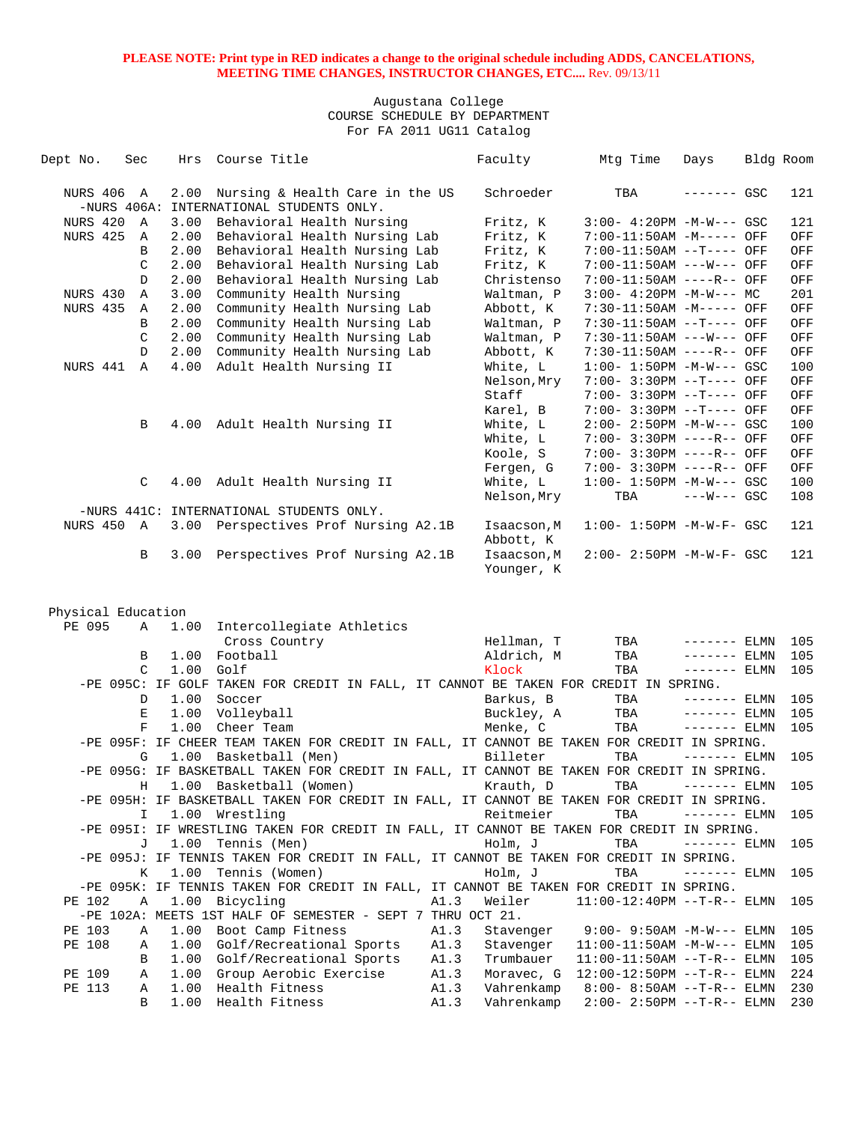| Dept No.           | Sec    | Hrs          | Course Title                                                                               |      | Faculty                   | Mtg Time                          | Days          | Bldg Room |     |
|--------------------|--------|--------------|--------------------------------------------------------------------------------------------|------|---------------------------|-----------------------------------|---------------|-----------|-----|
| <b>NURS 406 A</b>  |        | 2.00         | Nursing & Health Care in the US                                                            |      | Schroeder                 | TBA                               | ------- GSC   |           | 121 |
|                    |        |              | -NURS 406A: INTERNATIONAL STUDENTS ONLY.                                                   |      |                           |                                   |               |           |     |
| NURS 420           | A      | 3.00         | Behavioral Health Nursing                                                                  |      | Fritz, K                  | $3:00-4:20PM -M-W--- GSC$         |               |           | 121 |
| <b>NURS 425</b>    | A      | 2.00         | Behavioral Health Nursing Lab                                                              |      | Fritz, K                  | 7:00-11:50AM -M----- OFF          |               |           | OFF |
|                    | B      | 2.00         | Behavioral Health Nursing Lab                                                              |      | Fritz, K                  | 7:00-11:50AM --T---- OFF          |               |           | OFF |
|                    | C      | 2.00         | Behavioral Health Nursing Lab                                                              |      | Fritz, K                  | 7:00-11:50AM ---W--- OFF          |               |           | OFF |
|                    | D      | 2.00         | Behavioral Health Nursing Lab                                                              |      | Christenso                | 7:00-11:50AM ----R-- OFF          |               |           | OFF |
| NURS 430           | Α      | 3.00         | Community Health Nursing                                                                   |      | Waltman, P                | $3:00-4:20PM -M-W--- MC$          |               |           | 201 |
| NURS 435           | Α      | 2.00         | Community Health Nursing Lab                                                               |      | Abbott, K                 | 7:30-11:50AM -M----- OFF          |               |           | OFF |
|                    | B      | 2.00         | Community Health Nursing Lab                                                               |      | Waltman, P                | 7:30-11:50AM --T---- OFF          |               |           | OFF |
|                    | C      | 2.00         | Community Health Nursing Lab                                                               |      | Waltman, P                | 7:30-11:50AM ---W--- OFF          |               |           | OFF |
|                    | D      | 2.00         | Community Health Nursing Lab                                                               |      | Abbott, K                 | 7:30-11:50AM ----R-- OFF          |               |           | OFF |
| NURS 441           | A      | 4.00         | Adult Health Nursing II                                                                    |      | White, L                  | $1:00 - 1:50PM - M-W--- GSC$      |               |           | 100 |
|                    |        |              |                                                                                            |      | Nelson, Mry               | 7:00- 3:30PM --T---- OFF          |               |           | OFF |
|                    |        |              |                                                                                            |      | Staff                     | 7:00- 3:30PM --T---- OFF          |               |           | OFF |
|                    |        |              |                                                                                            |      | Karel, B                  | 7:00- 3:30PM --T---- OFF          |               |           | OFF |
|                    | В      |              | 4.00 Adult Health Nursing II                                                               |      | White, L                  | $2:00 - 2:50PM -M-W--- GSC$       |               |           | 100 |
|                    |        |              |                                                                                            |      | White, L                  | 7:00- 3:30PM ----R-- OFF          |               |           | OFF |
|                    |        |              |                                                                                            |      | Koole, S                  | 7:00- 3:30PM ----R-- OFF          |               |           | OFF |
|                    |        |              |                                                                                            |      | Fergen, G                 | 7:00- 3:30PM ----R-- OFF          |               |           | OFF |
|                    | C      | 4.00         | Adult Health Nursing II                                                                    |      | White, L                  | $1:00 - 1:50PM - M-W--- GSC$      |               |           | 100 |
|                    |        |              |                                                                                            |      | Nelson, Mry               | TBA                               | $---W--- GSC$ |           | 108 |
|                    |        |              | -NURS 441C: INTERNATIONAL STUDENTS ONLY.                                                   |      |                           |                                   |               |           |     |
| <b>NURS 450 A</b>  |        |              | 3.00 Perspectives Prof Nursing A2.1B                                                       |      | Isaacson, M<br>Abbott, K  | $1:00 - 1:50PM - M - W - F - GSC$ |               |           | 121 |
|                    | B      | 3.00         | Perspectives Prof Nursing A2.1B                                                            |      | Isaacson, M<br>Younger, K | 2:00- 2:50PM -M-W-F- GSC          |               |           | 121 |
|                    |        |              |                                                                                            |      |                           |                                   |               |           |     |
|                    |        |              |                                                                                            |      |                           |                                   |               |           |     |
| Physical Education |        |              |                                                                                            |      |                           |                                   |               |           |     |
| PE 095             | Α      | 1.00         | Intercollegiate Athletics                                                                  |      |                           |                                   |               |           |     |
|                    |        |              | Cross Country                                                                              |      | Hellman, T                | TBA                               | $------$ ELMN |           | 105 |
|                    | В<br>C | 1.00<br>1.00 | Football<br>Golf                                                                           |      | Aldrich, M<br>Klock       | TBA                               | $------$ ELMN |           | 105 |
|                    |        |              | -PE 095C: IF GOLF TAKEN FOR CREDIT IN FALL, IT CANNOT BE TAKEN FOR CREDIT IN SPRING.       |      |                           | TBA                               | $------ELMN$  |           | 105 |
|                    | D      | 1.00         | Soccer                                                                                     |      | Barkus, B                 | TBA                               | $------$ ELMN |           | 105 |
|                    | Е      | 1.00         | Volleyball                                                                                 |      | Buckley, A                | TBA                               | $------$ ELMN |           | 105 |
|                    | F      | 1.00         | Cheer Team                                                                                 |      | Menke, C                  | TBA                               | $------$ ELMN |           | 105 |
|                    |        |              | -PE 095F: IF CHEER TEAM TAKEN FOR CREDIT IN FALL, IT CANNOT BE TAKEN FOR CREDIT IN SPRING. |      |                           |                                   |               |           |     |
|                    | G      | 1.00         | Basketball (Men)                                                                           |      | Billeter                  | TBA                               | $------$ ELMN |           | 105 |
|                    |        |              | -PE 095G: IF BASKETBALL TAKEN FOR CREDIT IN FALL, IT CANNOT BE TAKEN FOR CREDIT IN SPRING. |      |                           |                                   |               |           |     |
|                    | Н      | 1.00         | Basketball (Women)                                                                         |      | Krauth, D                 | TBA                               | $------ELMN$  |           | 105 |
|                    |        |              | -PE 095H: IF BASKETBALL TAKEN FOR CREDIT IN FALL, IT CANNOT BE TAKEN FOR CREDIT IN SPRING. |      |                           |                                   |               |           |     |
|                    | I      |              | 1.00 Wrestling                                                                             |      | Reitmeier                 | TBA                               | $------$ ELMN |           | 105 |
|                    |        |              | -PE 095I: IF WRESTLING TAKEN FOR CREDIT IN FALL, IT CANNOT BE TAKEN FOR CREDIT IN SPRING.  |      |                           |                                   |               |           |     |
|                    | J      |              | 1.00 Tennis (Men)                                                                          |      | Holm, J                   | TBA                               | $------ELMN$  |           | 105 |
|                    |        |              | -PE 095J: IF TENNIS TAKEN FOR CREDIT IN FALL, IT CANNOT BE TAKEN FOR CREDIT IN SPRING.     |      |                           |                                   |               |           |     |
|                    | Κ      | 1.00         | Tennis (Women)                                                                             |      | Holm, J                   | TBA                               | $------$ ELMN |           | 105 |
|                    |        |              | -PE 095K: IF TENNIS TAKEN FOR CREDIT IN FALL, IT CANNOT BE TAKEN FOR CREDIT IN SPRING.     |      |                           |                                   |               |           |     |
| PE 102             | Α      |              | 1.00 Bicycling                                                                             | A1.3 | Weiler                    | $11:00-12:40PM$ --T-R-- ELMN      |               |           | 105 |
|                    |        |              | -PE 102A: MEETS 1ST HALF OF SEMESTER - SEPT 7 THRU OCT 21.                                 |      |                           |                                   |               |           |     |
| PE 103             |        | 1.00         | Boot Camp Fitness                                                                          | A1.3 | Stavenger                 | $9:00 - 9:50AM -M-W---$ ELMN      |               |           | 105 |
| PE 108             | Α      |              |                                                                                            |      |                           |                                   |               |           |     |
|                    | Α      | 1.00         | Golf/Recreational Sports                                                                   | A1.3 | Stavenger                 | $11:00-11:50AM -M-W---$ ELMN      |               |           | 105 |
|                    | B      | 1.00         | Golf/Recreational Sports                                                                   | A1.3 | Trumbauer                 | $11:00-11:50AM$ --T-R-- ELMN      |               |           | 105 |
| PE 109             | Α      | 1.00         | Group Aerobic Exercise                                                                     | A1.3 | Moravec, G                | 12:00-12:50PM --T-R-- ELMN        |               |           | 224 |
| PE 113             | Α      | 1.00         | Health Fitness                                                                             | A1.3 | Vahrenkamp                | $8:00 - 8:50AM -T-R--ELMN$        |               |           | 230 |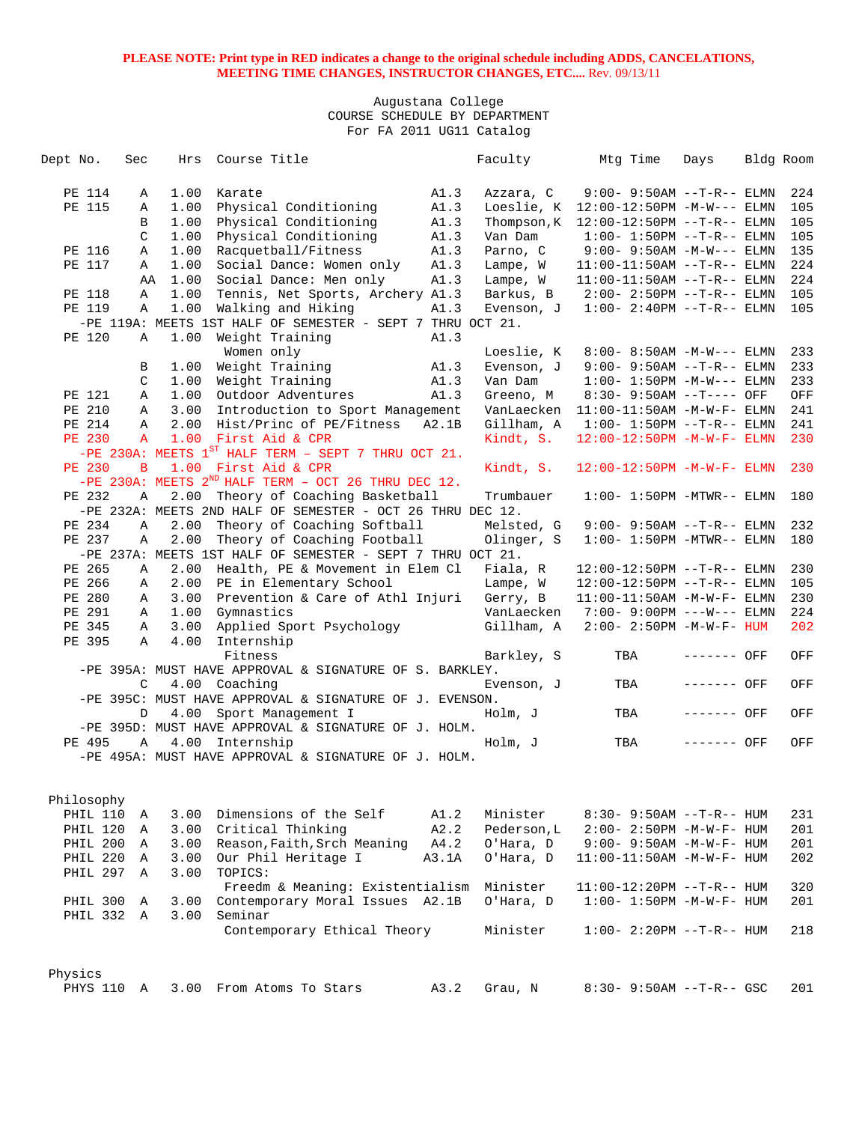| Dept No. |               | Sec          | Hrs  | Course Title                                                                                |       | Faculty     | Mtg Time                          | Days        | Bldg Room |
|----------|---------------|--------------|------|---------------------------------------------------------------------------------------------|-------|-------------|-----------------------------------|-------------|-----------|
|          | PE 114        | Α            | 1.00 | Karate                                                                                      | A1.3  | Azzara, C   | $9:00 - 9:50AM -T-R--ELMN$        |             | 224       |
|          | PE 115        | Α            | 1.00 | Physical Conditioning                                                                       | A1.3  | Loeslie, K  | $12:00-12:50PM -M-W---$ ELMN      |             | 105       |
|          |               | B            | 1.00 | Physical Conditioning                                                                       | A1.3  | Thompson, K | $12:00-12:50PM$ --T-R-- ELMN      |             | 105       |
|          |               | C            | 1.00 | Physical Conditioning                                                                       | A1.3  | Van Dam     | $1:00 - 1:50PM -T-R-- ELMN$       |             | 105       |
|          | PE 116        | Α            | 1.00 | Racquetball/Fitness                                                                         | A1.3  | Parno, C    | $9:00 - 9:50AM -M-W---$ ELMN      |             | 135       |
|          | PE 117        | Α            | 1.00 | Social Dance: Women only                                                                    | A1.3  | Lampe, W    | $11:00-11:50AM$ --T-R-- ELMN      |             | 224       |
|          |               | AA           | 1.00 | Social Dance: Men only                                                                      | A1.3  | Lampe, W    | $11:00-11:50AM$ --T-R-- ELMN      |             | 224       |
|          | PE 118        | Α            | 1.00 | Tennis, Net Sports, Archery A1.3                                                            |       | Barkus, B   | $2:00 - 2:50PM -T-R-- ELMN$       |             | 105       |
|          | PE 119        | Α            | 1.00 | Walking and Hiking                                                                          | A1.3  | Evenson, J  | $1:00 - 2:40PM -T-R-- ELMN$       |             | 105       |
|          |               |              |      | -PE 119A: MEETS 1ST HALF OF SEMESTER - SEPT 7 THRU OCT 21.                                  |       |             |                                   |             |           |
|          | PE 120        | Α            | 1.00 | Weight Training                                                                             | A1.3  |             |                                   |             |           |
|          |               |              |      | Women only                                                                                  |       | Loeslie, K  | 8:00- 8:50AM $-M-W---$ ELMN       |             | 233       |
|          |               | В            | 1.00 | Weight Training                                                                             | A1.3  | Evenson, J  | $9:00 - 9:50AM -T-R--ELMN$        |             | 233       |
|          |               | C            | 1.00 | Weight Training                                                                             | A1.3  | Van Dam     | $1:00 - 1:50PM -M-W---$ ELMN      |             | 233       |
|          | PE 121        | Α            | 1.00 | Outdoor Adventures                                                                          | A1.3  | Greeno, M   | $8:30 - 9:50AM -T---$ OFF         |             | OFF       |
|          | PE 210        | Α            | 3.00 | Introduction to Sport Management                                                            |       | VanLaecken  | $11:00-11:50AM - M-W-F- ELMN$     |             | 241       |
|          | PE 214        | Α            | 2.00 | Hist/Princ of PE/Fitness                                                                    | A2.1B | Gillham, A  | $1:00 - 1:50PM -T-R-- ELMN$       |             | 241       |
|          | <b>PE 230</b> | $\mathbf{A}$ | 1.00 | First Aid & CPR                                                                             |       | Kindt, S.   | $12:00-12:50PM -M-W-F- ELMN$      |             | 230       |
|          |               |              |      | -PE 230A: MEETS $1^{ST}$ HALF TERM - SEPT 7 THRU OCT 21.                                    |       |             |                                   |             |           |
|          | <b>PE 230</b> | $\mathbf{B}$ |      | 1.00 First Aid & CPR                                                                        |       | Kindt, S.   | 12:00-12:50PM -M-W-F- ELMN        |             | 230       |
|          |               |              |      | -PE 230A: MEETS $2^{ND}$ HALF TERM - OCT 26 THRU DEC 12.                                    |       |             |                                   |             |           |
|          | PE 232        | Α            | 2.00 | Theory of Coaching Basketball<br>-PE 232A: MEETS 2ND HALF OF SEMESTER - OCT 26 THRU DEC 12. |       | Trumbauer   | $1:00-1:50PM -MTWR--ELMN$         |             | 180       |
|          | PE 234        | Α            | 2.00 | Theory of Coaching Softball                                                                 |       | Melsted, G  | $9:00 - 9:50AM -T-R--ELMN$        |             | 232       |
|          | PE 237        | Α            | 2.00 | Theory of Coaching Football                                                                 |       | Olinger, S  | $1:00-1:50PM$ -MTWR-- ELMN        |             | 180       |
|          |               |              |      | -PE 237A: MEETS 1ST HALF OF SEMESTER - SEPT 7 THRU OCT 21.                                  |       |             |                                   |             |           |
|          | PE 265        | Α            | 2.00 | Health, PE & Movement in Elem Cl                                                            |       | Fiala, R    | $12:00-12:50PM$ --T-R-- ELMN      |             | 230       |
|          | PE 266        | Α            | 2.00 | PE in Elementary School                                                                     |       | Lampe, W    | $12:00-12:50PM$ --T-R-- ELMN      |             | 105       |
|          | PE 280        | Α            | 3.00 | Prevention & Care of Athl Injuri                                                            |       | Gerry, B    | $11:00-11:50AM - M-W-F- ELMN$     |             | 230       |
|          | PE 291        | Α            | 1.00 | Gymnastics                                                                                  |       | VanLaecken  | 7:00- 9:00PM ---W--- ELMN         |             | 224       |
|          | PE 345        | Α            | 3.00 | Applied Sport Psychology                                                                    |       | Gillham, A  | $2:00 - 2:50PM -M-W-F - HUM$      |             | 202       |
|          | PE 395        | Α            | 4.00 | Internship                                                                                  |       |             |                                   |             |           |
|          |               |              |      | Fitness                                                                                     |       | Barkley, S  | TBA                               | ------- OFF | OFF       |
|          |               |              |      | -PE 395A: MUST HAVE APPROVAL & SIGNATURE OF S. BARKLEY.                                     |       |             |                                   |             |           |
|          |               | C            |      | 4.00 Coaching                                                                               |       | Evenson, J  | TBA                               | ------- OFF | OFF       |
|          |               |              |      | -PE 395C: MUST HAVE APPROVAL & SIGNATURE OF J. EVENSON.                                     |       |             |                                   |             |           |
|          |               | D            |      | 4.00 Sport Management I                                                                     |       | Holm, J     | TBA                               | ------- OFF | OFF       |
|          |               |              |      | -PE 395D: MUST HAVE APPROVAL & SIGNATURE OF J. HOLM.                                        |       |             |                                   |             |           |
|          | PE 495        | Α            | 4.00 | Internship                                                                                  |       | Holm, J     | TBA                               | ------- OFF | OFF       |
|          |               |              |      | -PE 495A: MUST HAVE APPROVAL & SIGNATURE OF J. HOLM.                                        |       |             |                                   |             |           |
|          | Philosophy    |              |      |                                                                                             |       |             |                                   |             |           |
|          | PHIL 110      | Α            | 3.00 | Dimensions of the Self                                                                      | A1.2  | Minister    | $8:30 - 9:50AM -T-R-- HUM$        |             | 231       |
|          | PHIL 120      | Α            | 3.00 | Critical Thinking                                                                           | A2.2  | Pederson, L | $2:00 - 2:50PM -M-W-F - HUM$      |             | 201       |
|          | PHIL 200      | Α            | 3.00 | Reason, Faith, Srch Meaning                                                                 | A4.2  | O'Hara, D   | $9:00 - 9:50AM - M - W - F - HUM$ |             | 201       |
|          | PHIL 220      | A            | 3.00 | Our Phil Heritage I                                                                         | A3.1A | O'Hara, D   | $11:00-11:50AM$ -M-W-F- HUM       |             | 202       |
|          | PHIL 297 A    |              | 3.00 | TOPICS:                                                                                     |       |             |                                   |             |           |
|          |               |              |      | Freedm & Meaning: Existentialism                                                            |       | Minister    | $11:00-12:20PM$ --T-R-- HUM       |             | 320       |
|          | PHIL 300      | Α            | 3.00 | Contemporary Moral Issues A2.1B                                                             |       | O'Hara, D   | $1:00 - 1:50PM -M-W-F - HUM$      |             | 201       |
|          | PHIL 332 A    |              | 3.00 | Seminar                                                                                     |       |             |                                   |             |           |
|          |               |              |      | Contemporary Ethical Theory                                                                 |       | Minister    | $1:00 - 2:20PM -T-R--HUM$         |             | 218       |
|          |               |              |      |                                                                                             |       |             |                                   |             |           |
| Physics  | PHYS 110      | A            |      | 3.00 From Atoms To Stars                                                                    | A3.2  | Grau, N     | $8:30 - 9:50AM -T-R--$ GSC        |             | 201       |
|          |               |              |      |                                                                                             |       |             |                                   |             |           |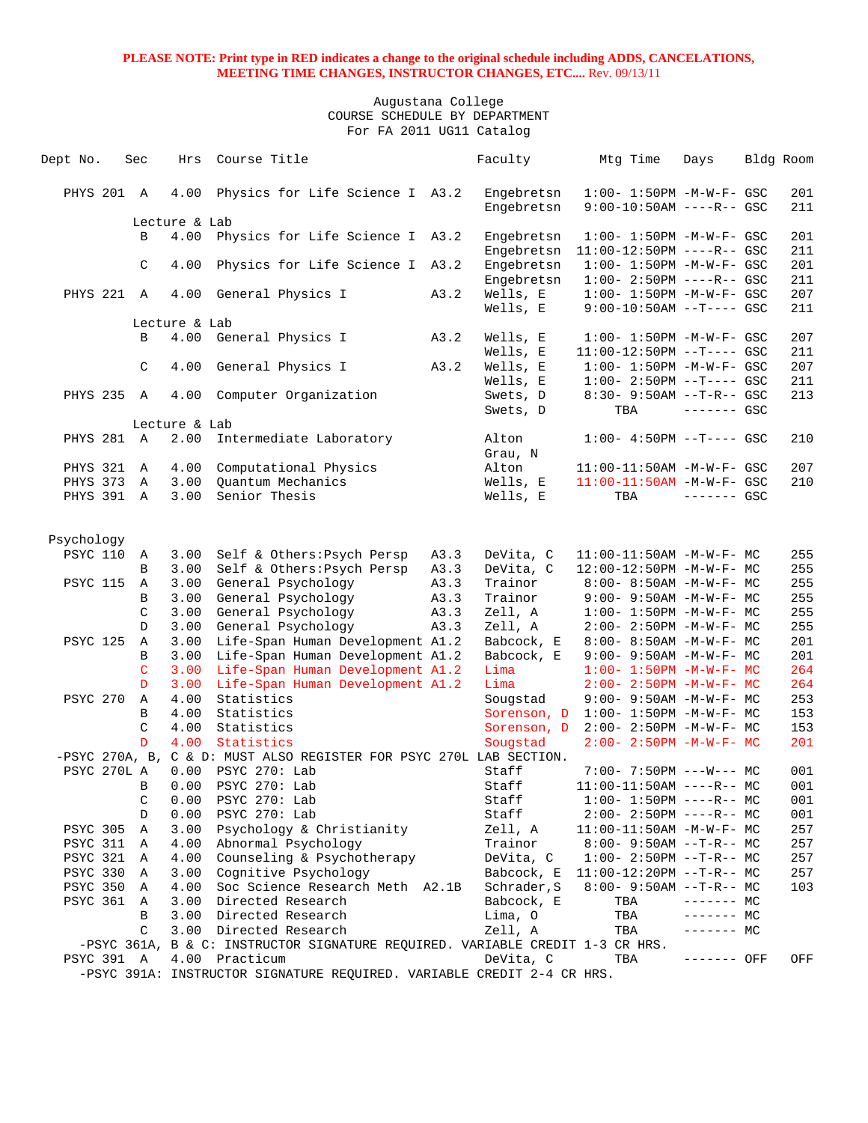| Dept No.        | Sec               | Hrs           | Course Title                                                                  |      | Faculty                  | Mtg Time                                                         | Days         | Bldg Room  |
|-----------------|-------------------|---------------|-------------------------------------------------------------------------------|------|--------------------------|------------------------------------------------------------------|--------------|------------|
|                 |                   |               |                                                                               |      |                          |                                                                  |              |            |
| PHYS 201 A      |                   | 4.00          | Physics for Life Science I A3.2                                               |      | Engebretsn               | $1:00 - 1:50PM -M-W-F - GSC$                                     |              | 201        |
|                 |                   |               |                                                                               |      | Engebretsn               | $9:00-10:50AM$ ----R-- GSC                                       |              | 211        |
|                 |                   | Lecture & Lab |                                                                               |      |                          |                                                                  |              |            |
|                 | B                 | 4.00          | Physics for Life Science I A3.2                                               |      | Engebretsn               | $1:00 - 1:50PM - M - W - F - GSC$<br>$11:00-12:50PM$ ----R-- GSC |              | 201        |
|                 | C                 | 4.00          | Physics for Life Science I A3.2                                               |      | Engebretsn<br>Engebretsn | $1:00 - 1:50PM - M - W - F - GSC$                                |              | 211<br>201 |
|                 |                   |               |                                                                               |      | Engebretsn               | $1:00-2:50PM$ ----R-- GSC                                        |              | 211        |
| PHYS 221 A      |                   | 4.00          | General Physics I                                                             | A3.2 | Wells, E                 | $1:00 - 1:50PM - M - W - F - GSC$                                |              | 207        |
|                 |                   |               |                                                                               |      | Wells, E                 | $9:00-10:50AM$ --T---- GSC                                       |              | 211        |
|                 |                   | Lecture & Lab |                                                                               |      |                          |                                                                  |              |            |
|                 | B                 | 4.00          | General Physics I                                                             | A3.2 | Wells, E                 | $1:00 - 1:50PM - M - W - F - GSC$                                |              | 207        |
|                 |                   |               |                                                                               |      | Wells, E                 | $11:00-12:50PM$ --T---- GSC                                      |              | 211        |
|                 | $\mathcal{C}$     | 4.00          | General Physics I                                                             | A3.2 | Wells, E                 | $1:00 - 1:50PM - M - W - F - GSC$                                |              | 207        |
|                 |                   |               |                                                                               |      | Wells, E                 | $1:00-2:50PM -T---$ GSC                                          |              | 211        |
| PHYS 235 A      |                   | 4.00          | Computer Organization                                                         |      | Swets, D                 | $8:30 - 9:50AM -T-R - GSC$                                       |              | 213        |
|                 |                   |               |                                                                               |      | Swets, D                 | TBA                                                              | $------$ GSC |            |
|                 |                   | Lecture & Lab |                                                                               |      |                          |                                                                  |              |            |
| PHYS 281 A      |                   | 2.00          | Intermediate Laboratory                                                       |      | Alton                    | $1:00-4:50PM -T--- GSC$                                          |              | 210        |
| PHYS 321        |                   | 4.00          | Computational Physics                                                         |      | Grau, N<br>Alton         |                                                                  |              | 207        |
| PHYS 373        | A<br>$\mathbb{A}$ | 3.00          | Quantum Mechanics                                                             |      | Wells, E                 | $11:00-11:50AM$ -M-W-F- GSC<br>11:00-11:50AM -M-W-F- GSC         |              | 210        |
| PHYS 391 A      |                   | 3.00          | Senior Thesis                                                                 |      | Wells, E                 | TBA                                                              | $------$ GSC |            |
|                 |                   |               |                                                                               |      |                          |                                                                  |              |            |
|                 |                   |               |                                                                               |      |                          |                                                                  |              |            |
| Psychology      |                   |               |                                                                               |      |                          |                                                                  |              |            |
| <b>PSYC 110</b> | A                 | 3.00          | Self & Others: Psych Persp                                                    | A3.3 | DeVita, C                | $11:00-11:50AM$ -M-W-F- MC                                       |              | 255        |
|                 | B                 | 3.00          | Self & Others: Psych Persp                                                    | A3.3 | DeVita, C                | 12:00-12:50PM -M-W-F- MC                                         |              | 255        |
| <b>PSYC 115</b> | Α                 | 3.00          | General Psychology                                                            | A3.3 | Trainor                  | $8:00 - 8:50AM - M - W - F - MC$                                 |              | 255        |
|                 | B                 | 3.00          | General Psychology                                                            | A3.3 | Trainor                  | $9:00 - 9:50AM - M - W - F - MC$                                 |              | 255        |
|                 | C                 | 3.00          | General Psychology                                                            | A3.3 | Zell, A                  | $1:00 - 1:50PM - M - W - F - MC$                                 |              | 255        |
|                 | $\mathbb{D}$      | 3.00          | General Psychology                                                            | A3.3 | Zell, A                  | $2:00 - 2:50PM -M-W-F - MC$                                      |              | 255        |
| <b>PSYC 125</b> | Α                 | 3.00          | Life-Span Human Development A1.2                                              |      | Babcock, E               | 8:00- 8:50AM -M-W-F- MC                                          |              | 201        |
|                 | B                 | 3.00          | Life-Span Human Development A1.2                                              |      | Babcock, E               | 9:00- 9:50AM -M-W-F- MC                                          |              | 201        |
|                 | $\mathsf{C}$      | 3.00          | Life-Span Human Development A1.2                                              |      | Lima                     | $1:00 - 1:50PM - M - W - F - MC$                                 |              | 264        |
|                 | D                 | 3.00          | Life-Span Human Development A1.2                                              |      | Lima                     | $2:00 - 2:50PM -M-W-F-MC$                                        |              | 264        |
| <b>PSYC 270</b> | Α                 | 4.00          | Statistics                                                                    |      | Sougstad                 | $9:00 - 9:50AM - M - W - F - MC$                                 |              | 253        |
|                 | B                 | 4.00          | Statistics                                                                    |      | Sorenson, D              | $1:00 - 1:50PM - M - W - F - MC$                                 |              | 153        |
|                 | C                 | 4.00          | Statistics                                                                    |      | Sorenson, D              | $2:00 - 2:50PM - M - W - F - MC$                                 |              | 153        |
|                 | D                 | 4.00          | Statistics                                                                    |      | Sougstad                 | $2:00 - 2:50PM -M-W-F-MC$                                        |              | 201        |
|                 |                   |               | -PSYC 270A, B, C & D: MUST ALSO REGISTER FOR PSYC 270L LAB SECTION.           |      |                          |                                                                  |              |            |
| PSYC 270L A     |                   | 0.00          | PSYC 270: Lab<br>0.00 PSYC 270: Lab                                           |      | Staff                    | $7:00 - 7:50PM$ ---W--- MC                                       |              | 001        |
|                 | $\mathbf{B}$      |               | PSYC 270: Lab                                                                 |      | Staff                    | $11:00-11:50AM$ ----R-- MC                                       |              | 001        |
|                 | C<br>D            | 0.00<br>0.00  | PSYC 270: Lab                                                                 |      | Staff<br>Staff           | $1:00-1:50PM$ ----R-- MC<br>$2:00-2:50PM$ ----R-- MC             |              | 001<br>001 |
| <b>PSYC 305</b> | Α                 | 3.00          | Psychology & Christianity                                                     |      | Zell, A                  | $11:00-11:50AM$ -M-W-F- MC                                       |              | 257        |
| <b>PSYC 311</b> | Α                 | 4.00          | Abnormal Psychology                                                           |      | Trainor                  | $8:00 - 9:50AM -T-R-- MC$                                        |              | 257        |
| <b>PSYC 321</b> | A                 | 4.00          | Counseling & Psychotherapy                                                    |      | DeVita, C                | $1:00-2:50PM -T-R--MC$                                           |              | 257        |
| PSYC 330        | Α                 | 3.00          | Cognitive Psychology                                                          |      | Babcock, E               | $11:00-12:20PM$ --T-R-- MC                                       |              | 257        |
| PSYC 350        | Α                 | 4.00          | Soc Science Research Meth A2.1B                                               |      | Schrader, S              | $8:00 - 9:50AM -T-R-- MC$                                        |              | 103        |
| <b>PSYC 361</b> | A                 | 3.00          | Directed Research                                                             |      | Babcock, E               | TBA                                                              | ------- MC   |            |
|                 | В                 | 3.00          | Directed Research                                                             |      | Lima, O                  | TBA                                                              | ------- MC   |            |
|                 | C                 | 3.00          | Directed Research                                                             |      | Zell, A                  | TBA                                                              | ------- MC   |            |
|                 |                   |               | -PSYC 361A, B & C: INSTRUCTOR SIGNATURE REQUIRED. VARIABLE CREDIT 1-3 CR HRS. |      |                          |                                                                  |              |            |
| PSYC 391 A      |                   | 4.00          | Practicum                                                                     |      | DeVita, C                | TBA                                                              | ------- OFF  | OFF        |
|                 |                   |               | -PSYC 391A: INSTRUCTOR SIGNATURE REQUIRED. VARIABLE CREDIT 2-4 CR HRS.        |      |                          |                                                                  |              |            |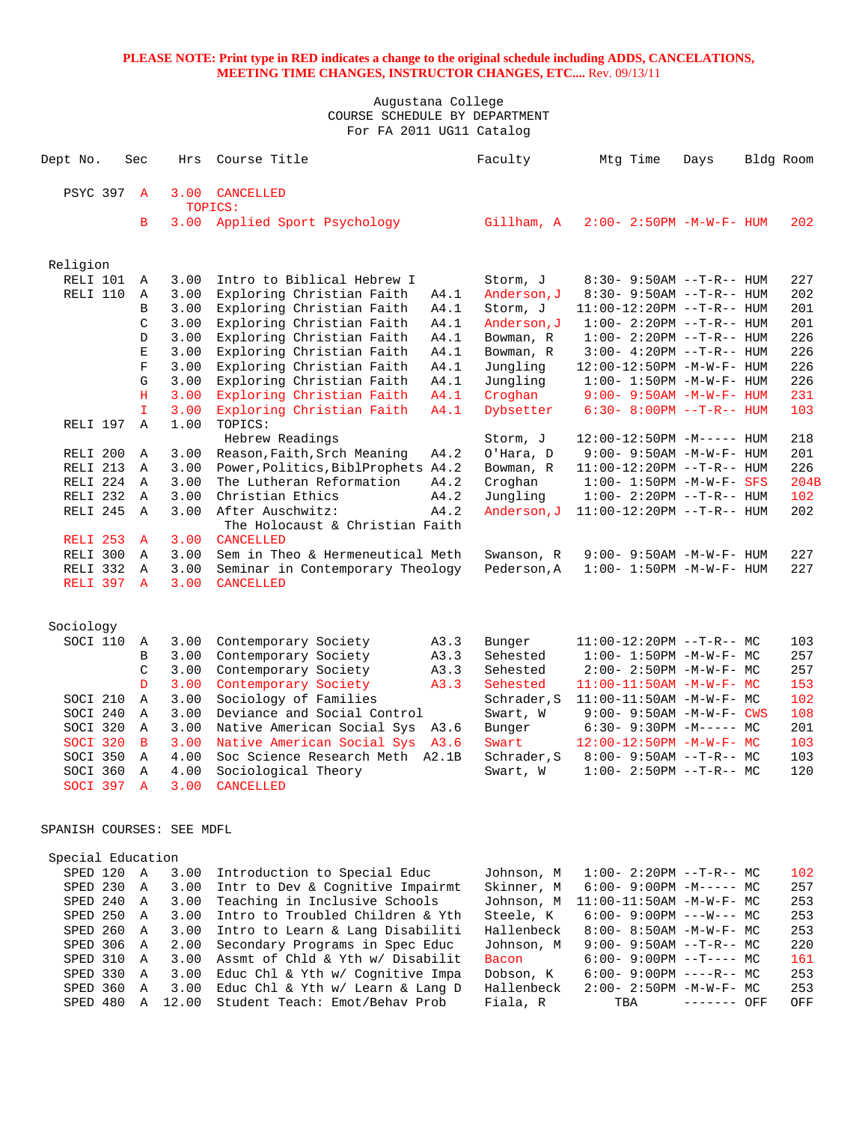| Dept No.                  | Sec          | Hrs           | Course Title                                                       | Faculty              | Mtg Time                                            | Days        | Bldg Room |            |
|---------------------------|--------------|---------------|--------------------------------------------------------------------|----------------------|-----------------------------------------------------|-------------|-----------|------------|
| <b>PSYC 397</b>           | $\mathbf{A}$ | 3.00          | <b>CANCELLED</b>                                                   |                      |                                                     |             |           |            |
|                           |              |               | TOPICS:                                                            |                      |                                                     |             |           |            |
|                           | B            | 3.00          | Applied Sport Psychology                                           | Gillham, A           | $2:00 - 2:50PM - M - W - F - HUM$                   |             |           | 202        |
| Religion                  |              |               |                                                                    |                      |                                                     |             |           |            |
| RELI 101                  | Α            | 3.00          | Intro to Biblical Hebrew I                                         | Storm, J             | $8:30 - 9:50AM -T-R-- HUM$                          |             |           | 227        |
| RELI 110                  | Α            | 3.00          | Exploring Christian Faith<br>A4.1                                  | Anderson, J          | $8:30 - 9:50AM -T-R-- HUM$                          |             |           | 202        |
|                           | B            | 3.00          | Exploring Christian Faith<br>A4.1                                  | Storm, J             | $11:00-12:20PM -T-R--HUM$                           |             |           | 201        |
|                           | C            | 3.00          | Exploring Christian Faith<br>A4.1                                  | Anderson, J          | $1:00 - 2:20PM -T-R--HUM$                           |             |           | 201        |
|                           | D            | 3.00          | Exploring Christian Faith<br>A4.1                                  | Bowman, R            | $1:00 - 2:20PM -T-R--HUM$                           |             |           | 226        |
|                           | Ε            | 3.00          | Exploring Christian Faith<br>A4.1                                  | Bowman, R            | $3:00-4:20PM -T-R--HUM$                             |             |           | 226        |
|                           | $\mathbf F$  | 3.00          | Exploring Christian Faith<br>A4.1                                  | Jungling             | 12:00-12:50PM -M-W-F- HUM                           |             |           | 226        |
|                           | G            | 3.00          | A4.1<br>Exploring Christian Faith                                  | Jungling             | $1:00 - 1:50PM - M - W - F - HUM$                   |             |           | 226        |
|                           | н            | 3.00          | Exploring Christian Faith<br>A4.1                                  | Croghan              | $9:00 - 9:50AM - M - W - F - HUM$                   |             |           | 231        |
| RELI 197                  | T.<br>Α      | 3.00<br>1.00  | Exploring Christian Faith<br>A4.1<br>TOPICS:                       | Dybsetter            | $6:30 - 8:00PM -T-R-- HUM$                          |             |           | 103        |
|                           |              |               | Hebrew Readings                                                    | Storm, J             | $12:00-12:50PM -M---$ HUM                           |             |           | 218        |
| RELI 200                  | Α            | 3.00          | Reason, Faith, Srch Meaning<br>A4.2                                | O'Hara, D            | $9:00 - 9:50AM - M - W - F - HUM$                   |             |           | 201        |
| RELI 213                  | Α            | 3.00          | Power, Politics, BiblProphets A4.2                                 | Bowman, R            | 11:00-12:20PM --T-R-- HUM                           |             |           | 226        |
| RELI 224                  | A            | 3.00          | The Lutheran Reformation<br>A4.2                                   | Croghan              | $1:00 - 1:50PM - M - W - F - SFS$                   |             |           | 204B       |
| RELI 232                  | A            | 3.00          | Christian Ethics<br>A4.2                                           | Jungling             | $1:00 - 2:20PM -T-R--HUM$                           |             |           | 102        |
| RELI 245                  | A            | 3.00          | After Auschwitz:<br>A4.2<br>The Holocaust & Christian Faith        | Anderson, J          | $11:00-12:20PM$ --T-R-- HUM                         |             |           | 202        |
| RELI 253                  | $\mathbf{A}$ | 3.00          | <b>CANCELLED</b>                                                   |                      |                                                     |             |           |            |
| RELI 300                  | Α            | 3.00          | Sem in Theo & Hermeneutical Meth                                   | Swanson, R           | $9:00 - 9:50AM - M - W - F - HUM$                   |             |           | 227        |
| RELI 332                  | Α            | 3.00          | Seminar in Contemporary Theology                                   | Pederson, A          | $1:00 - 1:50PM - M - W - F - HUM$                   |             |           | 227        |
| RELI 397                  | $\mathbf{A}$ | 3.00          | <b>CANCELLED</b>                                                   |                      |                                                     |             |           |            |
| Sociology                 |              |               |                                                                    |                      |                                                     |             |           |            |
| SOCI 110                  | A            | 3.00          | Contemporary Society<br>A3.3                                       | Bunger               | $11:00-12:20PM$ --T-R-- MC                          |             |           | 103        |
|                           | B            | 3.00          | Contemporary Society<br>A3.3                                       | Sehested             | $1:00 - 1:50PM - M - W - F - MC$                    |             |           | 257        |
|                           | $\mathsf C$  | 3.00          | A3.3<br>Contemporary Society                                       | Sehested             | 2:00- 2:50PM -M-W-F- MC                             |             |           | 257        |
|                           | D            | 3.00          | Contemporary Society<br>A3.3                                       | Sehested             | $11:00-11:50AM$ -M-W-F- MC                          |             |           | 153        |
| SOCI 210                  | Α            | 3.00          | Sociology of Families                                              | Schrader, S          | $11:00-11:50AM$ -M-W-F- MC                          |             |           | 102        |
| SOCI 240                  | Α            | 3.00          | Deviance and Social Control                                        | Swart, W             | $9:00 - 9:50AM - M - W - F - CWS$                   |             |           | 108        |
| SOCI 320                  | A            | 3.00          | Native American Social Sys A3.6                                    | Bunger               | $6:30 - 9:30PM -M--- MC$                            |             |           | 201        |
| SOCI 320<br>SOCI 350      | B<br>Α       | 3.00<br>4.00  | Native American Social Sys A3.6                                    | Swart<br>Schrader, S | $12:00-12:50PM -M-W-F-MC$                           |             |           | 103<br>103 |
| SOCI 360                  | Α            | 4.00          | Soc Science Research Meth A2.1B<br>Sociological Theory             | Swart, W             | $8:00 - 9:50AM -T-R-- MC$<br>$1:00-2:50PM -T-R--MC$ |             |           | 120        |
| SOCI 397                  | $\mathbf{A}$ | 3.00          | CANCELLED                                                          |                      |                                                     |             |           |            |
| SPANISH COURSES: SEE MDFL |              |               |                                                                    |                      |                                                     |             |           |            |
| Special Education         |              |               |                                                                    |                      |                                                     |             |           |            |
| SPED 120 A                |              | 3.00          | Introduction to Special Educ                                       | Johnson, M           | $1:00-2:20PM --T-R--MC$                             |             |           | 102        |
| SPED 230 A                |              | 3.00          | Intr to Dev & Cognitive Impairmt                                   | Skinner, M           | $6:00 - 9:00PM -M--- - M$                           |             |           | 257        |
| SPED 240 A                |              | 3.00          | Teaching in Inclusive Schools                                      | Johnson, M           | $11:00-11:50AM$ -M-W-F- MC                          |             |           | 253        |
| SPED 250 A                |              | 3.00          | Intro to Troubled Children & Yth                                   | Steele, K            | $6:00 - 9:00 \text{PM}$ ---W--- MC                  |             |           | 253        |
| SPED 260 A                |              | 3.00          | Intro to Learn & Lang Disabiliti                                   | Hallenbeck           | 8:00- 8:50AM -M-W-F- MC                             |             |           | 253        |
| SPED 306 A                |              | 2.00          | Secondary Programs in Spec Educ                                    | Johnson, M           | $9:00 - 9:50AM -T-R-- MC$                           |             |           | 220        |
| SPED 310 A                |              | 3.00          | Assmt of Chld & Yth w/ Disabilit                                   | <b>Bacon</b>         | $6:00-9:00PM$ --T---- MC                            |             |           | 161        |
| SPED 330                  | A            | 3.00          | Educ Chl & Yth w/ Cognitive Impa                                   | Dobson, K            | $6:00 - 9:00PM$ ----R-- MC                          |             |           | 253        |
| SPED 360                  | Α            | 3.00<br>12.00 | Educ Chl & Yth w/ Learn & Lang D<br>Student Teach: Emot/Behav Prob | Hallenbeck           | $2:00 - 2:50PM -M-W-F - MC$                         | ------- OFF |           | 253        |
| SPED 480                  | A            |               |                                                                    | Fiala, R             | TBA                                                 |             |           | OFF        |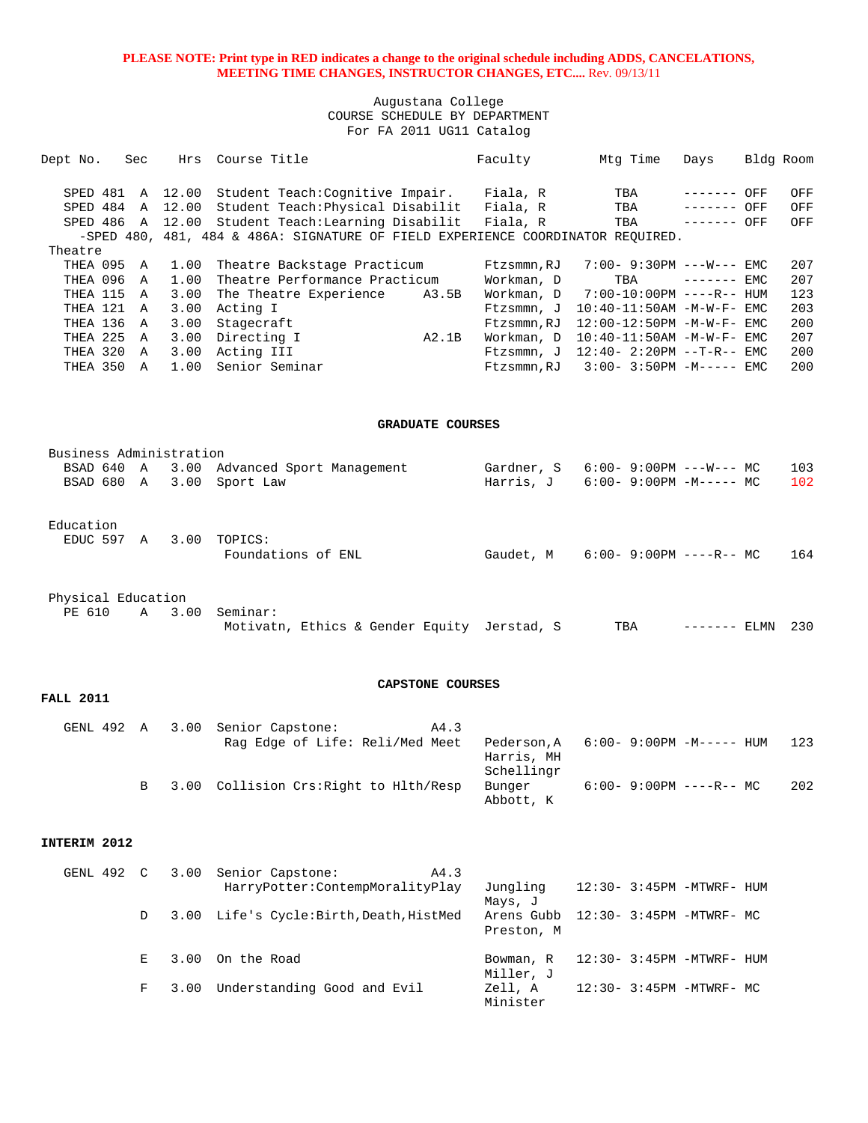Augustana College COURSE SCHEDULE BY DEPARTMENT For FA 2011 UG11 Catalog

| Dept No.   | Sec | Hrs              | Course Title                                                                    |       | Faculty    | Mtg Time                            | Days         | Bldg Room |
|------------|-----|------------------|---------------------------------------------------------------------------------|-------|------------|-------------------------------------|--------------|-----------|
|            |     |                  |                                                                                 |       |            |                                     |              |           |
|            |     | SPED 481 A 12.00 | Student Teach: Cognitive Impair.                                                |       | Fiala, R   | TBA                                 | ------- OFF  | OFF       |
| SPED 484 A |     | 12.00            | Student Teach: Physical Disabilit                                               |       | Fiala, R   | TBA                                 | $------$ OFF | OFF       |
| SPED 486 A |     | 12.00            | Student Teach: Learning Disabilit                                               |       | Fiala, R   | TBA                                 | ------- OFF  | OFF       |
|            |     |                  | -SPED 480, 481, 484 & 486A: SIGNATURE OF FIELD EXPERIENCE COORDINATOR REOUIRED. |       |            |                                     |              |           |
| Theatre    |     |                  |                                                                                 |       |            |                                     |              |           |
| THEA 095 A |     | 1.00             | Theatre Backstage Practicum                                                     |       | Ftzsmmn,RJ | $7:00 - 9:30PM ---W---EMC$          |              | 207       |
| THEA 096   | A   | 1.00             | Theatre Performance Practicum                                                   |       | Workman, D | TBA                                 | $------$ EMC | 207       |
| THEA 115   | A   | 3.00             | The Theatre Experience                                                          | A3.5B | Workman, D | 7:00-10:00PM ----R-- HUM            |              | 123       |
| THEA 121 A |     | 3.00             | Acting I                                                                        |       | Ftzsmmn, J | $10:40-11:50AM$ -M-W-F- EMC         |              | 203       |
| THEA 136   | A   | 3.00             | Stagecraft                                                                      |       | Ftzsmmn,RJ | 12:00-12:50PM -M-W-F- EMC           |              | 200       |
| THEA 225   | A   | 3.00             | Directing I                                                                     | A2.1B | Workman, D | $10:40-11:50AM$ -M-W-F- EMC         |              | 207       |
| THEA 320 A |     | 3.00             | Acting III                                                                      |       |            | Ftzsmmn, J $12:40-2:20PM -T-R--EMC$ |              | 200       |
| THEA 350 A |     | 1.00             | Senior Seminar                                                                  |       | Ftzsmmn,RJ | $3:00-3:50PM -M--- EMC$             |              | 200       |
|            |     |                  |                                                                                 |       |            |                                     |              |           |
|            |     |                  |                                                                                 |       |            |                                     |              |           |
|            |     |                  |                                                                                 |       |            |                                     |              |           |
|            |     |                  | <b>GRADUATE COURSES</b>                                                         |       |            |                                     |              |           |
|            |     |                  |                                                                                 |       |            |                                     |              |           |

| Business Administration |  |      |                                           |            |                                   |  |  |  |  |  |  |  |
|-------------------------|--|------|-------------------------------------------|------------|-----------------------------------|--|--|--|--|--|--|--|
|                         |  |      | BSAD 640 A 3.00 Advanced Sport Management | Gardner, S | 6:00- 9:00PM ---W--- MC<br>103    |  |  |  |  |  |  |  |
|                         |  |      | BSAD 680 A 3.00 Sport Law                 | Harris. J  | 6:00- 9:00PM -M----- MC<br>102    |  |  |  |  |  |  |  |
| Education<br>EDUC 597 A |  | 3.00 | TOPICS:<br>Foundations of ENL             | Gaudet, M  | $6:00 - 9:00PM$ ----R-- MC<br>164 |  |  |  |  |  |  |  |
| Physical Education      |  |      |                                           |            |                                   |  |  |  |  |  |  |  |

|  | PE 610 A 3.00 Seminar:                      |  |  |  |                      |  |
|--|---------------------------------------------|--|--|--|----------------------|--|
|  | Motivatn, Ethics & Gender Equity Jerstad, S |  |  |  | TBA ------- ELMN 230 |  |

### **CAPSTONE COURSES**

|  | GENL 492 A 3.00 Senior Capstone:         | A4.3   |            |                                        |     |
|--|------------------------------------------|--------|------------|----------------------------------------|-----|
|  | Rag Edge of Life: Reli/Med Meet          |        |            | $Pederson.A$ $6:00-9:00PM$ $-M---$ HUM | 123 |
|  |                                          |        | Harris, MH |                                        |     |
|  |                                          |        | Schellingr |                                        |     |
|  | B 3.00 Collision Crs: Right to Hlth/Resp | Bunger |            | $6:00 - 9:00PM$ ----R-- MC             | 202 |
|  |                                          |        | Abbott, K  |                                        |     |

### **INTERIM 2012**

**FALL 2011** 

| GENL 492 C |   | 3.00 Senior Capstone:<br>A4.3           |                                     |  |                             |
|------------|---|-----------------------------------------|-------------------------------------|--|-----------------------------|
|            |   | HarryPotter: ContempMoralityPlay        | Jungling                            |  | 12:30- 3:45PM -MTWRF- HUM   |
|            |   |                                         | Mays, J                             |  |                             |
|            | D | 3.00 Life's Cycle:Birth, Death, HistMed | Arens Gubb $12:30-3:45PM -MTWRF-MC$ |  |                             |
|            |   |                                         | Preston, M                          |  |                             |
|            | E | 3.00 On the Road                        | Bowman, R                           |  | $12:30-3:45PM -MTWRF - HUM$ |
|            |   |                                         | Miller, J                           |  |                             |
|            | F | 3.00 Understanding Good and Evil        | Zell, A                             |  | 12:30- 3:45PM -MTWRF- MC    |
|            |   |                                         | Minister                            |  |                             |